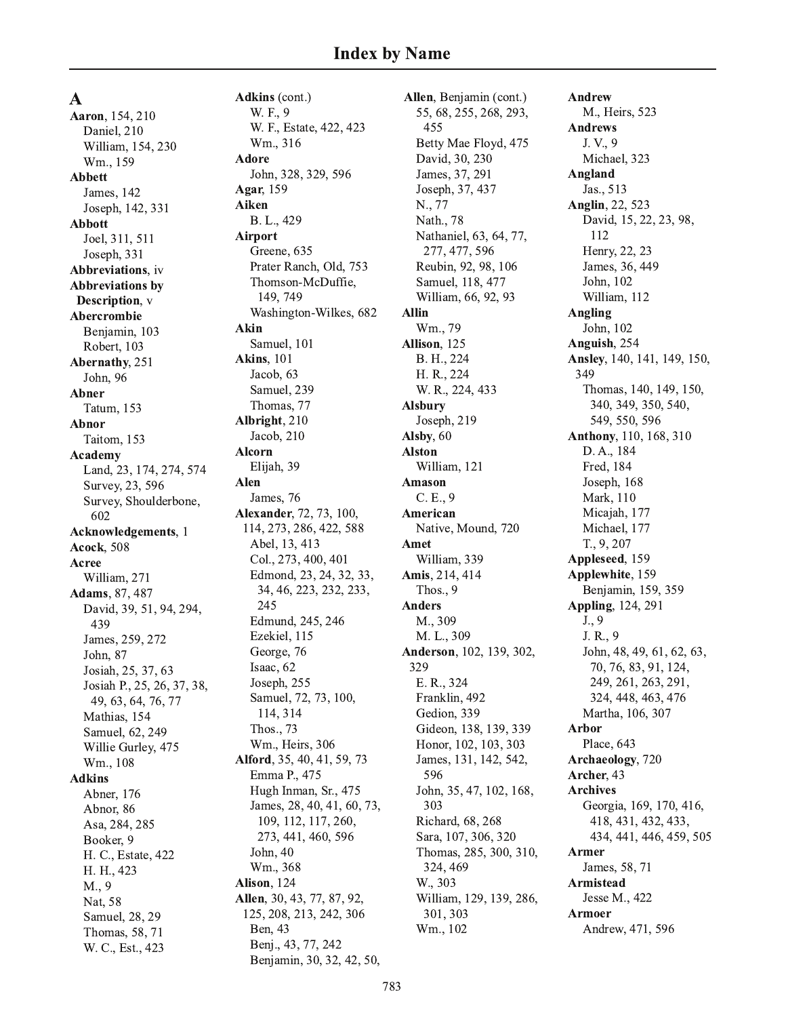$\mathbf A$ 

Aaron, 154, 210 Daniel, 210 William, 154, 230 Wm., 159 **Abbett** James, 142 Joseph, 142, 331 **Abbott** Joel, 311, 511 Joseph, 331 Abbreviations, iv **Abbreviations by** Description, v **Abercrombie** Benjamin, 103 Robert, 103 Abernathy, 251 John, 96 **Abner** Tatum, 153 Abnor Taitom, 153 Academy Land, 23, 174, 274, 574 Survey, 23, 596 Survey, Shoulderbone, 602 **Acknowledgements**, 1 **Acock**, 508 Acree William, 271 Adams, 87, 487 David, 39, 51, 94, 294, 439 James, 259, 272 John, 87 Josiah, 25, 37, 63 Josiah P., 25, 26, 37, 38, 49, 63, 64, 76, 77 Mathias, 154 Samuel, 62, 249 Willie Gurley, 475 Wm., 108 **Adkins** Abner, 176 Abnor, 86 Asa, 284, 285 Booker, 9 H. C., Estate, 422 H. H., 423 M., 9 Nat. 58 Samuel, 28, 29 Thomas, 58, 71 W. C., Est., 423

Adkins (cont.) W. F., 9 W. F., Estate, 422, 423 Wm., 316 **Adore** John, 328, 329, 596 Agar, 159 Aiken B. L., 429 **Airport** Greene, 635 Prater Ranch, Old, 753 Thomson-McDuffie, 149, 749 Washington-Wilkes, 682 Akin Samuel, 101 **Akins**, 101 Jacob, 63 Samuel, 239 Thomas, 77 Albright, 210 Jacob, 210 **Alcorn** Elijah, 39 Alen James, 76 Alexander, 72, 73, 100, 114, 273, 286, 422, 588 Abel, 13, 413 Col., 273, 400, 401 Edmond, 23, 24, 32, 33, 34, 46, 223, 232, 233, 245 Edmund, 245, 246 Ezekiel, 115 George, 76 Isaac, 62 Joseph, 255 Samuel, 72, 73, 100, 114, 314 Thos., 73 Wm., Heirs, 306 Alford, 35, 40, 41, 59, 73 Emma P., 475 Hugh Inman, Sr., 475 James, 28, 40, 41, 60, 73, 109, 112, 117, 260, 273, 441, 460, 596 John, 40 Wm., 368 Alison, 124 Allen, 30, 43, 77, 87, 92, 125, 208, 213, 242, 306 Ben, 43 Benj., 43, 77, 242 Benjamin, 30, 32, 42, 50,

Allen, Benjamin (cont.) 55, 68, 255, 268, 293, 455 Betty Mae Floyd, 475 David, 30, 230 James, 37, 291 Joseph, 37, 437 N., 77 Nath., 78 Nathaniel, 63, 64, 77, 277, 477, 596 Reubin, 92, 98, 106 Samuel, 118, 477 William, 66, 92, 93 **Allin** Wm., 79 Allison, 125 B. H., 224 H. R., 224 W. R., 224, 433 **Alsbury** Joseph, 219 Alsby, 60 **Alston** William, 121 **Amason**  $C.E., 9$ American Native, Mound, 720 Amet William, 339 Amis, 214, 414 Thos., 9 **Anders** M., 309 M. L., 309 Anderson, 102, 139, 302, 329 E. R., 324 Franklin, 492 Gedion, 339 Gideon, 138, 139, 339 Honor, 102, 103, 303 James, 131, 142, 542, 596 John, 35, 47, 102, 168, 303 Richard, 68, 268 Sara, 107, 306, 320 Thomas, 285, 300, 310, 324, 469 W., 303 William, 129, 139, 286, 301, 303 Wm., 102

**Andrew** M., Heirs, 523 **Andrews** J.V., 9 Michael, 323 Angland Jas., 513 Anglin, 22, 523 David, 15, 22, 23, 98, 112 Henry, 22, 23 James, 36, 449 John, 102 William, 112 Angling John, 102 Anguish, 254 Ansley, 140, 141, 149, 150, 349 Thomas, 140, 149, 150, 340, 349, 350, 540, 549, 550, 596 Anthony, 110, 168, 310 D. A., 184 Fred, 184 Joseph, 168 Mark, 110 Micajah, 177 Michael, 177 T., 9, 207 Appleseed, 159 Applewhite, 159 Benjamin, 159, 359 **Appling**, 124, 291  $J., 9$ J. R., 9 John, 48, 49, 61, 62, 63, 70, 76, 83, 91, 124, 249, 261, 263, 291, 324, 448, 463, 476 Martha, 106, 307 **Arbor** Place, 643 Archaeology, 720 Archer, 43 **Archives** Georgia, 169, 170, 416, 418, 431, 432, 433, 434, 441, 446, 459, 505 **Armer** James, 58, 71 **Armistead** Jesse M., 422 **Armoer** 

Andrew, 471, 596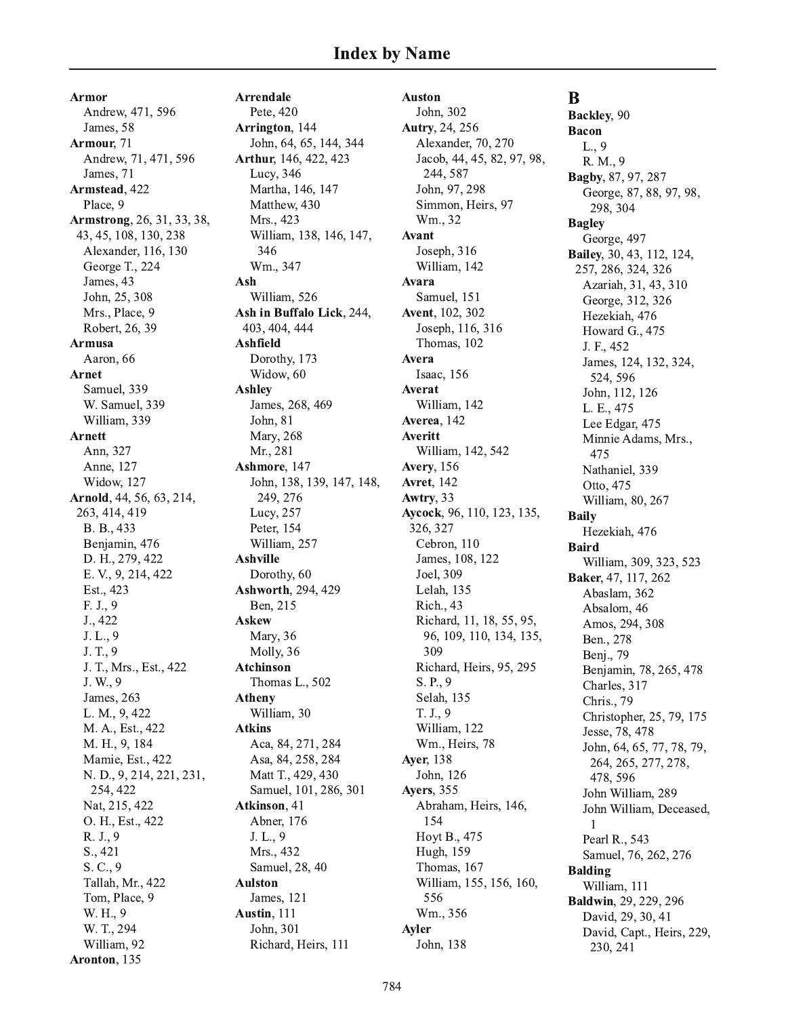Armor Andrew, 471, 596 James, 58 Armour, 71 Andrew, 71, 471, 596 James, 71 Armstead, 422 Place, 9 **Armstrong**, 26, 31, 33, 38, 43, 45, 108, 130, 238 Alexander, 116, 130 George T., 224 James, 43 John, 25, 308 Mrs., Place, 9 Robert, 26, 39 **Armusa** Aaron, 66 Arnet Samuel, 339 W. Samuel, 339 William, 339 **Arnett** Ann, 327 Anne, 127 Widow, 127 Arnold, 44, 56, 63, 214, 263, 414, 419 B. B., 433 Benjamin, 476 D. H., 279, 422 E. V., 9, 214, 422 Est., 423 F. J., 9 J., 422 J. L., 9 J. T., 9 J. T., Mrs., Est., 422 J. W., 9 James, 263 L. M., 9, 422 M. A., Est., 422 M. H., 9, 184 Mamie, Est., 422 N. D., 9, 214, 221, 231, 254, 422 Nat, 215, 422 O. H., Est., 422 R. J., 9  $S., 421$ S. C., 9 Tallah, Mr., 422 Tom, Place, 9 W. H., 9 W. T., 294 William, 92 Aronton, 135

**Arrendale** Pete, 420 Arrington, 144 John, 64, 65, 144, 344 Arthur, 146, 422, 423 Lucy, 346 Martha, 146, 147 Matthew, 430 Mrs., 423 William, 138, 146, 147, 346 Wm., 347 Ash William, 526 Ash in Buffalo Lick, 244, 403, 404, 444 Ashfield Dorothy, 173 Widow, 60 **Ashley** James, 268, 469 John, 81 Mary, 268 Mr., 281 Ashmore, 147 John, 138, 139, 147, 148, 249, 276 Lucy, 257 Peter, 154 William, 257 **Ashville** Dorothy, 60 Ashworth, 294, 429 Ben, 215 **Askew** Mary, 36 Molly, 36 Atchinson Thomas L., 502 **Atheny** William, 30 **Atkins** Aca, 84, 271, 284 Asa, 84, 258, 284 Matt T., 429, 430 Samuel, 101, 286, 301 Atkinson, 41 Abner, 176  $J. L., 9$ Mrs., 432 Samuel, 28, 40 **Aulston** James, 121 Austin, 111 John, 301 Richard, Heirs, 111

**Auston** John, 302 Autry, 24, 256 Alexander, 70, 270 Jacob, 44, 45, 82, 97, 98, 244, 587 John, 97, 298 Simmon, Heirs, 97 Wm., 32 Avant Joseph,  $316$ William, 142 **Avara** Samuel, 151 Avent, 102, 302 Joseph, 116, 316 Thomas, 102 Avera Isaac, 156 Averat William, 142 Averea. 142 Averitt William, 142, 542 **Avery**, 156 **Avret**, 142 Awtry, 33 Aycock, 96, 110, 123, 135, 326, 327 Cebron, 110 James, 108, 122 Joel, 309 Lelah, 135 Rich., 43 Richard, 11, 18, 55, 95, 96, 109, 110, 134, 135, 309 Richard, Heirs, 95, 295 S. P., 9 Selah, 135 T. J., 9 William, 122 Wm., Heirs, 78 **Aver**, 138 John, 126 Ayers, 355 Abraham, Heirs, 146, 154 Hoyt B., 475 Hugh, 159 Thomas, 167 William, 155, 156, 160, 556 Wm., 356 Ayler John, 138

# B

Backley, 90 **Bacon**  $L., 9$ R. M., 9 Bagby, 87, 97, 287 George, 87, 88, 97, 98, 298, 304 **Bagley** George, 497 Bailey, 30, 43, 112, 124, 257, 286, 324, 326 Azariah, 31, 43, 310 George, 312, 326 Hezekiah, 476 Howard G., 475 J. F., 452 James, 124, 132, 324, 524, 596 John, 112, 126 L. E., 475 Lee Edgar, 475 Minnie Adams, Mrs., 475 Nathaniel, 339 Otto, 475 William, 80, 267 **Baily** Hezekiah, 476 **Baird** William, 309, 323, 523 Baker, 47, 117, 262 Abaslam, 362 Absalom, 46 Amos, 294, 308 Ben., 278 Benj., 79 Benjamin, 78, 265, 478 Charles, 317 Chris., 79 Christopher, 25, 79, 175 Jesse, 78, 478 John, 64, 65, 77, 78, 79, 264, 265, 277, 278, 478, 596 John William, 289 John William, Deceased, Pearl R., 543 Samuel, 76, 262, 276 **Balding** William, 111 **Baldwin**, 29, 229, 296 David, 29, 30, 41 David, Capt., Heirs, 229, 230, 241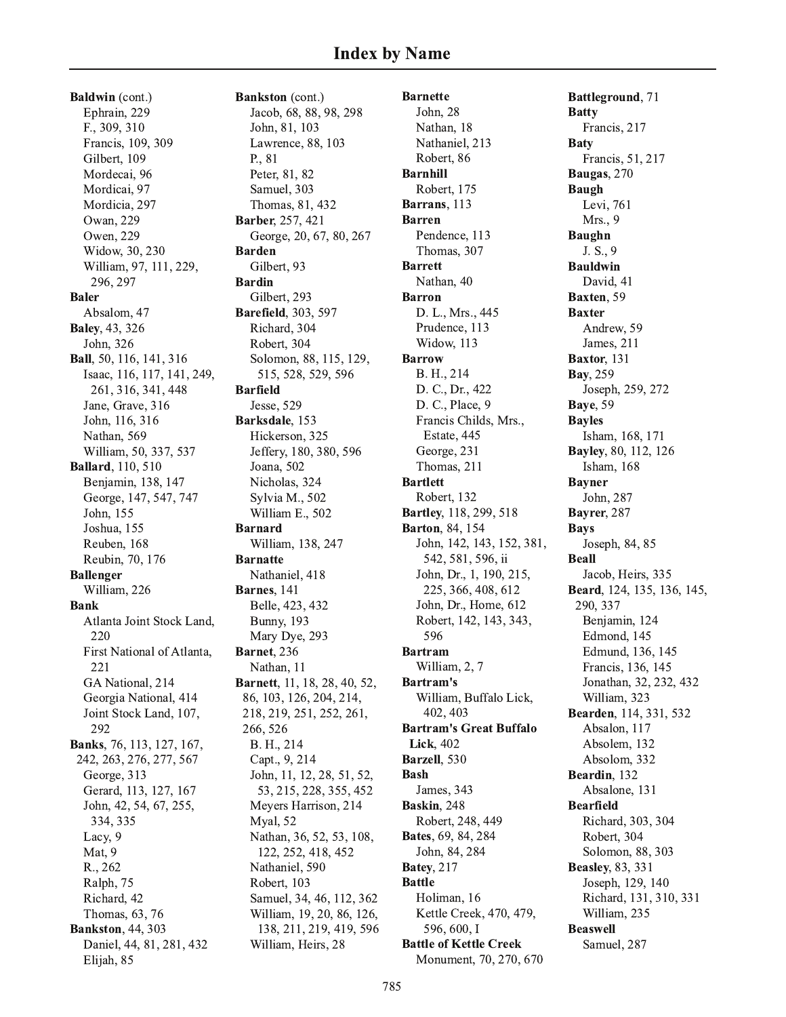Baldwin (cont.) Ephrain, 229 F., 309, 310 Francis, 109, 309 Gilbert, 109 Mordecai, 96 Mordicai, 97 Mordicia, 297 Owan, 229 Owen, 229 Widow, 30, 230 William, 97, 111, 229, 296, 297 **Baler** Absalom, 47 **Baley**, 43, 326 John, 326 Ball, 50, 116, 141, 316 Isaac, 116, 117, 141, 249, 261, 316, 341, 448 Jane, Grave, 316 John, 116, 316 Nathan, 569 William, 50, 337, 537 **Ballard**, 110, 510 Benjamin, 138, 147 George, 147, 547, 747 John, 155 Joshua, 155 Reuben, 168 Reubin, 70, 176 **Ballenger** William, 226 **Bank** Atlanta Joint Stock Land, 220 First National of Atlanta, 221 GA National, 214 Georgia National, 414 Joint Stock Land, 107, 292 Banks, 76, 113, 127, 167, 242, 263, 276, 277, 567 George, 313 Gerard, 113, 127, 167 John, 42, 54, 67, 255, 334, 335 Lacy, 9 Mat, 9 R., 262 Ralph, 75 Richard, 42 Thomas, 63, 76 **Bankston, 44, 303** Daniel, 44, 81, 281, 432 Elijah, 85

**Bankston** (cont.) Jacob, 68, 88, 98, 298 John, 81, 103 Lawrence, 88, 103 P., 81 Peter, 81, 82 Samuel, 303 Thomas, 81, 432 Barber, 257, 421 George, 20, 67, 80, 267 **Barden** Gilbert, 93 **Bardin** Gilbert, 293 **Barefield**, 303, 597 Richard, 304 Robert, 304 Solomon, 88, 115, 129, 515, 528, 529, 596 **Barfield** Jesse, 529 Barksdale, 153 Hickerson, 325 Jeffery, 180, 380, 596 Joana, 502 Nicholas, 324 Sylvia M., 502 William E., 502 **Barnard** William, 138, 247 **Barnatte** Nathaniel, 418 Barnes, 141 Belle, 423, 432 **Bunny**, 193 Mary Dye, 293 Barnet, 236 Nathan, 11 Barnett, 11, 18, 28, 40, 52, 86, 103, 126, 204, 214, 218, 219, 251, 252, 261, 266, 526 B. H., 214 Capt., 9, 214 John, 11, 12, 28, 51, 52, 53, 215, 228, 355, 452 Meyers Harrison, 214 Myal, 52 Nathan, 36, 52, 53, 108, 122, 252, 418, 452 Nathaniel, 590 Robert, 103 Samuel, 34, 46, 112, 362 William, 19, 20, 86, 126, 138, 211, 219, 419, 596 William, Heirs, 28

**Barnette** John. 28 Nathan, 18 Nathaniel, 213 Robert, 86 **Barnhill** Robert, 175 Barrans, 113 **Barren** Pendence, 113 Thomas, 307 **Barrett** Nathan, 40 **Barron** D. L., Mrs., 445 Prudence, 113 Widow, 113 **Barrow** B. H., 214 D. C., Dr., 422 D. C., Place, 9 Francis Childs, Mrs., Estate, 445 George, 231 Thomas, 211 **Bartlett** Robert, 132 Bartley, 118, 299, 518 **Barton**, 84, 154 John, 142, 143, 152, 381, 542, 581, 596, ii John, Dr., 1, 190, 215, 225, 366, 408, 612 John, Dr., Home, 612 Robert, 142, 143, 343, 596 **Bartram** William, 2, 7 **Bartram's** William, Buffalo Lick, 402, 403 **Bartram's Great Buffalo Lick.** 402 Barzell. 530 **Bash** James, 343 Baskin, 248 Robert, 248, 449 Bates, 69, 84, 284 John, 84, 284 **Batey**, 217 **Battle** Holiman, 16 Kettle Creek, 470, 479, 596, 600. I **Battle of Kettle Creek** Monument, 70, 270, 670

Battleground, 71 **Batty** Francis, 217 **Baty** Francis, 51, 217 Baugas, 270 **Baugh** Levi, 761 Mrs., 9 **Baughn** J. S., 9 **Bauldwin** David, 41 Baxten, 59 **Baxter** Andrew, 59 James, 211 Baxtor, 131 Bay, 259 Joseph, 259, 272 **Baye**, 59 **Bayles** Isham, 168, 171 Bayley, 80, 112, 126 Isham, 168 **Bayner** John, 287 Bayrer, 287 **Bays** Joseph, 84, 85 **Beall** Jacob, Heirs, 335 Beard, 124, 135, 136, 145, 290, 337 Benjamin, 124 Edmond, 145 Edmund, 136, 145 Francis, 136, 145 Jonathan, 32, 232, 432 William, 323 Bearden, 114, 331, 532 Absalon, 117 Absolem, 132 Absolom, 332 Beardin, 132 Absalone, 131 **Bearfield** Richard, 303, 304 Robert, 304 Solomon, 88, 303 **Beasley**, 83, 331 Joseph, 129, 140 Richard, 131, 310, 331 William, 235 **Beaswell** Samuel, 287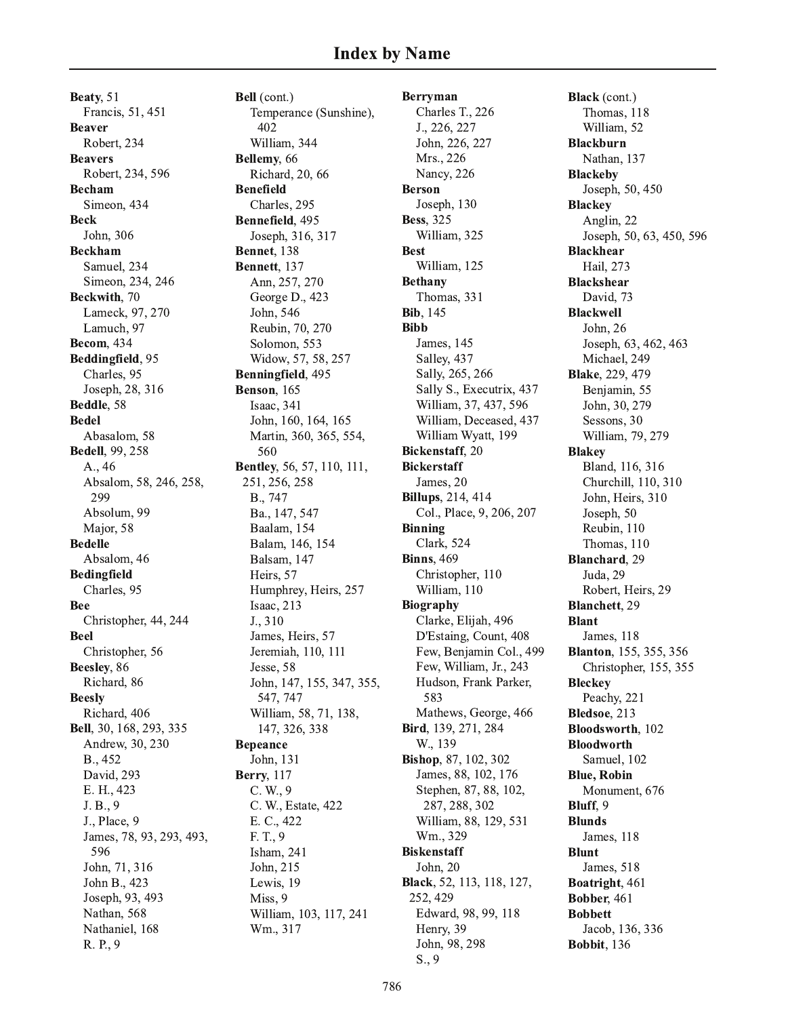Beaty, 51 Francis, 51, 451 **Beaver** Robert, 234 **Beavers** Robert, 234, 596 **Becham** Simeon, 434 **Beck** John, 306 **Beckham** Samuel, 234 Simeon, 234, 246 Beckwith, 70 Lameck, 97, 270 Lamuch, 97 **Becom, 434** Beddingfield, 95 Charles, 95 Joseph, 28, 316 Beddle, 58 **Bedel** Abasalom, 58 **Bedell**, 99, 258 A., 46 Absalom, 58, 246, 258, 299 Absolum, 99 Major, 58 **Bedelle** Absalom, 46 **Bedingfield** Charles, 95 **Bee** Christopher, 44, 244 **Beel** Christopher, 56 Beesley, 86 Richard, 86 **Beesly** Richard, 406 Bell, 30, 168, 293, 335 Andrew, 30, 230 B., 452 David, 293 E. H., 423 J. B., 9 J., Place, 9 James, 78, 93, 293, 493, 596 John, 71, 316 John B., 423 Joseph, 93, 493 Nathan, 568 Nathaniel, 168 R. P., 9

Bell (cont.) Temperance (Sunshine), 402 William, 344 Bellemy, 66 Richard, 20, 66 **Benefield** Charles, 295 Bennefield, 495 Joseph, 316, 317 **Bennet**, 138 Bennett, 137 Ann, 257, 270 George D., 423 John, 546 Reubin, 70, 270 Solomon, 553 Widow, 57, 58, 257 Benningfield, 495 Benson, 165 Isaac, 341 John, 160, 164, 165 Martin, 360, 365, 554, 560 Bentley, 56, 57, 110, 111, 251, 256, 258 B., 747 Ba., 147, 547 Baalam, 154 Balam, 146, 154 Balsam, 147 Heirs, 57 Humphrey, Heirs, 257 Isaac, 213 J., 310 James, Heirs, 57 Jeremiah, 110, 111 Jesse, 58 John, 147, 155, 347, 355, 547, 747 William, 58, 71, 138, 147, 326, 338 **Bepeance** John, 131 **Berry**, 117  $C. W., 9$ C. W., Estate, 422 E. C., 422 F. T., 9 Isham, 241 John, 215 Lewis, 19 Miss, 9 William, 103, 117, 241 Wm., 317

**Berryman** Charles T., 226 J., 226, 227 John, 226, 227 Mrs., 226 Nancy, 226 **Berson** Joseph, 130 **Bess**, 325 William, 325 **Best** William, 125 **Bethany** Thomas, 331 **Bib**, 145 **Bibb** James, 145 Salley, 437 Sally, 265, 266 Sally S., Executrix, 437 William, 37, 437, 596 William, Deceased, 437 William Wyatt, 199 **Bickenstaff**, 20 **Bickerstaff** James, 20 **Billups**, 214, 414 Col., Place, 9, 206, 207 **Binning Clark**, 524 **Binns**, 469 Christopher, 110 William, 110 **Biography** Clarke, Elijah, 496 D'Estaing, Count, 408 Few, Benjamin Col., 499 Few, William, Jr., 243 Hudson, Frank Parker, 583 Mathews, George, 466 Bird, 139, 271, 284 W., 139 Bishop, 87, 102, 302 James, 88, 102, 176 Stephen, 87, 88, 102, 287, 288, 302 William, 88, 129, 531 Wm., 329 **Biskenstaff** John, 20 Black, 52, 113, 118, 127, 252, 429 Edward, 98, 99, 118 Henry, 39 John, 98, 298  $S., 9$ 

Black (cont.) Thomas, 118 William, 52 **Blackburn** Nathan, 137 **Blackeby** Joseph, 50, 450 **Blackey** Anglin, 22 Joseph, 50, 63, 450, 596 **Blackhear** Hail, 273 **Blackshear** David, 73 **Blackwell** John, 26 Joseph, 63, 462, 463 Michael, 249 **Blake**, 229, 479 Benjamin, 55 John, 30, 279 Sessons, 30 William, 79, 279 **Blakey** Bland, 116, 316 Churchill, 110, 310 John, Heirs, 310 Joseph, 50 Reubin, 110 Thomas, 110 Blanchard, 29 Juda, 29 Robert, Heirs, 29 **Blanchett**, 29 **Blant** James, 118 **Blanton**, 155, 355, 356 Christopher, 155, 355 **Bleckey** Peachy, 221 Bledsoe, 213 Bloodsworth, 102 **Bloodworth** Samuel. 102 **Blue, Robin** Monument, 676 Bluff, 9 **Blunds** James, 118 **Blunt** James, 518 Boatright, 461 **Bobber**, 461 **Bobbett** Jacob, 136, 336 Bobbit, 136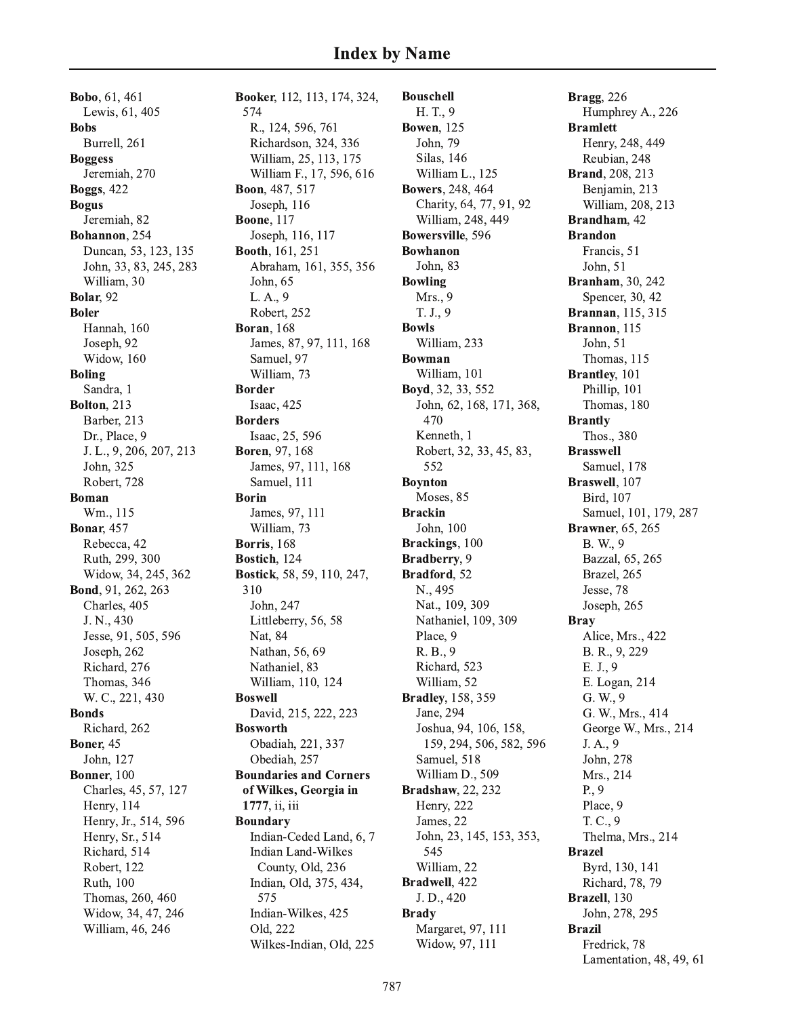Bobo, 61, 461 Lewis, 61, 405 **Bobs** Burrell, 261 **Boggess** Jeremiah, 270 **Boggs**, 422 **Bogus** Jeremiah, 82 Bohannon, 254 Duncan, 53, 123, 135 John, 33, 83, 245, 283 William, 30 Bolar, 92 **Boler** Hannah, 160 Joseph, 92 Widow, 160 **Boling** Sandra, 1 **Bolton**, 213 Barber, 213 Dr., Place, 9 J. L., 9, 206, 207, 213 John, 325 Robert, 728 **Boman** Wm., 115 **Bonar, 457** Rebecca, 42 Ruth, 299, 300 Widow, 34, 245, 362 Bond, 91, 262, 263 Charles, 405 J. N., 430 Jesse, 91, 505, 596 Joseph, 262 Richard, 276 Thomas, 346 W. C., 221, 430 **Bonds** Richard, 262 **Boner**, 45 John, 127 Bonner, 100 Charles, 45, 57, 127 Henry, 114 Henry, Jr., 514, 596 Henry, Sr., 514 Richard, 514 Robert, 122 Ruth, 100 Thomas, 260, 460 Widow, 34, 47, 246 William, 46, 246

Booker, 112, 113, 174, 324, 574 R., 124, 596, 761 Richardson, 324, 336 William, 25, 113, 175 William F., 17, 596, 616 Boon, 487, 517 Joseph, 116 **Boone**, 117 Joseph, 116, 117 **Booth**, 161, 251 Abraham, 161, 355, 356 John, 65 L.A., 9 Robert, 252 **Boran**, 168 James, 87, 97, 111, 168 Samuel, 97 William, 73 **Border** Isaac, 425 **Borders** Isaac, 25, 596 Boren, 97, 168 James, 97, 111, 168 Samuel, 111 **Borin** James, 97, 111 William, 73 Borris, 168 Bostich, 124 Bostick, 58, 59, 110, 247, 310 John, 247 Littleberry, 56, 58 Nat, 84 Nathan, 56, 69 Nathaniel, 83 William, 110, 124 **Boswell** David, 215, 222, 223 **Bosworth** Obadiah, 221, 337 Obediah. 257 **Boundaries and Corners** of Wilkes, Georgia in 1777, ii, iii **Boundary** Indian-Ceded Land, 6, 7 **Indian Land-Wilkes** County, Old, 236 Indian, Old, 375, 434, 575 Indian-Wilkes, 425 Old. 222 Wilkes-Indian, Old, 225

**Bouschell** H.T., 9 **Bowen**, 125 John, 79 Silas, 146 William L., 125 **Bowers**, 248, 464 Charity, 64, 77, 91, 92 William, 248, 449 Bowersville, 596 **Bowhanon** John, 83 **Bowling** Mrs., 9 T. J., 9 **Bowls** William, 233 **Bowman** William, 101 Boyd, 32, 33, 552 John, 62, 168, 171, 368, 470 Kenneth, 1 Robert, 32, 33, 45, 83, 552 **Boynton** Moses, 85 **Brackin** John, 100 Brackings, 100 Bradberry, 9 Bradford, 52 N., 495 Nat., 109, 309 Nathaniel, 109, 309 Place, 9 R. B., 9 Richard, 523 William, 52 **Bradley**, 158, 359 Jane, 294 Joshua, 94, 106, 158, 159, 294, 506, 582, 596 Samuel, 518 William D., 509 **Bradshaw**, 22, 232 Henry, 222 James, 22 John, 23, 145, 153, 353, 545 William, 22 Bradwell, 422 J. D., 420 **Brady** Margaret, 97, 111 Widow, 97, 111

**Bragg**, 226 Humphrey A., 226 **Bramlett** Henry, 248, 449 Reubian, 248 **Brand**, 208, 213 Benjamin, 213 William, 208, 213 Brandham, 42 **Brandon** Francis, 51 John, 51 **Branham**, 30, 242 Spencer, 30, 42 **Brannan**, 115, 315 Brannon, 115 John, 51 Thomas, 115 Brantley, 101 Phillip, 101 Thomas, 180 **Brantly** Thos., 380 **Brasswell** Samuel, 178 Braswell, 107 Bird. 107 Samuel, 101, 179, 287 **Brawner**, 65, 265 B. W., 9 Bazzal, 65, 265 Brazel, 265 Jesse, 78 Joseph, 265 **Bray** Alice, Mrs., 422 B. R., 9, 229  $E. J., 9$ E. Logan, 214 G. W., 9 G. W., Mrs., 414 George W., Mrs., 214 J.A., 9 John, 278 Mrs., 214  $P_{\cdot}$ , 9 Place, 9 T. C., 9 Thelma, Mrs., 214 **Brazel** Byrd, 130, 141 Richard, 78, 79 Brazell, 130 John, 278, 295 **Brazil** Fredrick, 78 Lamentation, 48, 49, 61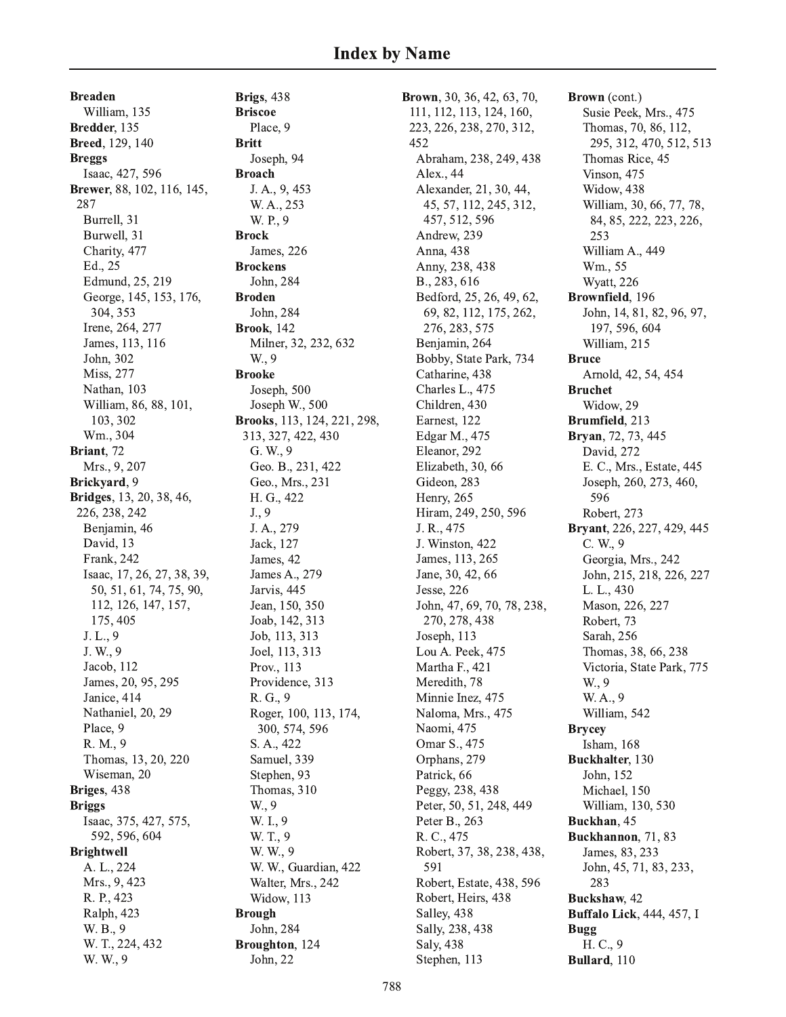**Breaden** William, 135 Bredder, 135 **Breed**, 129, 140 **Breggs** Isaac, 427, 596 Brewer, 88, 102, 116, 145, 287 Burrell, 31 Burwell, 31 Charity, 477 Ed., 25 Edmund, 25, 219 George, 145, 153, 176, 304, 353 Irene, 264, 277 James, 113, 116 John, 302 Miss, 277 Nathan, 103 William, 86, 88, 101, 103, 302 Wm., 304 Briant. 72 Mrs., 9, 207 Brickyard, 9 **Bridges**, 13, 20, 38, 46, 226, 238, 242 Benjamin, 46 David, 13 Frank, 242 Isaac, 17, 26, 27, 38, 39, 50, 51, 61, 74, 75, 90, 112, 126, 147, 157, 175, 405 J. L., 9 J. W., 9 Jacob, 112 James, 20, 95, 295 Janice, 414 Nathaniel, 20, 29 Place, 9 R. M., 9 Thomas, 13, 20, 220 Wiseman, 20 Briges, 438 **Briggs** Isaac, 375, 427, 575, 592, 596, 604 **Brightwell** A. L., 224 Mrs., 9, 423 R. P., 423 Ralph, 423 W. B., 9 W. T., 224, 432 W. W., 9

Brigs, 438 **Briscoe** Place, 9 **Britt** Joseph, 94 **Broach** J. A., 9, 453 W. A., 253 W. P., 9 **Brock** James, 226 **Brockens** John. 284 **Broden** John, 284 **Brook.** 142 Milner, 32, 232, 632 W., 9 **Brooke** Joseph, 500 Joseph W., 500 Brooks, 113, 124, 221, 298, 313, 327, 422, 430 G. W., 9 Geo. B., 231, 422 Geo., Mrs., 231 H. G., 422  $J., 9$ J. A., 279 Jack, 127 James, 42 James A., 279 Jarvis, 445 Jean, 150, 350 Joab, 142, 313 Job, 113, 313 Joel, 113, 313 Prov., 113 Providence, 313 R. G., 9 Roger, 100, 113, 174, 300, 574, 596 S. A., 422 Samuel, 339 Stephen, 93 Thomas, 310 W., 9 W. I., 9 W. T., 9 W. W., 9 W. W., Guardian, 422 Walter, Mrs., 242 Widow, 113 **Brough** John, 284 Broughton, 124 John, 22

**Brown**, 30, 36, 42, 63, 70, 111, 112, 113, 124, 160, 223, 226, 238, 270, 312, 452 Abraham, 238, 249, 438 Alex., 44 Alexander, 21, 30, 44, 45, 57, 112, 245, 312, 457, 512, 596 Andrew, 239 Anna, 438 Anny, 238, 438 B., 283, 616 Bedford, 25, 26, 49, 62, 69, 82, 112, 175, 262, 276, 283, 575 Benjamin, 264 Bobby, State Park, 734 Catharine, 438 Charles L., 475 Children, 430 Earnest, 122 Edgar M., 475 Eleanor, 292 Elizabeth, 30, 66 Gideon. 283 Henry, 265 Hiram, 249, 250, 596 J. R., 475 J. Winston, 422 James, 113, 265 Jane, 30, 42, 66 Jesse, 226 John, 47, 69, 70, 78, 238, 270, 278, 438 Joseph, 113 Lou A. Peek, 475 Martha F., 421 Meredith, 78 Minnie Inez, 475 Naloma, Mrs., 475 Naomi, 475 Omar S., 475 Orphans, 279 Patrick, 66 Peggy, 238, 438 Peter, 50, 51, 248, 449 Peter B., 263 R. C., 475 Robert, 37, 38, 238, 438, 591 Robert, Estate, 438, 596 Robert, Heirs, 438 Salley, 438 Sally, 238, 438 Saly, 438 Stephen, 113

Brown (cont.) Susie Peek, Mrs., 475 Thomas, 70, 86, 112, 295, 312, 470, 512, 513 Thomas Rice, 45 Vinson, 475 Widow, 438 William, 30, 66, 77, 78, 84, 85, 222, 223, 226, 253 William A., 449 Wm., 55 Wyatt, 226 Brownfield, 196 John, 14, 81, 82, 96, 97, 197, 596, 604 William, 215 **Bruce** Arnold, 42, 54, 454 **Bruchet** Widow, 29 Brumfield, 213 Bryan, 72, 73, 445 David, 272 E. C., Mrs., Estate, 445 Joseph, 260, 273, 460, 596 Robert, 273 Bryant, 226, 227, 429, 445 C. W., 9 Georgia, Mrs., 242 John, 215, 218, 226, 227 L. L., 430 Mason, 226, 227 Robert, 73 Sarah, 256 Thomas, 38, 66, 238 Victoria, State Park, 775 W., 9 W.A., 9 William, 542 **Brycey** Isham, 168 Buckhalter, 130 John, 152 Michael, 150 William, 130, 530 Buckhan, 45 Buckhannon, 71, 83 James, 83, 233 John, 45, 71, 83, 233, 283 Buckshaw, 42 **Buffalo Lick, 444, 457, I Bugg** H. C., 9 Bullard, 110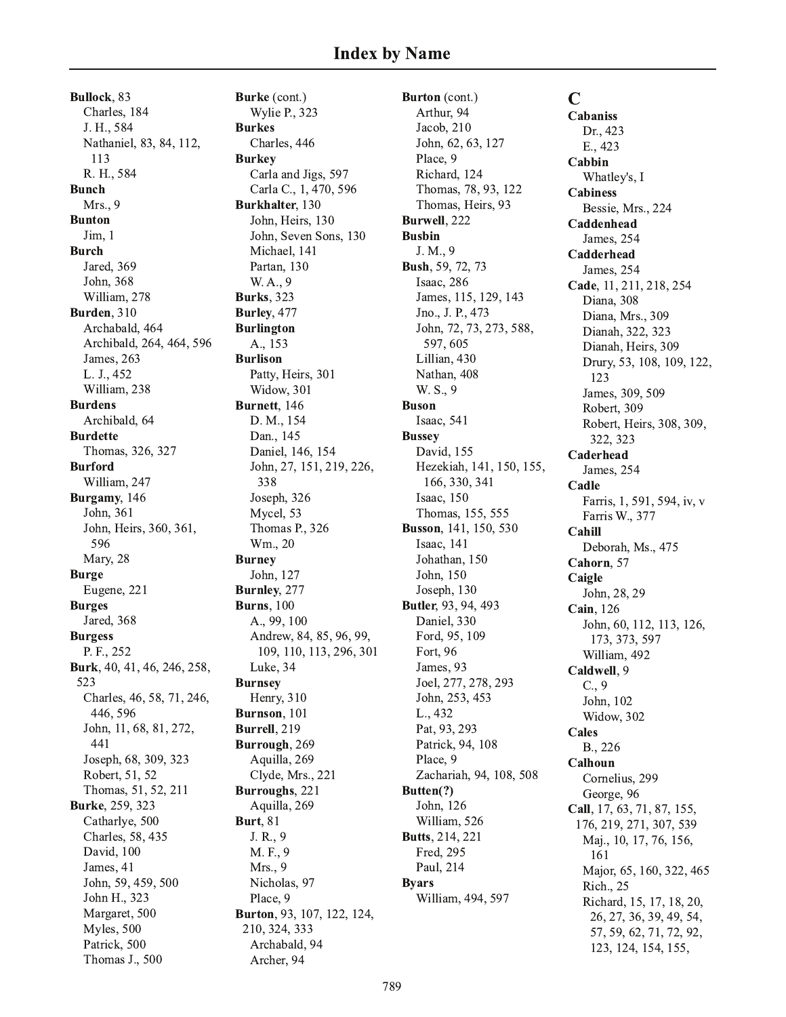Bullock, 83 Charles, 184 J. H., 584 Nathaniel, 83, 84, 112, 113 R. H., 584 **Bunch** Mrs., 9 **Bunton** Jim. 1 **Burch** Jared, 369 John. 368 William, 278 Burden, 310 Archabald, 464 Archibald, 264, 464, 596 James, 263 L. J., 452 William, 238 **Burdens** Archibald, 64 **Burdette** Thomas, 326, 327 **Burford** William, 247 Burgamy, 146 John, 361 John, Heirs, 360, 361, 596 Mary, 28 **Burge** Eugene, 221 **Burges** Jared, 368 **Burgess** P. F., 252 Burk, 40, 41, 46, 246, 258, 523 Charles, 46, 58, 71, 246, 446, 596 John, 11, 68, 81, 272, 441 Joseph, 68, 309, 323 Robert, 51, 52 Thomas, 51, 52, 211 Burke, 259, 323 Catharlye, 500 Charles, 58, 435 David, 100 James, 41 John, 59, 459, 500 John H., 323 Margaret, 500 Myles, 500 Patrick, 500 Thomas J., 500

Burke (cont.) Wylie P., 323 **Burkes** Charles, 446 **Burkey** Carla and Jigs, 597 Carla C., 1, 470, 596 Burkhalter, 130 John, Heirs, 130 John, Seven Sons, 130 Michael, 141 Partan, 130 W. A., 9 **Burks**, 323 Burley, 477 **Burlington** A., 153 **Burlison** Patty, Heirs, 301 Widow, 301 Burnett, 146 D. M., 154 Dan., 145 Daniel, 146, 154 John, 27, 151, 219, 226, 338 Joseph, 326 Mycel, 53 Thomas P., 326 Wm., 20 **Burney** John, 127 Burnley, 277 **Burns**, 100 A., 99, 100 Andrew, 84, 85, 96, 99, 109, 110, 113, 296, 301 Luke, 34 **Burnsey** Henry, 310 Burnson, 101 Burrell, 219 Burrough, 269 Aquilla, 269 Clyde, Mrs., 221 Burroughs, 221 Aquilla, 269 **Burt**, 81 J. R., 9 M. F., 9 Mrs., 9 Nicholas, 97 Place, 9 Burton, 93, 107, 122, 124, 210, 324, 333 Archabald, 94 Archer, 94

Burton (cont.) Arthur, 94 Jacob, 210 John, 62, 63, 127 Place, 9 Richard, 124 Thomas, 78, 93, 122 Thomas, Heirs, 93 Burwell, 222 **Busbin** J. M., 9 Bush, 59, 72, 73 Isaac, 286 James, 115, 129, 143 Jno., J. P., 473 John, 72, 73, 273, 588, 597, 605 Lillian, 430 Nathan, 408 W. S., 9 **Buson** Isaac, 541 **Bussey** David, 155 Hezekiah, 141, 150, 155, 166, 330, 341 Isaac, 150 Thomas, 155, 555 **Busson**, 141, 150, 530 Isaac, 141 Johathan, 150 John, 150 Joseph, 130 Butler, 93, 94, 493 Daniel, 330 Ford, 95, 109 Fort, 96 James, 93 Joel, 277, 278, 293 John, 253, 453 L., 432 Pat, 93, 293 Patrick, 94, 108 Place, 9 Zachariah, 94, 108, 508 Butten(?) John, 126 William, 526 **Butts**, 214, 221 Fred, 295 Paul, 214 **Byars** William, 494, 597

 $\mathbf C$ **Cabaniss** Dr., 423 E., 423 Cabbin Whatley's, I **Cabiness** Bessie, Mrs., 224 Caddenhead James, 254 Cadderhead James, 254 Cade, 11, 211, 218, 254 Diana, 308 Diana, Mrs., 309 Dianah, 322, 323 Dianah, Heirs, 309 Drury, 53, 108, 109, 122, 123 James, 309, 509 Robert, 309 Robert, Heirs, 308, 309, 322, 323 Caderhead James, 254 Cadle Farris, 1, 591, 594, iv, v Farris W., 377 Cahill Deborah, Ms., 475 Cahorn, 57 Caigle John, 28, 29 Cain, 126 John, 60, 112, 113, 126, 173, 373, 597 William, 492 Caldwell, 9  $C., 9$ John, 102 Widow, 302 Cales B., 226 Calhoun Cornelius, 299 George, 96 Call, 17, 63, 71, 87, 155, 176, 219, 271, 307, 539 Maj., 10, 17, 76, 156, 161 Major, 65, 160, 322, 465 Rich., 25 Richard, 15, 17, 18, 20, 26, 27, 36, 39, 49, 54, 57, 59, 62, 71, 72, 92, 123, 124, 154, 155,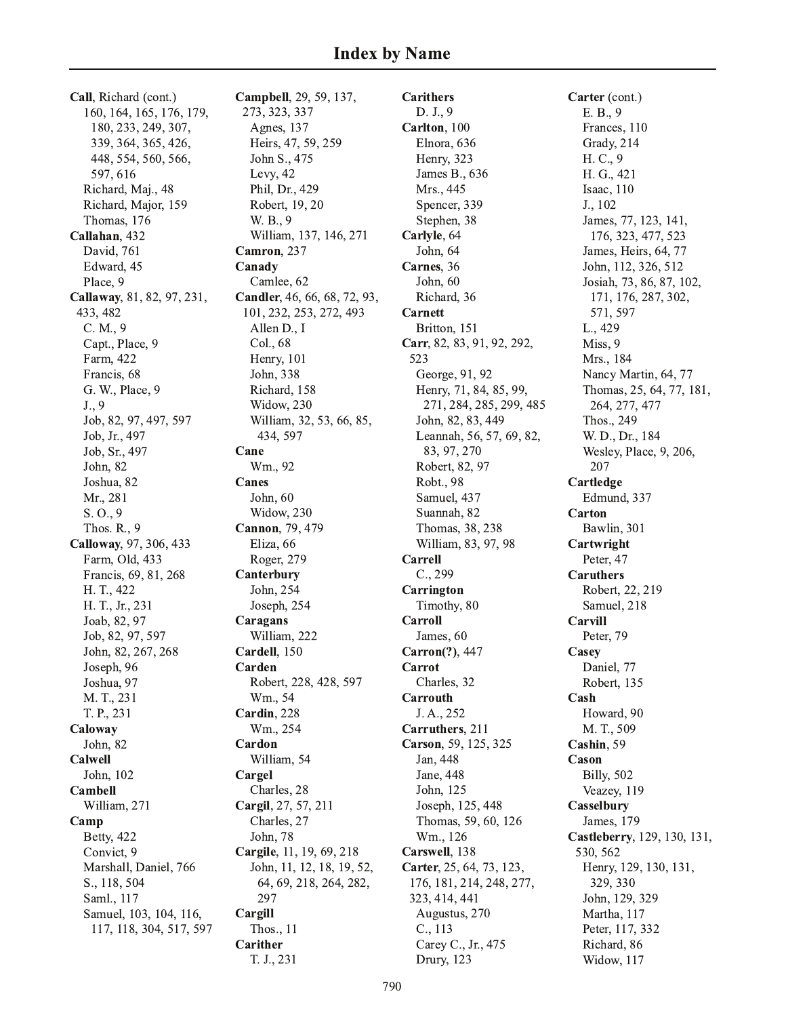Call, Richard (cont.) 160, 164, 165, 176, 179, 180, 233, 249, 307, 339, 364, 365, 426, 448, 554, 560, 566, 597, 616 Richard, Maj., 48 Richard, Major, 159 Thomas, 176 Callahan, 432 David, 761 Edward, 45 Place, 9 Callaway, 81, 82, 97, 231, 433, 482  $C. M., 9$ Capt., Place, 9 Farm, 422 Francis, 68 G. W., Place, 9  $J., 9$ Job, 82, 97, 497, 597 Job, Jr., 497 Job, Sr., 497 John, 82 Joshua, 82 Mr., 281  $S. O., 9$ Thos. R., 9 Calloway, 97, 306, 433 Farm, Old, 433 Francis, 69, 81, 268 H. T., 422 H. T., Jr., 231 Joab, 82, 97 Job, 82, 97, 597 John, 82, 267, 268 Joseph, 96 Joshua, 97 M. T., 231 T. P., 231 Caloway John, 82 Calwell John, 102 Cambell William, 271 Camp **Betty**, 422 Convict, 9 Marshall, Daniel, 766 S., 118, 504 Saml., 117 Samuel, 103, 104, 116, 117, 118, 304, 517, 597 Campbell, 29, 59, 137, 273, 323, 337 Agnes, 137 Heirs, 47, 59, 259 John S., 475 Levy, 42 Phil, Dr., 429 Robert, 19, 20 W. B., 9 William, 137, 146, 271 Camron. 237 Canady Camlee, 62 Candler, 46, 66, 68, 72, 93, 101, 232, 253, 272, 493 Allen D., I Col., 68 Henry, 101 John, 338 Richard, 158 Widow, 230 William, 32, 53, 66, 85, 434, 597 Cane Wm., 92 Canes John, 60 Widow, 230 Cannon, 79, 479 Eliza, 66 Roger, 279 Canterbury John, 254 Joseph, 254 Caragans William, 222 Cardell, 150 Carden Robert, 228, 428, 597 Wm., 54 Cardin, 228 Wm., 254 Cardon William, 54 Cargel Charles, 28 Cargil, 27, 57, 211 Charles, 27 John, 78 Cargile, 11, 19, 69, 218 John, 11, 12, 18, 19, 52, 64, 69, 218, 264, 282, 297 Cargill Thos., 11 Carither T. J., 231

**Carithers** D. J., 9 Carlton, 100 Elnora, 636 Henry, 323 James B., 636 Mrs., 445 Spencer, 339 Stephen, 38 Carlyle, 64 John. 64 Carnes, 36 John. 60 Richard, 36 Carnett Britton, 151 Carr, 82, 83, 91, 92, 292, 523 George, 91, 92 Henry, 71, 84, 85, 99, 271, 284, 285, 299, 485 John, 82, 83, 449 Leannah, 56, 57, 69, 82, 83, 97, 270 Robert, 82, 97 Robt., 98 Samuel, 437 Suannah, 82 Thomas, 38, 238 William, 83, 97, 98 Carrell  $C., 299$ Carrington Timothy, 80 Carroll James, 60 Carron(?), 447 Carrot Charles, 32 Carrouth J. A., 252 Carruthers, 211 Carson, 59, 125, 325 Jan, 448 Jane, 448 John, 125 Joseph, 125, 448 Thomas, 59, 60, 126 Wm., 126 Carswell, 138 Carter, 25, 64, 73, 123, 176, 181, 214, 248, 277, 323, 414, 441 Augustus, 270 C., 113 Carey C., Jr., 475 Drury, 123

Carter (cont.) E. B., 9 Frances, 110 Grady, 214 H. C., 9 H. G., 421 Isaac, 110 J., 102 James, 77, 123, 141, 176, 323, 477, 523 James, Heirs, 64, 77 John, 112, 326, 512 Josiah, 73, 86, 87, 102, 171, 176, 287, 302, 571.597 L., 429 Miss, 9 Mrs., 184 Nancy Martin, 64, 77 Thomas, 25, 64, 77, 181, 264, 277, 477 Thos., 249 W. D., Dr., 184 Wesley, Place, 9, 206, 207 Cartledge Edmund, 337 Carton Bawlin, 301 Cartwright Peter, 47 **Caruthers** Robert, 22, 219 Samuel, 218 Carvill Peter, 79 Casey Daniel, 77 Robert, 135 Cash Howard, 90 M. T., 509 Cashin, 59 Cason **Billy**, 502 Veazey, 119 Casselbury James, 179 Castleberry, 129, 130, 131, 530, 562 Henry, 129, 130, 131, 329, 330 John, 129, 329 Martha, 117 Peter, 117, 332 Richard, 86 Widow, 117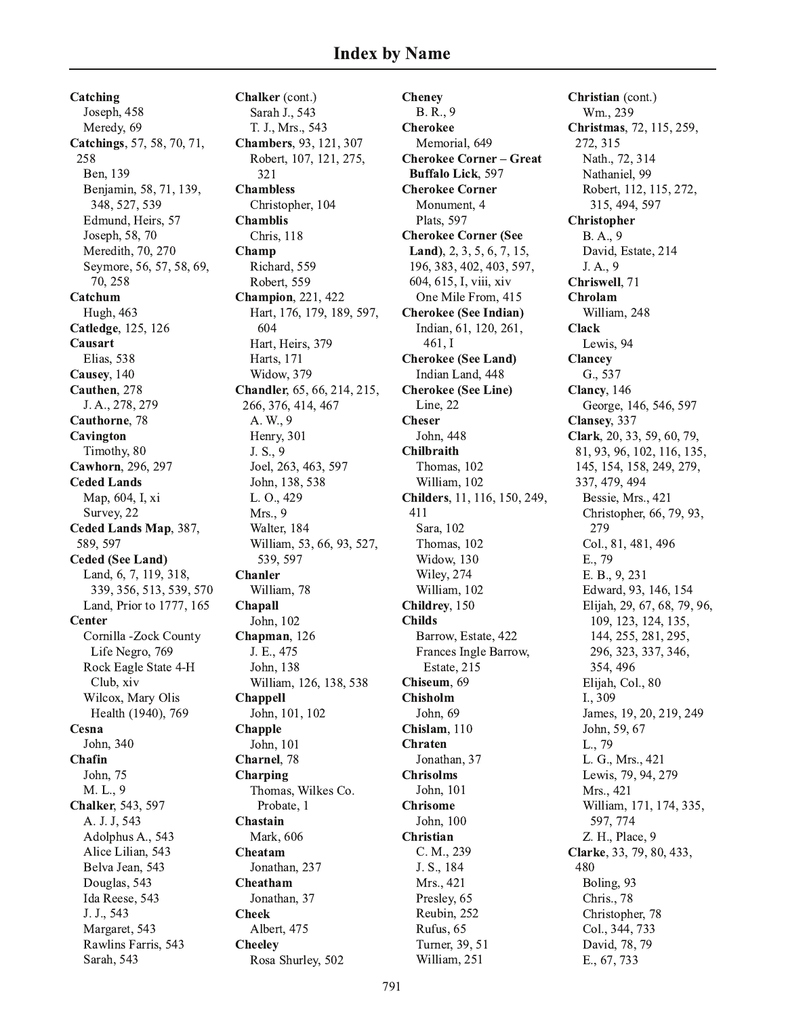Catching Joseph, 458 Meredy, 69 Catchings, 57, 58, 70, 71, 258 Ben. 139 Benjamin, 58, 71, 139, 348, 527, 539 Edmund, Heirs, 57 Joseph, 58, 70 Meredith, 70, 270 Seymore, 56, 57, 58, 69, 70.258 Catchum Hugh, 463 Catledge, 125, 126 Causart Elias, 538 Causey, 140 Cauthen, 278 J. A., 278, 279 Cauthorne, 78 Cavington Timothy, 80 Cawhorn, 296, 297 **Ceded Lands** Map, 604, I, xi Survey, 22 Ceded Lands Map, 387, 589, 597 **Ceded (See Land)** Land, 6, 7, 119, 318, 339, 356, 513, 539, 570 Land, Prior to 1777, 165 Center Cornilla -Zock County Life Negro, 769 Rock Eagle State 4-H Club, xiv Wilcox, Mary Olis Health (1940), 769 Cesna John, 340 Chafin John, 75 M. L., 9 Chalker, 543, 597 A. J. J, 543 Adolphus A., 543 Alice Lilian, 543 Belva Jean, 543 Douglas, 543 Ida Reese, 543 J. J., 543 Margaret, 543 Rawlins Farris, 543 Sarah, 543

Chalker (cont.) Sarah J., 543 T. J., Mrs., 543 Chambers, 93, 121, 307 Robert, 107, 121, 275, 321 **Chambless** Christopher, 104 **Chamblis Chris**, 118 Champ Richard, 559 Robert, 559 **Champion**, 221, 422 Hart, 176, 179, 189, 597, 604 Hart, Heirs, 379 Harts, 171 Widow, 379 Chandler, 65, 66, 214, 215, 266, 376, 414, 467 A. W., 9 Henry, 301 J. S., 9 Joel, 263, 463, 597 John, 138, 538 L. O., 429 Mrs., 9 Walter, 184 William, 53, 66, 93, 527, 539, 597 **Chanler** William, 78 **Chapall** John, 102 Chapman, 126 J. E., 475 John, 138 William, 126, 138, 538 **Chappell** John, 101, 102 **Chapple** John, 101 Charnel, 78 Charping Thomas, Wilkes Co. Probate, 1 Chastain Mark, 606 Cheatam Jonathan, 237 Cheatham Jonathan, 37 **Cheek** Albert, 475 **Cheeley** Rosa Shurley, 502

**Cheney** B. R., 9 **Cherokee** Memorial, 649 **Cherokee Corner - Great Buffalo Lick. 597 Cherokee Corner** Monument, 4 Plats, 597 **Cherokee Corner (See** Land), 2, 3, 5, 6, 7, 15, 196, 383, 402, 403, 597, 604, 615, I, viii, xiv One Mile From, 415 **Cherokee (See Indian)** Indian, 61, 120, 261,  $461.1$ **Cherokee (See Land)** Indian Land, 448 **Cherokee (See Line)** Line, 22 **Cheser** John, 448 **Chilbraith** Thomas, 102 William, 102 Childers, 11, 116, 150, 249, 411 Sara, 102 Thomas, 102 Widow, 130 Wiley, 274 William, 102 Childrey, 150 **Childs** Barrow, Estate, 422 Frances Ingle Barrow, Estate, 215 Chiseum. 69 **Chisholm** John, 69 Chislam, 110 **Chraten** Jonathan, 37 **Chrisolms** John. 101 **Chrisome** John, 100 Christian C. M., 239 J. S., 184 Mrs., 421 Presley, 65 Reubin, 252 Rufus, 65 Turner, 39, 51 William, 251

Christian (cont.) Wm., 239 Christmas, 72, 115, 259, 272, 315 Nath., 72, 314 Nathaniel, 99 Robert, 112, 115, 272, 315, 494, 597 **Christopher** B.A., 9 David, Estate, 214 J.A., 9 Chriswell, 71 Chrolam William, 248 **Clack** Lewis, 94 **Clancey** G., 537 Clancy, 146 George, 146, 546, 597 Clansey, 337 Clark, 20, 33, 59, 60, 79, 81, 93, 96, 102, 116, 135, 145, 154, 158, 249, 279, 337, 479, 494 Bessie, Mrs., 421 Christopher, 66, 79, 93, 279 Col., 81, 481, 496 E., 79 E. B., 9, 231 Edward, 93, 146, 154 Elijah, 29, 67, 68, 79, 96, 109, 123, 124, 135, 144, 255, 281, 295, 296, 323, 337, 346, 354, 496 Elijah, Col., 80 I., 309 James, 19, 20, 219, 249 John, 59, 67 L., 79 L. G., Mrs., 421 Lewis, 79, 94, 279 Mrs., 421 William, 171, 174, 335, 597, 774 Z. H., Place, 9 Clarke, 33, 79, 80, 433, 480 Boling, 93 Chris., 78 Christopher, 78 Col., 344, 733 David, 78, 79 E., 67, 733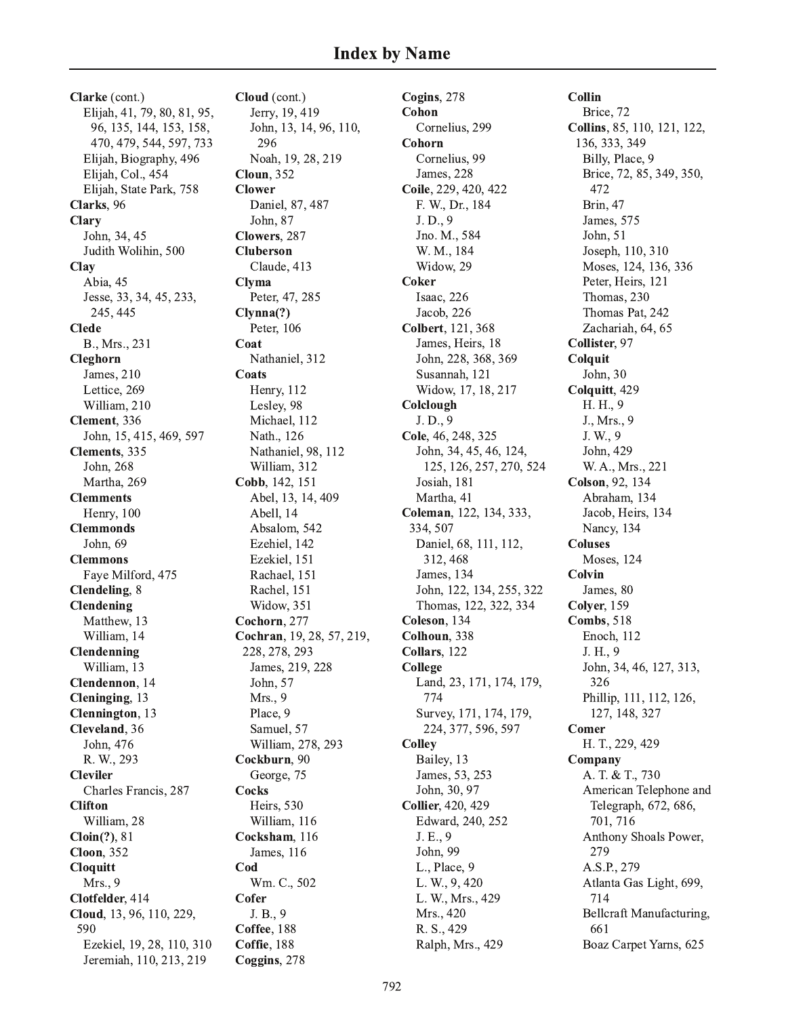Clarke (cont.) Elijah, 41, 79, 80, 81, 95, 96, 135, 144, 153, 158, 470, 479, 544, 597, 733 Elijah, Biography, 496 Elijah, Col., 454 Elijah, State Park, 758 Clarks, 96 **Clary** John, 34, 45 Judith Wolihin, 500 Clay Abia, 45 Jesse, 33, 34, 45, 233, 245, 445 **Clede** B., Mrs., 231 Cleghorn James, 210 Lettice, 269 William, 210 Clement. 336 John, 15, 415, 469, 597 Clements, 335 John, 268 Martha, 269 **Clemments** Henry, 100 **Clemmonds** John, 69 **Clemmons** Faye Milford, 475 Clendeling, 8 Clendening Matthew, 13 William, 14 Clendenning William, 13 Clendennon, 14 Cleninging, 13 Clennington, 13 Cleveland, 36 John, 476 R. W., 293 **Cleviler** Charles Francis, 287 **Clifton** William, 28  $Cloin(?)$ , 81 **Cloon**, 352 **Cloquitt** Mrs., 9 Clotfelder, 414 Cloud, 13, 96, 110, 229, 590 Ezekiel, 19, 28, 110, 310 Jeremiah, 110, 213, 219

Cloud (cont.) Jerry, 19, 419 John, 13, 14, 96, 110, 296 Noah, 19, 28, 219 **Cloun**, 352 **Clower** Daniel, 87, 487 John, 87 Clowers, 287 **Cluberson** Claude, 413 **Clyma** Peter, 47, 285  $Clynna(?)$ Peter, 106 Coat Nathaniel, 312 Coats **Henry**, 112 Lesley, 98 Michael, 112 Nath., 126 Nathaniel, 98, 112 William, 312 Cobb, 142, 151 Abel, 13, 14, 409 Abell, 14 Absalom, 542 Ezehiel, 142 Ezekiel, 151 Rachael, 151 Rachel, 151 Widow, 351 Cochorn, 277 Cochran, 19, 28, 57, 219, 228, 278, 293 James, 219, 228 John, 57 Mrs., 9 Place, 9 Samuel, 57 William, 278, 293 Cockburn, 90 George, 75 **Cocks** Heirs, 530 William, 116 Cocksham, 116 James, 116 Cod Wm. C., 502 Cofer J. B., 9 Coffee, 188 Coffie, 188 Coggins, 278

Cogins, 278 Cohon Cornelius, 299 Cohorn Cornelius, 99 **James**, 228 Coile, 229, 420, 422 F. W., Dr., 184 J.D., 9 Jno. M., 584 W. M., 184 Widow, 29 **Coker** Isaac, 226 Jacob, 226 Colbert, 121, 368 James, Heirs, 18 John, 228, 368, 369 Susannah, 121 Widow, 17, 18, 217 Colclough J.D., 9 Cole, 46, 248, 325 John, 34, 45, 46, 124, 125, 126, 257, 270, 524 Josiah, 181 Martha, 41 Coleman, 122, 134, 333, 334, 507 Daniel, 68, 111, 112, 312, 468 James, 134 John, 122, 134, 255, 322 Thomas, 122, 322, 334 Coleson. 134 Colhoun, 338 Collars, 122 College Land, 23, 171, 174, 179, 774 Survey, 171, 174, 179, 224, 377, 596, 597 **Colley** Bailey, 13 James, 53, 253 John, 30, 97 **Collier**, 420, 429 Edward, 240, 252 J. E., 9 John, 99 L., Place, 9 L. W., 9, 420 L. W., Mrs., 429 Mrs., 420 R. S., 429 Ralph, Mrs., 429

Collin Brice, 72 Collins, 85, 110, 121, 122, 136, 333, 349 Billy, Place, 9 Brice, 72, 85, 349, 350, 472 **Brin**, 47 James, 575 John, 51 Joseph, 110, 310 Moses, 124, 136, 336 Peter, Heirs, 121 Thomas, 230 Thomas Pat. 242 Zachariah, 64, 65 Collister, 97 Colquit John, 30 Colquitt, 429 H. H., 9 J., Mrs., 9 J. W., 9 John, 429 W. A., Mrs., 221 Colson, 92, 134 Abraham, 134 Jacob, Heirs, 134 Nancy, 134 **Coluses Moses**, 124 Colvin James, 80 Colver, 159 **Combs, 518** Enoch, 112 J. H., 9 John, 34, 46, 127, 313, 326 Phillip, 111, 112, 126, 127, 148, 327 Comer H. T., 229, 429 Company A. T. & T., 730 American Telephone and Telegraph, 672, 686, 701, 716 Anthony Shoals Power, 279 A.S.P., 279 Atlanta Gas Light, 699, 714 Bellcraft Manufacturing, 661 Boaz Carpet Yarns, 625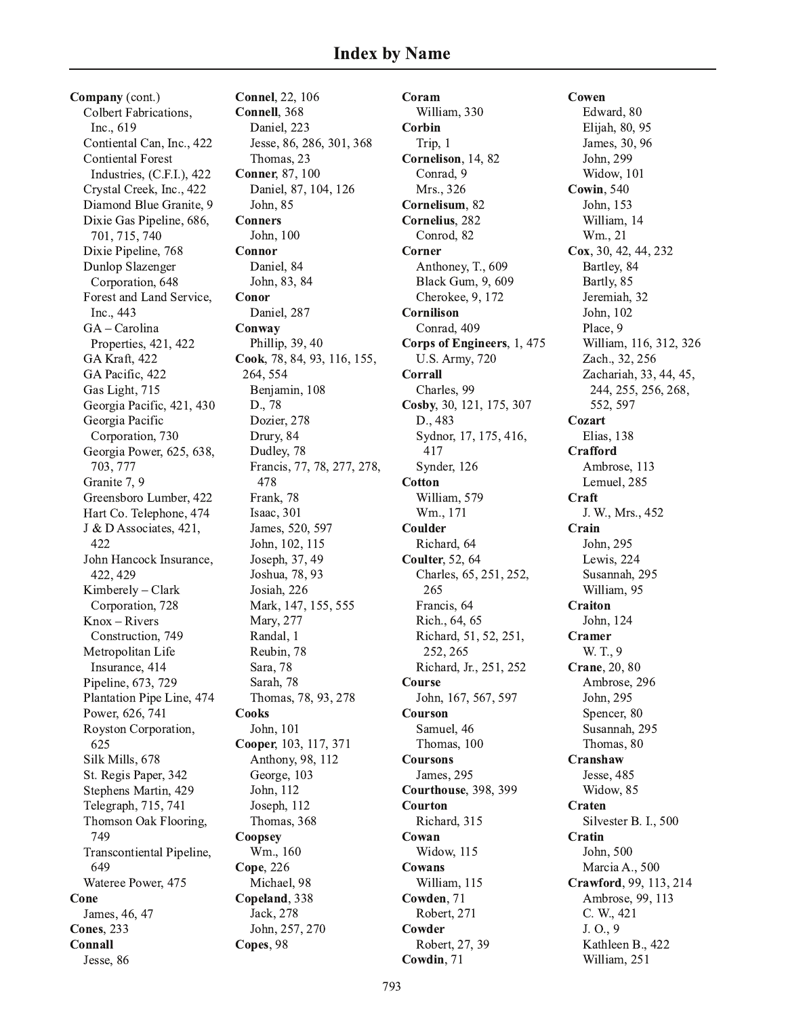Company (cont.) Colbert Fabrications, Inc., 619 Contiental Can, Inc., 422 **Contiental Forest** Industries, (C.F.I.), 422 Crystal Creek, Inc., 422 Diamond Blue Granite, 9 Dixie Gas Pipeline, 686, 701, 715, 740 Dixie Pipeline, 768 Dunlop Slazenger Corporation, 648 Forest and Land Service, Inc., 443  $GA - Carolina$ Properties, 421, 422 GA Kraft, 422 GA Pacific, 422 Gas Light, 715 Georgia Pacific, 421, 430 Georgia Pacific Corporation, 730 Georgia Power, 625, 638, 703, 777 Granite 7, 9 Greensboro Lumber, 422 Hart Co. Telephone, 474 J & D Associates, 421, 422 John Hancock Insurance, 422, 429 Kimberely - Clark Corporation, 728  $Knox - Rivers$ Construction, 749 Metropolitan Life Insurance, 414 Pipeline, 673, 729 Plantation Pipe Line, 474 Power, 626, 741 Royston Corporation, 625 Silk Mills, 678 St. Regis Paper, 342 Stephens Martin, 429 Telegraph, 715, 741 Thomson Oak Flooring, 749 Transcontiental Pipeline, 649 Wateree Power, 475 Cone James, 46, 47 **Cones. 233** Connall Jesse, 86

**Connel**, 22, 106 Connell, 368 Daniel, 223 Jesse, 86, 286, 301, 368 Thomas, 23 **Conner, 87, 100** Daniel, 87, 104, 126 John, 85 **Conners** John, 100 Connor Daniel, 84 John, 83, 84 Conor Daniel, 287 Conway Phillip, 39, 40 Cook, 78, 84, 93, 116, 155, 264, 554 Benjamin, 108 D., 78 Dozier, 278 Drury, 84 Dudley, 78 Francis, 77, 78, 277, 278, 478 Frank, 78 Isaac. 301 James, 520, 597 John, 102, 115 Joseph, 37, 49 Joshua, 78, 93 Josiah, 226 Mark, 147, 155, 555 Mary, 277 Randal, 1 Reubin, 78 Sara, 78 Sarah, 78 Thomas, 78, 93, 278 **Cooks** John, 101 Cooper, 103, 117, 371 Anthony, 98, 112 George, 103 John, 112 Joseph, 112 Thomas, 368 Coopsey Wm., 160 Cope, 226 Michael, 98 Copeland, 338 Jack, 278 John, 257, 270 Copes, 98

Coram William, 330 Corbin Trip, 1 Cornelison, 14, 82 Conrad. 9 Mrs., 326 Cornelisum, 82 Cornelius, 282 Conrod, 82 Corner Anthoney, T., 609 **Black Gum, 9, 609** Cherokee, 9, 172 Cornilison Conrad, 409 Corps of Engineers, 1, 475 **U.S. Army, 720** Corrall Charles, 99 Cosby, 30, 121, 175, 307 D., 483 Sydnor, 17, 175, 416, 417 Synder, 126 **Cotton** William, 579 Wm., 171 Coulder Richard, 64 **Coulter, 52, 64** Charles, 65, 251, 252, 265 Francis, 64 Rich., 64, 65 Richard, 51, 52, 251, 252, 265 Richard, Jr., 251, 252 Course John, 167, 567, 597 Courson Samuel, 46 Thomas, 100 **Coursons** James, 295 Courthouse, 398, 399 Courton Richard, 315 Cowan Widow, 115 Cowans William, 115 Cowden, 71 Robert, 271 Cowder Robert, 27, 39 Cowdin, 71

Cowen Edward, 80 Elijah, 80, 95 James, 30, 96 John. 299 Widow, 101 **Cowin**, 540 John, 153 William, 14 Wm., 21 Cox, 30, 42, 44, 232 Bartley, 84 Bartly, 85 Jeremiah, 32 John, 102 Place, 9 William, 116, 312, 326 Zach., 32, 256 Zachariah, 33, 44, 45, 244, 255, 256, 268, 552.597 Cozart Elias, 138 **Crafford** Ambrose, 113 Lemuel, 285 Craft J. W., Mrs., 452 Crain John, 295 Lewis, 224 Susannah, 295 William, 95 Craiton John, 124 Cramer W. T., 9 Crane, 20, 80 Ambrose, 296 John, 295 Spencer, 80 Susannah, 295 Thomas, 80 Cranshaw Jesse, 485 Widow, 85 Craten Silvester B. I., 500 Cratin John. 500 Marcia A., 500 Crawford, 99, 113, 214 Ambrose, 99, 113 C. W., 421  $J. O.9$ Kathleen B., 422 William, 251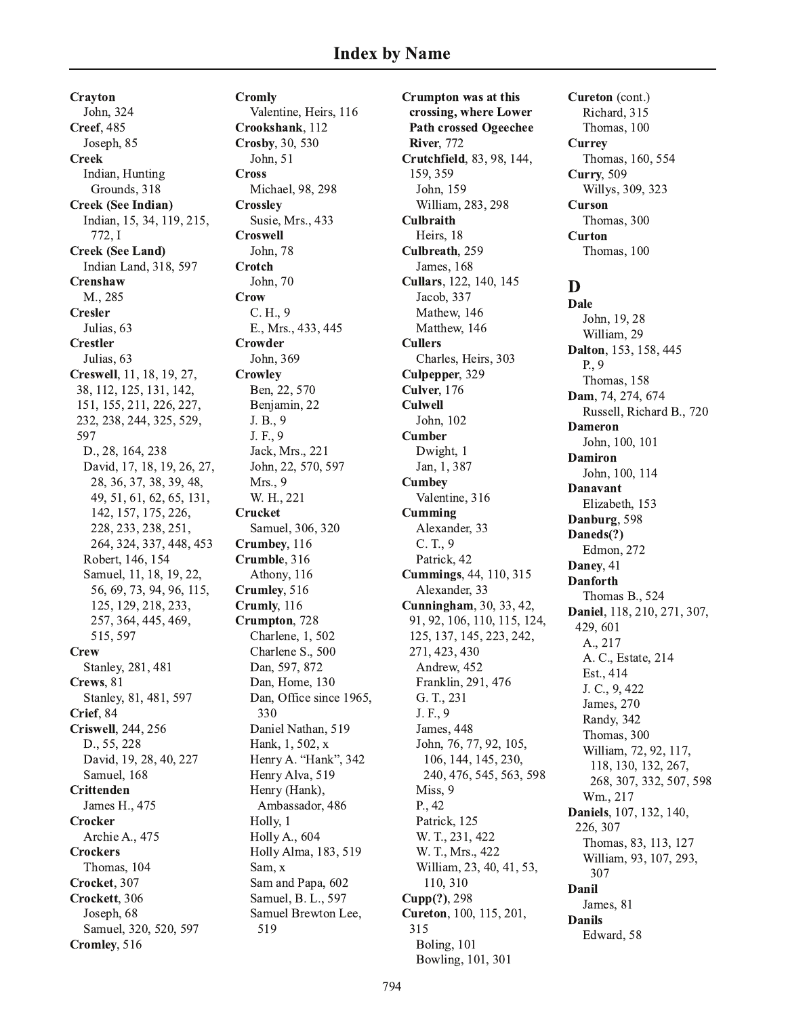Crayton John. 324 **Creef**, 485 Joseph, 85 **Creek** Indian, Hunting Grounds, 318 **Creek (See Indian)** Indian, 15, 34, 119, 215, 772.I **Creek (See Land)** Indian Land, 318, 597 Crenshaw M., 285 Cresler Julias, 63 **Crestler** Julias, 63 Creswell, 11, 18, 19, 27, 38, 112, 125, 131, 142, 151, 155, 211, 226, 227, 232, 238, 244, 325, 529, 597 D., 28, 164, 238 David, 17, 18, 19, 26, 27, 28, 36, 37, 38, 39, 48, 49, 51, 61, 62, 65, 131, 142, 157, 175, 226, 228, 233, 238, 251, 264, 324, 337, 448, 453 Robert, 146, 154 Samuel, 11, 18, 19, 22, 56, 69, 73, 94, 96, 115, 125, 129, 218, 233, 257, 364, 445, 469, 515, 597 **Crew** Stanley, 281, 481 Crews, 81 Stanley, 81, 481, 597 Crief, 84 Criswell, 244, 256 D., 55, 228 David, 19, 28, 40, 227 Samuel, 168 **Crittenden** James H., 475 Crocker Archie A., 475 **Crockers** Thomas, 104 Crocket, 307 Crockett, 306 Joseph, 68 Samuel, 320, 520, 597 Cromley, 516

**Cromly** Valentine, Heirs, 116 Crookshank, 112 Crosby, 30, 530 John, 51 **Cross** Michael, 98, 298 **Crossley** Susie, Mrs., 433 **Croswell** John. 78 Crotch John, 70 **Crow**  $C. H., 9$ E., Mrs., 433, 445 Crowder John, 369 **Crowley** Ben, 22, 570 Benjamin, 22 J.B., 9 J. F., 9 Jack, Mrs., 221 John, 22, 570, 597 Mrs., 9 W. H., 221 Crucket Samuel, 306, 320 Crumbey, 116 Crumble, 316 Athony, 116 Crumley, 516 Crumly, 116 Crumpton, 728 Charlene, 1, 502 Charlene S., 500 Dan, 597, 872 Dan, Home, 130 Dan, Office since 1965, 330 Daniel Nathan, 519 Hank, 1, 502, x Henry A. "Hank", 342 Henry Alva, 519 Henry (Hank), Ambassador, 486 Holly, 1 **Holly A., 604** Holly Alma, 183, 519 Sam, x Sam and Papa, 602 Samuel, B. L., 597 Samuel Brewton Lee, 519

Crumpton was at this crossing, where Lower **Path crossed Ogeechee River, 772** Crutchfield, 83, 98, 144, 159, 359 John, 159 William, 283, 298 **Culbraith** Heirs, 18 Culbreath. 259 James, 168 Cullars, 122, 140, 145 Jacob, 337 Mathew, 146 Matthew, 146 **Cullers** Charles, Heirs, 303 Culpepper, 329 Culver, 176 **Culwell** John. 102 **Cumber** Dwight, 1 Jan, 1, 387 **Cumbey** Valentine, 316 Cumming Alexander, 33  $C. T., 9$ Patrick, 42 **Cummings**, 44, 110, 315 Alexander, 33 **Cunningham**, 30, 33, 42, 91, 92, 106, 110, 115, 124, 125, 137, 145, 223, 242, 271, 423, 430 Andrew, 452 Franklin, 291, 476 G. T., 231 J. F., 9 James, 448 John, 76, 77, 92, 105, 106, 144, 145, 230, 240, 476, 545, 563, 598 Miss, 9 P., 42 Patrick, 125 W. T., 231, 422 W. T., Mrs., 422 William, 23, 40, 41, 53, 110, 310 Cupp(?), 298 Cureton, 100, 115, 201, 315 Boling, 101 Bowling, 101, 301

Cureton (cont.) Richard, 315 Thomas, 100 **Currey** Thomas, 160, 554 **Curry**, 509 Willys, 309, 323 **Curson** Thomas, 300 **Curton** Thomas, 100

D **Dale** John, 19, 28 William, 29 Dalton, 153, 158, 445  $P_{\cdot}$ , 9 Thomas, 158 Dam, 74, 274, 674 Russell, Richard B., 720 **Dameron** John, 100, 101 **Damiron** John, 100, 114 Danavant Elizabeth, 153 Danburg, 598 Daneds(?) Edmon, 272 Daney, 41 **Danforth** Thomas B., 524 Daniel, 118, 210, 271, 307, 429,601 A., 217 A. C., Estate, 214 Est., 414 J. C., 9, 422 James, 270 Randy, 342 Thomas, 300 William, 72, 92, 117, 118, 130, 132, 267, 268, 307, 332, 507, 598 Wm., 217 Daniels, 107, 132, 140, 226, 307 Thomas, 83, 113, 127 William, 93, 107, 293, 307 Danil James, 81 **Danils** Edward, 58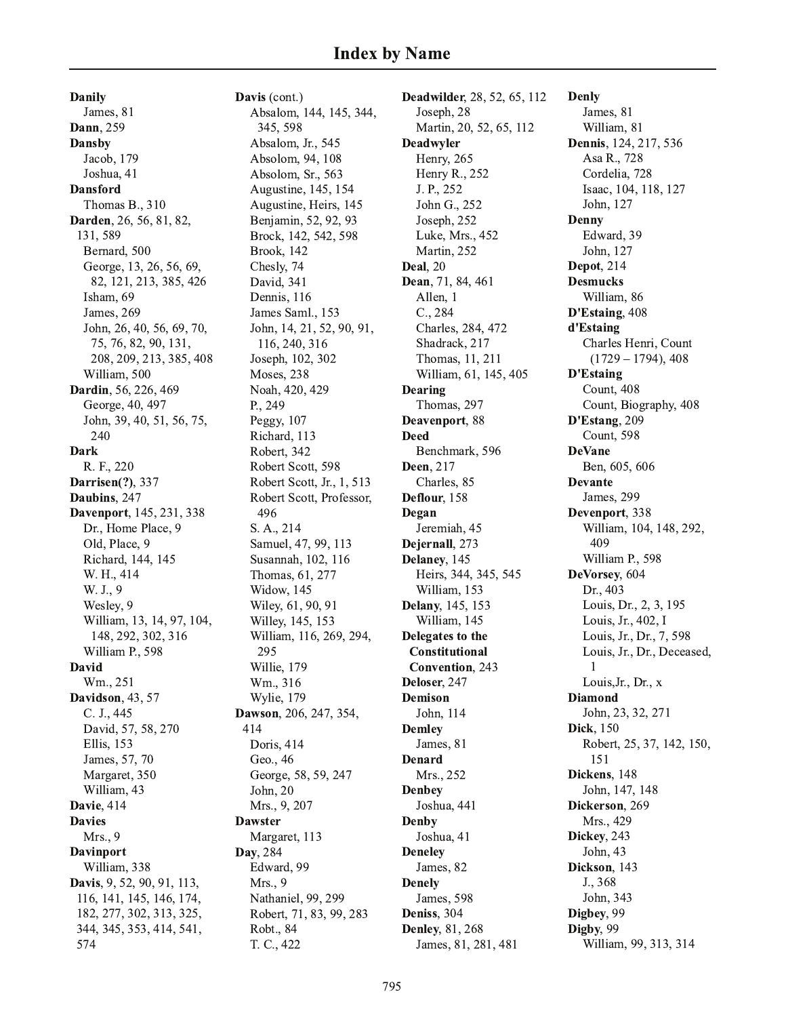**Danily** James, 81 Dann, 259 **Dansby** Jacob, 179 Joshua, 41 **Dansford** Thomas B., 310 Darden, 26, 56, 81, 82, 131,589 Bernard, 500 George, 13, 26, 56, 69, 82, 121, 213, 385, 426 Isham, 69 James, 269 John, 26, 40, 56, 69, 70, 75, 76, 82, 90, 131, 208, 209, 213, 385, 408 William, 500 Dardin, 56, 226, 469 George, 40, 497 John, 39, 40, 51, 56, 75, 240 **Dark** R. F., 220 **Darrisen(?), 337** Daubins, 247 Davenport, 145, 231, 338 Dr., Home Place, 9 Old, Place, 9 Richard, 144, 145 W. H., 414 W. J., 9 Wesley, 9 William, 13, 14, 97, 104, 148, 292, 302, 316 William P., 598 David Wm., 251 **Davidson**, 43, 57 C. J., 445 David, 57, 58, 270 **Ellis**, 153 James, 57, 70 Margaret, 350 William, 43 Davie, 414 **Davies** Mrs., 9 **Davinport** William, 338 Davis, 9, 52, 90, 91, 113, 116, 141, 145, 146, 174, 182, 277, 302, 313, 325, 344, 345, 353, 414, 541, 574

Davis (cont.) Absalom, 144, 145, 344, 345, 598 Absalom, Jr., 545 Absolom, 94, 108 Absolom, Sr., 563 Augustine, 145, 154 Augustine, Heirs, 145 Benjamin, 52, 92, 93 Brock, 142, 542, 598 **Brook**, 142 Chesly, 74 David, 341 Dennis, 116 James Saml., 153 John, 14, 21, 52, 90, 91, 116, 240, 316 Joseph, 102, 302 Moses, 238 Noah, 420, 429 P., 249 Peggy, 107 Richard, 113 Robert, 342 Robert Scott, 598 Robert Scott, Jr., 1, 513 Robert Scott, Professor, 496 S. A., 214 Samuel, 47, 99, 113 Susannah, 102, 116 Thomas, 61, 277 Widow, 145 Wiley, 61, 90, 91 Willey, 145, 153 William, 116, 269, 294, 295 Willie, 179 Wm., 316 Wylie, 179 Dawson, 206, 247, 354, 414 Doris, 414 Geo., 46 George, 58, 59, 247 John, 20 Mrs., 9, 207 **Dawster** Margaret, 113 Day, 284 Edward, 99 Mrs., 9 Nathaniel, 99, 299 Robert, 71, 83, 99, 283 Robt., 84 T. C., 422

Deadwilder, 28, 52, 65, 112 Joseph, 28 Martin, 20, 52, 65, 112 **Deadwyler** Henry, 265 Henry R., 252 J. P., 252 John G., 252 Joseph, 252 Luke, Mrs., 452 Martin, 252 **Deal**, 20 Dean, 71, 84, 461 Allen, 1  $C., 284$ Charles, 284, 472 Shadrack, 217 Thomas, 11, 211 William, 61, 145, 405 Dearing Thomas, 297 Deavenport, 88 **Deed** Benchmark, 596 Deen, 217 Charles, 85 Deflour, 158 Degan Jeremiah, 45 Dejernall, 273 Delaney, 145 Heirs, 344, 345, 545 William, 153 Delany, 145, 153 William, 145 Delegates to the Constitutional Convention, 243 Deloser, 247 **Demison** John, 114 **Demley** James, 81 **Denard** Mrs., 252 **Denbey** Joshua, 441 Denby Joshua, 41 **Deneley** James, 82 **Denely** James, 598 Deniss, 304 **Denley**, 81, 268 James, 81, 281, 481

**Denly** James, 81 William, 81 Dennis, 124, 217, 536 Asa R., 728 Cordelia, 728 Isaac, 104, 118, 127 John, 127 **Denny** Edward, 39 John, 127 Depot, 214 **Desmucks** William, 86 D'Estaing, 408 d'Estaing Charles Henri, Count  $(1729 - 1794), 408$ **D'Estaing** Count, 408 Count, Biography, 408 D'Estang, 209 Count, 598 **DeVane** Ben, 605, 606 **Devante** James, 299 Devenport, 338 William, 104, 148, 292, 409 William P., 598 DeVorsey, 604 Dr., 403 Louis, Dr., 2, 3, 195 Louis, Jr., 402, I Louis, Jr., Dr., 7, 598 Louis, Jr., Dr., Deceased,  $\mathbf{1}$ Louis, Jr., Dr., x **Diamond** John, 23, 32, 271 Dick, 150 Robert, 25, 37, 142, 150, 151 Dickens, 148 John, 147, 148 Dickerson, 269 Mrs., 429 Dickey, 243 John, 43 Dickson, 143 J., 368 John, 343 Digbey, 99 Digby, 99 William, 99, 313, 314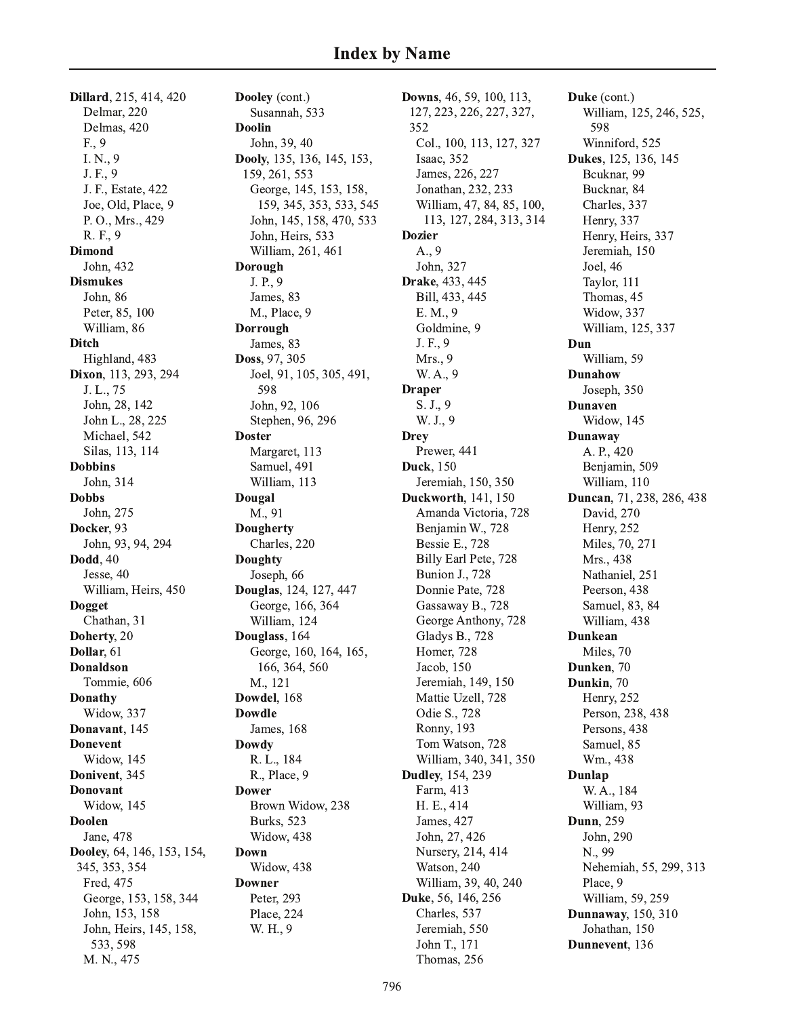Dillard, 215, 414, 420 Delmar, 220 Delmas, 420 F., 9 I. N., 9 J. F., 9 J. F., Estate, 422 Joe, Old, Place, 9 P. O., Mrs., 429 R. F., 9 **Dimond** John, 432 **Dismukes** John, 86 Peter, 85, 100 William, 86 **Ditch** Highland, 483 Dixon, 113, 293, 294 J. L., 75 John, 28, 142 John L., 28, 225 Michael, 542 Silas, 113, 114 **Dobbins** John, 314 **Dobbs** John, 275 Docker, 93 John, 93, 94, 294 **Dodd**, 40 Jesse, 40 William, Heirs, 450 **Dogget** Chathan, 31 Doherty, 20 Dollar, 61 **Donaldson** Tommie, 606 **Donathy** Widow, 337 Donavant, 145 **Donevent** Widow, 145 Donivent, 345 **Donovant** Widow, 145 **Doolen** Jane, 478 Dooley, 64, 146, 153, 154, 345, 353, 354 Fred, 475 George, 153, 158, 344 John, 153, 158 John, Heirs, 145, 158, 533, 598 M. N., 475

Dooley (cont.) Susannah, 533 **Doolin** John, 39, 40 Dooly, 135, 136, 145, 153, 159, 261, 553 George, 145, 153, 158, 159, 345, 353, 533, 545 John, 145, 158, 470, 533 John, Heirs, 533 William, 261, 461 **Dorough** J. P., 9 James, 83 M., Place, 9 Dorrough James, 83 Doss, 97, 305 Joel, 91, 105, 305, 491, 598 John, 92, 106 Stephen, 96, 296 **Doster** Margaret, 113 Samuel, 491 William, 113 Dougal M., 91 **Dougherty** Charles, 220 **Doughty** Joseph, 66 Douglas, 124, 127, 447 George, 166, 364 William, 124 Douglass, 164 George, 160, 164, 165, 166, 364, 560 M., 121 Dowdel, 168 **Dowdle** James, 168 **Dowdy** R. L., 184 R., Place, 9 **Dower** Brown Widow, 238 **Burks**, 523 Widow, 438 Down Widow, 438 **Downer** Peter, 293 Place, 224 W. H., 9

Downs, 46, 59, 100, 113, 127, 223, 226, 227, 327, 352 Col., 100, 113, 127, 327 Isaac, 352 James, 226, 227 Jonathan, 232, 233 William, 47, 84, 85, 100, 113, 127, 284, 313, 314 **Dozier** A., 9 John, 327 Drake, 433, 445 Bill, 433, 445 E. M., 9 Goldmine, 9 J. F., 9 Mrs., 9 W. A., 9 **Draper** S. J., 9 W. J., 9 **Drey** Prewer, 441 **Duck**, 150 Jeremiah, 150, 350 Duckworth, 141, 150 Amanda Victoria, 728 Benjamin W., 728 **Bessie E., 728** Billy Earl Pete, 728 **Bunion J., 728** Donnie Pate, 728 Gassaway B., 728 George Anthony, 728 Gladys B., 728 Homer, 728 Jacob, 150 Jeremiah, 149, 150 Mattie Uzell, 728 Odie S., 728 Ronny, 193 Tom Watson, 728 William, 340, 341, 350 **Dudley**, 154, 239 Farm, 413 H. E., 414 James, 427 John, 27, 426 Nursery, 214, 414 Watson, 240 William, 39, 40, 240 Duke, 56, 146, 256 Charles, 537 Jeremiah. 550 John T., 171

Duke (cont.) William, 125, 246, 525, 598 Winniford, 525 **Dukes**, 125, 136, 145 Bcuknar, 99 Bucknar, 84 Charles, 337 Henry, 337 Henry, Heirs, 337 Jeremiah, 150 Joel, 46 Taylor, 111 Thomas, 45 Widow, 337 William, 125, 337 Dun William, 59 **Dunahow** Joseph, 350 **Dunaven** Widow, 145 **Dunaway** A. P., 420 Benjamin, 509 William, 110 **Duncan**, 71, 238, 286, 438 David, 270 Henry, 252 Miles, 70, 271 Mrs., 438 Nathaniel, 251 Peerson, 438 Samuel, 83, 84 William, 438 **Dunkean** Miles, 70 Dunken, 70 Dunkin, 70 Henry, 252 Person, 238, 438 Persons, 438 Samuel, 85 Wm., 438 **Dunlap** W. A., 184 William, 93 **Dunn**, 259 John, 290 N., 99 Nehemiah, 55, 299, 313 Place, 9 William, 59, 259 **Dunnaway**, 150, 310 Johathan, 150 Dunnevent, 136

Thomas, 256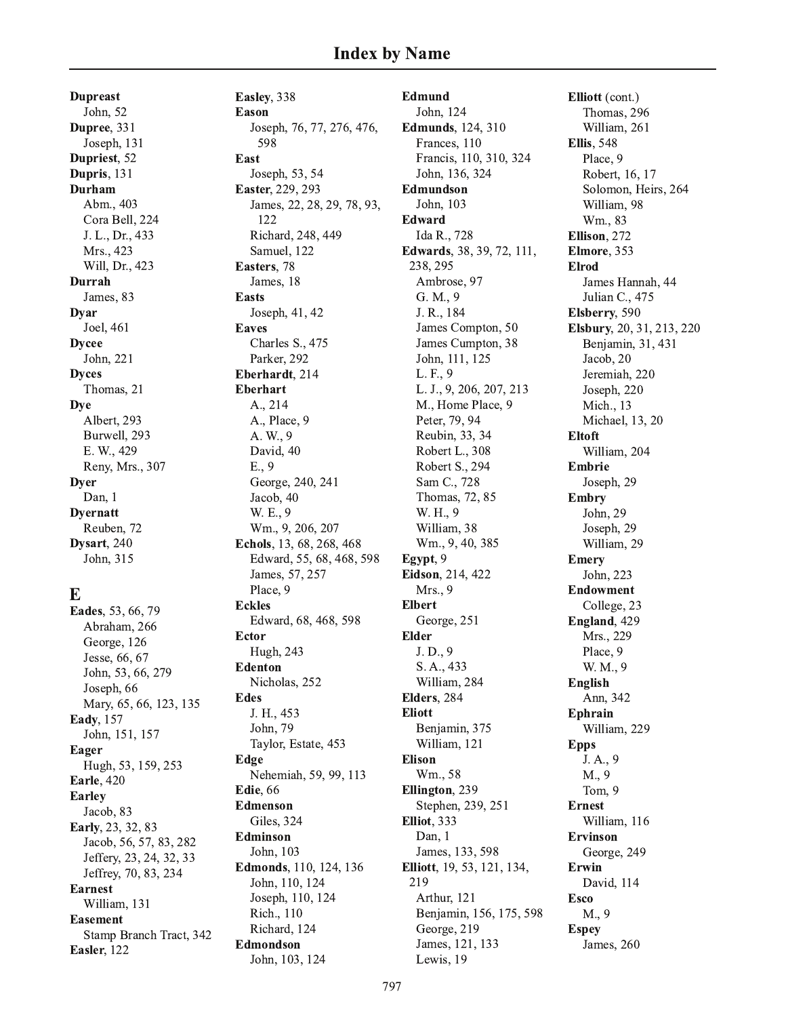**Dupreast** John, 52 Dupree, 331 Joseph, 131 Dupriest, 52 Dupris, 131 **Durham** Abm., 403 Cora Bell, 224 J. L., Dr., 433 Mrs., 423 Will, Dr., 423 **Durrah** James, 83 **Dyar** Joel, 461 **Dycee** John, 221 **Dyces** Thomas, 21 **Dye** Albert, 293 Burwell, 293 E. W., 429 Reny, Mrs., 307 **Dyer** Dan, 1 **Dyernatt** Reuben, 72 Dysart, 240 John, 315

## E

Eades, 53, 66, 79 Abraham, 266 George, 126 Jesse, 66, 67 John, 53, 66, 279 Joseph, 66 Mary, 65, 66, 123, 135 Eady, 157 John, 151, 157 Eager Hugh, 53, 159, 253 **Earle**, 420 **Earley** Jacob, 83 Early, 23, 32, 83 Jacob, 56, 57, 83, 282 Jeffery, 23, 24, 32, 33 Jeffrey, 70, 83, 234 **Earnest** William, 131 **Easement** Stamp Branch Tract, 342 Easler, 122

Easley, 338 **Eason** Joseph, 76, 77, 276, 476, 598 East Joseph, 53, 54 Easter, 229, 293 James, 22, 28, 29, 78, 93, 122 Richard, 248, 449 Samuel. 122 Easters, 78 James, 18 **Easts** Joseph, 41, 42 **Eaves** Charles S., 475 Parker, 292 Eberhardt, 214 **Eberhart** A., 214 A., Place, 9 A. W., 9 David, 40  $E., 9$ George, 240, 241 Jacob, 40 W. E., 9 Wm., 9, 206, 207 Echols, 13, 68, 268, 468 Edward, 55, 68, 468, 598 James, 57, 257 Place, 9 **Eckles** Edward, 68, 468, 598 **Ector** Hugh, 243 **Edenton** Nicholas, 252 **Edes** J. H., 453 John, 79 Taylor, Estate, 453 Edge Nehemiah, 59, 99, 113 **Edie**. 66 **Edmenson** Giles, 324 **Edminson** John, 103 Edmonds, 110, 124, 136 John, 110, 124 Joseph, 110, 124 Rich., 110 Richard, 124 Edmondson John, 103, 124

**Edmund** John, 124 **Edmunds**, 124, 310 Frances, 110 Francis, 110, 310, 324 John, 136, 324 **Edmundson** John, 103 Edward Ida R., 728 **Edwards**, 38, 39, 72, 111, 238, 295 Ambrose, 97 G. M., 9 J. R., 184 James Compton, 50 James Cumpton, 38 John, 111, 125 L. F., 9 L. J., 9, 206, 207, 213 M., Home Place, 9 Peter, 79, 94 Reubin, 33, 34 Robert L., 308 Robert S., 294 Sam C., 728 Thomas, 72, 85 W. H., 9 William, 38 Wm., 9, 40, 385 Egypt, 9 Eidson, 214, 422 Mrs., 9 **Elbert** George, 251 **Elder** J.D., 9 S. A., 433 William, 284 Elders, 284 **Eliott** Benjamin, 375 William, 121 **Elison** Wm., 58 Ellington, 239 Stephen, 239, 251 **Elliot**, 333 Dan. 1 James, 133, 598 Elliott, 19, 53, 121, 134, 219 Arthur, 121 Benjamin, 156, 175, 598 George, 219 James, 121, 133 Lewis, 19

Elliott (cont.) Thomas, 296 William, 261 **Ellis**, 548 Place, 9 Robert, 16, 17 Solomon, Heirs, 264 William, 98 Wm., 83 Ellison, 272 Elmore, 353 **Elrod** James Hannah, 44 Julian C., 475 Elsberry, 590 Elsbury, 20, 31, 213, 220 Benjamin, 31, 431 Jacob, 20 Jeremiah, 220 Joseph, 220 Mich., 13 Michael, 13, 20 **Eltoft** William, 204 **Embrie** Joseph, 29 **Embry** John, 29 Joseph, 29 William, 29 **Emery** John, 223 **Endowment** College, 23 England, 429 Mrs., 229 Place, 9 W. M., 9 **English** Ann, 342 **Ephrain** William, 229 **Epps** J.A., 9 M., 9 Tom, 9 **Ernest** William, 116 **Ervinson** George, 249 **Erwin** David, 114 **Esco** M., 9 **Espey** James, 260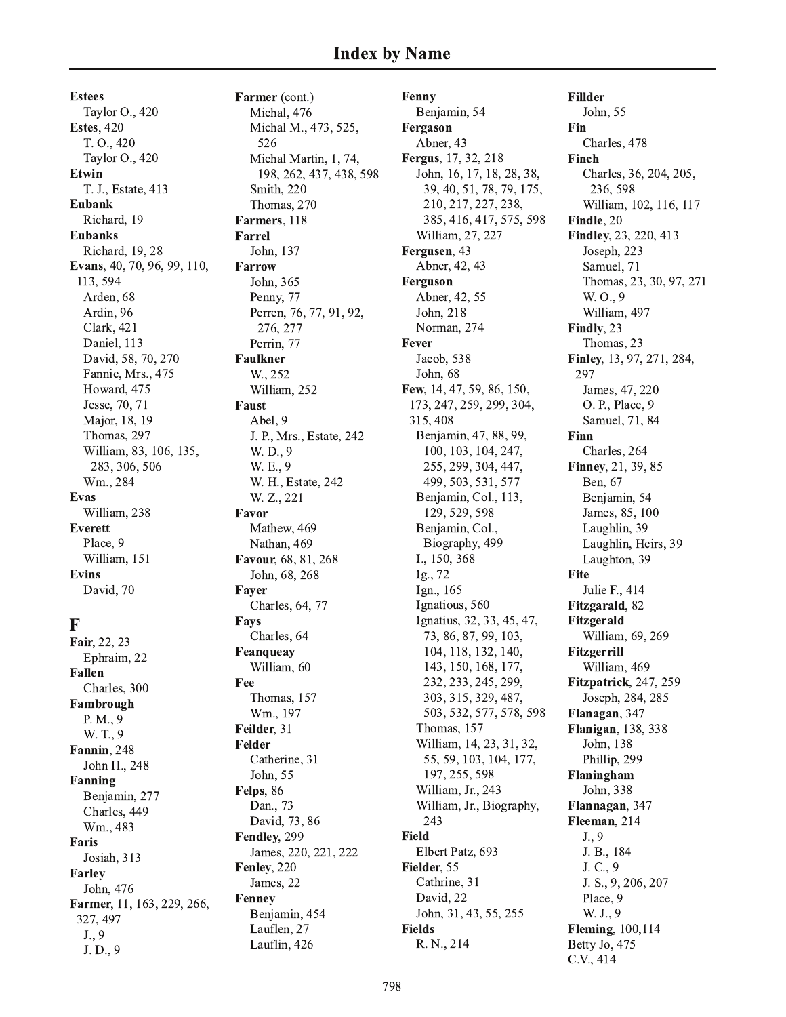**Estees** Taylor O., 420 **Estes, 420** T. O., 420 Taylor O., 420 **Etwin** T. J., Estate, 413 Eubank Richard, 19 **Eubanks** Richard, 19, 28 Evans, 40, 70, 96, 99, 110, 113, 594 Arden, 68 Ardin, 96 **Clark**, 421 Daniel, 113 David, 58, 70, 270 Fannie, Mrs., 475 Howard, 475 Jesse, 70, 71 Major, 18, 19 Thomas, 297 William, 83, 106, 135, 283, 306, 506 Wm., 284 **Evas** William, 238 **Everett** Place, 9 William, 151 **Evins** David, 70

#### $\mathbf F$

Fair, 22, 23 Ephraim, 22 **Fallen** Charles, 300 Fambrough P. M., 9 W. T., 9 Fannin, 248 John H., 248 Fanning Benjamin, 277 Charles, 449 Wm., 483 Faris Josiah, 313 **Farley** John, 476 Farmer, 11, 163, 229, 266, 327, 497  $J., 9$ J.D., 9

Farmer (cont.) Michal, 476 Michal M., 473, 525, 526 Michal Martin, 1, 74, 198, 262, 437, 438, 598 Smith, 220 Thomas, 270 Farmers, 118 **Farrel** John, 137 **Farrow** John, 365 Penny, 77 Perren, 76, 77, 91, 92, 276, 277 Perrin, 77 **Faulkner** W., 252 William, 252 **Faust** Abel. 9 J. P., Mrs., Estate, 242 W. D., 9 W. E., 9 W. H., Estate, 242 W. Z., 221 Favor Mathew, 469 Nathan, 469 Favour, 68, 81, 268 John, 68, 268 Fayer Charles, 64, 77 **Fays** Charles, 64 Feanqueav William, 60 Fee Thomas, 157 Wm., 197 Feilder, 31 **Felder** Catherine, 31 John, 55 Felps, 86 Dan., 73 David, 73, 86 Fendley, 299 James, 220, 221, 222 Fenley, 220 James, 22 **Fenney** Benjamin, 454 Lauflen, 27 Lauflin, 426

Fenny Benjamin, 54 Fergason Abner, 43 Fergus, 17, 32, 218 John, 16, 17, 18, 28, 38, 39, 40, 51, 78, 79, 175, 210, 217, 227, 238, 385, 416, 417, 575, 598 William, 27, 227 Fergusen, 43 Abner, 42, 43 Ferguson Abner, 42, 55 John, 218 Norman, 274 Fever Jacob, 538 John, 68 Few, 14, 47, 59, 86, 150, 173, 247, 259, 299, 304, 315, 408 Benjamin, 47, 88, 99, 100, 103, 104, 247, 255, 299, 304, 447, 499, 503, 531, 577 Benjamin, Col., 113, 129, 529, 598 Benjamin, Col., Biography, 499 I., 150, 368 Ig., 72 Ign., 165 Ignatious, 560 Ignatius, 32, 33, 45, 47, 73, 86, 87, 99, 103, 104, 118, 132, 140, 143, 150, 168, 177, 232, 233, 245, 299, 303, 315, 329, 487, 503, 532, 577, 578, 598 Thomas, 157 William, 14, 23, 31, 32, 55, 59, 103, 104, 177, 197, 255, 598 William, Jr., 243 William, Jr., Biography, 243 **Field** Elbert Patz, 693 Fielder, 55 Cathrine, 31 David, 22 John, 31, 43, 55, 255 **Fields** R. N., 214

**Fillder** John, 55 Fin Charles, 478 **Finch** Charles, 36, 204, 205, 236, 598 William, 102, 116, 117 Findle, 20 Findley, 23, 220, 413 Joseph, 223 Samuel, 71 Thomas, 23, 30, 97, 271 W. O., 9 William, 497 Findly, 23 Thomas, 23 Finley, 13, 97, 271, 284, 297 James, 47, 220 O. P., Place, 9 Samuel, 71, 84 Finn Charles, 264 Finney, 21, 39, 85 Ben, 67 Benjamin, 54 James, 85, 100 Laughlin, 39 Laughlin, Heirs, 39 Laughton, 39 **Fite** Julie F., 414 Fitzgarald, 82 Fitzgerald William, 69, 269 Fitzgerrill William, 469 Fitzpatrick, 247, 259 Joseph, 284, 285 Flanagan, 347 Flanigan, 138, 338 John, 138 Phillip. 299 Flaningham John, 338 Flannagan, 347 Fleeman, 214  $J., 9$ J. B., 184 J. C., 9 J. S., 9, 206, 207 Place, 9 W. J., 9 **Fleming**, 100,114 Betty Jo, 475 C.V., 414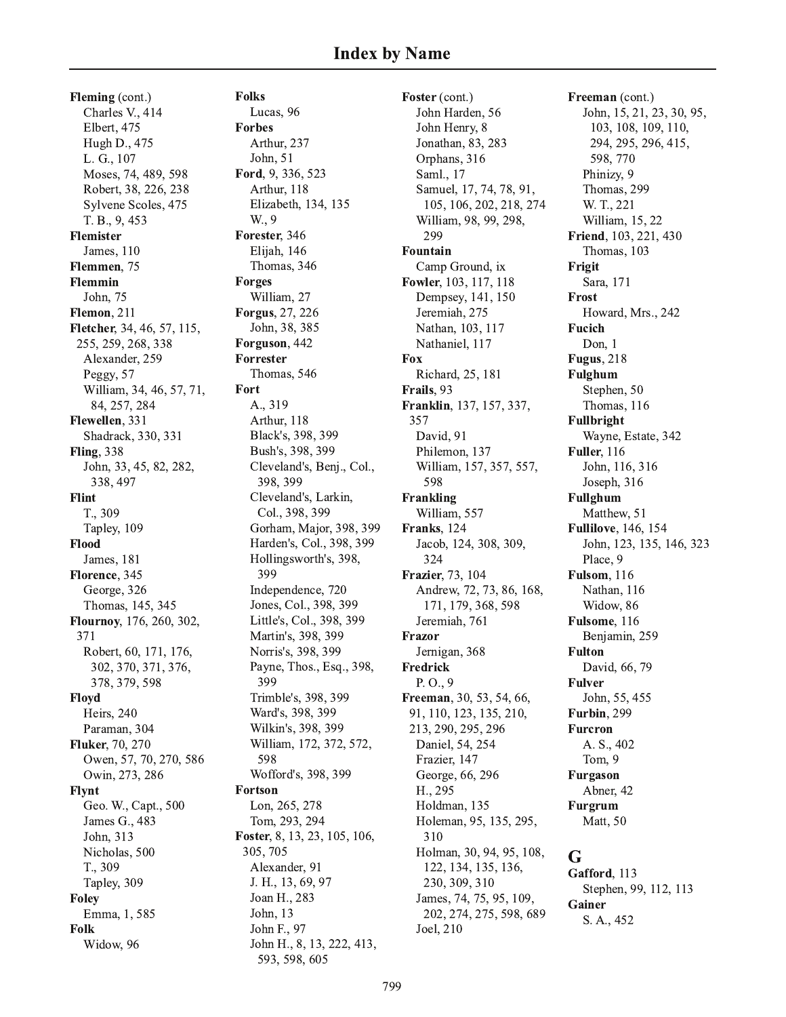### **Index by Name**

Fleming (cont.) Charles V., 414 Elbert, 475 Hugh D., 475 L. G., 107 Moses, 74, 489, 598 Robert, 38, 226, 238 Sylvene Scoles, 475 T. B., 9, 453 **Flemister** James, 110 Flemmen, 75 Flemmin John, 75 Flemon, 211 Fletcher, 34, 46, 57, 115, 255, 259, 268, 338 Alexander, 259 Peggy, 57 William, 34, 46, 57, 71, 84, 257, 284 Flewellen, 331 Shadrack, 330, 331 **Fling**, 338 John, 33, 45, 82, 282, 338, 497 **Flint** T., 309 Tapley, 109 Flood **James**, 181 Florence, 345 George, 326 Thomas, 145, 345 Flournoy, 176, 260, 302, 371 Robert, 60, 171, 176, 302, 370, 371, 376, 378, 379, 598 Floyd Heirs, 240 Paraman, 304 **Fluker**, 70, 270 Owen, 57, 70, 270, 586 Owin, 273, 286 **Flynt** Geo. W., Capt., 500 James G., 483 John, 313 Nicholas, 500 T., 309 Tapley, 309 **Foley** Emma, 1, 585 Folk Widow, 96

**Folks** Lucas, 96 **Forbes** Arthur, 237 John, 51 Ford, 9, 336, 523 Arthur, 118 Elizabeth, 134, 135 W., 9 Forester, 346 Elijah, 146 Thomas, 346 **Forges** William, 27 Forgus, 27, 226 John, 38, 385 Forguson, 442 Forrester Thomas, 546 Fort A., 319 Arthur, 118 Black's, 398, 399 Bush's, 398, 399 Cleveland's, Benj., Col., 398, 399 Cleveland's, Larkin, Col., 398, 399 Gorham, Major, 398, 399 Harden's, Col., 398, 399 Hollingsworth's, 398, 399 Independence, 720 Jones, Col., 398, 399 Little's, Col., 398, 399 Martin's, 398, 399 Norris's, 398, 399 Payne, Thos., Esq., 398, 399 Trimble's, 398, 399 Ward's, 398, 399 Wilkin's, 398, 399 William, 172, 372, 572, 598 Wofford's, 398, 399 **Fortson** Lon, 265, 278 Tom, 293, 294 Foster, 8, 13, 23, 105, 106, 305, 705 Alexander, 91 J. H., 13, 69, 97 Joan H., 283 John, 13 John F., 97 John H., 8, 13, 222, 413,

593, 598, 605

Foster (cont.) John Harden, 56 John Henry, 8 Jonathan, 83, 283 Orphans, 316 Saml., 17 Samuel, 17, 74, 78, 91, 105, 106, 202, 218, 274 William, 98, 99, 298, 299 Fountain Camp Ground, ix Fowler, 103, 117, 118 Dempsey, 141, 150 Jeremiah, 275 Nathan, 103, 117 Nathaniel, 117 Fox Richard, 25, 181 Frails, 93 Franklin, 137, 157, 337, 357 David, 91 Philemon, 137 William, 157, 357, 557, 598 Frankling William, 557 Franks, 124 Jacob, 124, 308, 309, 324 Frazier, 73, 104 Andrew, 72, 73, 86, 168, 171, 179, 368, 598 Jeremiah, 761 Frazor Jernigan, 368 **Fredrick**  $P. O., 9$ Freeman, 30, 53, 54, 66, 91, 110, 123, 135, 210, 213, 290, 295, 296 Daniel, 54, 254 Frazier, 147 George, 66, 296 H., 295 Holdman, 135 Holeman, 95, 135, 295, 310 Holman, 30, 94, 95, 108, 122, 134, 135, 136, 230, 309, 310 James, 74, 75, 95, 109, 202, 274, 275, 598, 689 Joel, 210

Freeman (cont.) John, 15, 21, 23, 30, 95, 103, 108, 109, 110, 294, 295, 296, 415, 598, 770 Phinizy, 9 Thomas, 299 W. T., 221 William, 15, 22 Friend, 103, 221, 430 Thomas, 103 Frigit Sara, 171 Frost Howard, Mrs., 242 **Fucich** Don, 1 **Fugus**, 218 **Fulghum** Stephen, 50 Thomas, 116 **Fullbright** Wayne, Estate, 342 Fuller, 116 John, 116, 316 Joseph, 316 **Fullghum** Matthew, 51 **Fullilove**, 146, 154 John, 123, 135, 146, 323 Place, 9 Fulsom, 116 Nathan, 116 Widow, 86 Fulsome, 116 Benjamin, 259 **Fulton** David, 66, 79 **Fulver** John, 55, 455 Furbin, 299 **Furcron** A. S., 402 Tom, 9 Furgason Abner, 42 **Furgrum** Matt, 50 G Gafford, 113

Stephen, 99, 112, 113 Gainer S. A., 452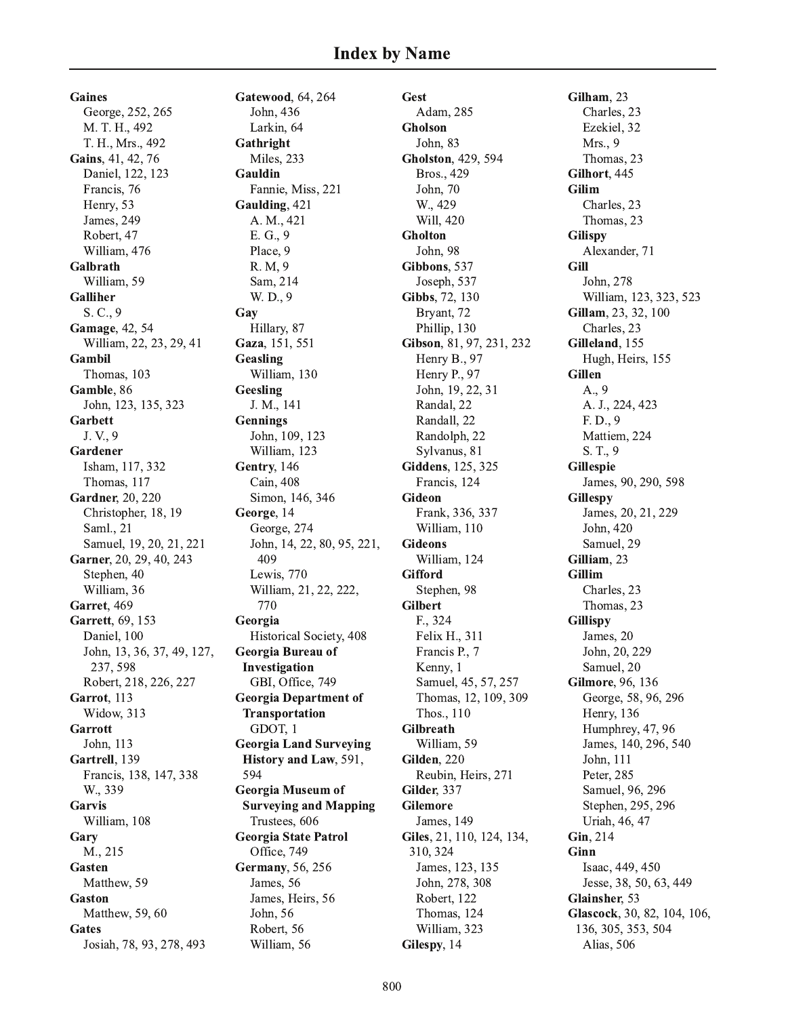**Gaines** George, 252, 265 M. T. H., 492 T. H., Mrs., 492 Gains, 41, 42, 76 Daniel, 122, 123 Francis, 76 Henry, 53 James, 249 Robert, 47 William, 476 Galbrath William, 59 **Galliher** S. C., 9 **Gamage**, 42, 54 William, 22, 23, 29, 41 Gambil Thomas, 103 Gamble, 86 John, 123, 135, 323 **Garbett** J.V., 9 Gardener Isham, 117, 332 Thomas, 117 **Gardner**, 20, 220 Christopher, 18, 19 Saml., 21 Samuel, 19, 20, 21, 221 Garner, 20, 29, 40, 243 Stephen, 40 William, 36 Garret, 469 Garrett, 69, 153 Daniel, 100 John, 13, 36, 37, 49, 127, 237, 598 Robert, 218, 226, 227 Garrot, 113 Widow, 313 Garrott John, 113 Gartrell. 139 Francis, 138, 147, 338 W., 339 Garvis William, 108 Gary M., 215 Gasten Matthew, 59 Gaston Matthew, 59, 60 Gates Josiah, 78, 93, 278, 493

Gatewood, 64, 264 John. 436 Larkin, 64 Gathright Miles, 233 Gauldin Fannie, Miss, 221 Gaulding, 421 A. M., 421 E. G., 9 Place, 9 R. M, 9 Sam, 214 W. D., 9 Gay Hillary, 87 Gaza, 151, 551 Geasling William, 130 Geesling J. M., 141 **Gennings** John, 109, 123 William, 123 Gentry, 146 Cain. 408 Simon, 146, 346 George, 14 George, 274 John, 14, 22, 80, 95, 221, 409 Lewis, 770 William, 21, 22, 222, 770 Georgia Historical Society, 408 Georgia Bureau of Investigation GBI, Office, 749 **Georgia Department of Transportation** GDOT, 1 **Georgia Land Surveying History and Law, 591,** 594 **Georgia Museum of Surveying and Mapping** Trustees, 606 **Georgia State Patrol** Office, 749 **Germany**, 56, 256 James, 56 James, Heirs, 56 John, 56 Robert, 56 William, 56

Gest Adam, 285 Gholson John, 83 Gholston, 429, 594 Bros., 429 John, 70 W., 429 Will, 420 **Gholton** John. 98 Gibbons, 537 Joseph, 537 Gibbs, 72, 130 Bryant, 72 Phillip, 130 Gibson, 81, 97, 231, 232 Henry B., 97 Henry P., 97 John, 19, 22, 31 Randal, 22 Randall, 22 Randolph, 22 Sylvanus, 81 Giddens, 125, 325 Francis, 124 **Gideon** Frank, 336, 337 William, 110 **Gideons** William, 124 **Gifford** Stephen, 98 **Gilbert** F., 324 Felix H., 311 Francis P., 7 Kenny, 1 Samuel, 45, 57, 257 Thomas, 12, 109, 309 Thos., 110 **Gilbreath** William, 59 Gilden. 220 Reubin, Heirs, 271 Gilder, 337 **Gilemore** James, 149 Giles, 21, 110, 124, 134, 310, 324 James, 123, 135 John, 278, 308 Robert, 122 Thomas, 124 William, 323 Gilespy, 14

Gilham, 23 Charles, 23 Ezekiel, 32 Mrs., 9 Thomas, 23 Gilhort, 445 **Gilim** Charles, 23 Thomas, 23 **Gilispy** Alexander, 71 **Gill** John. 278 William, 123, 323, 523 Gillam, 23, 32, 100 Charles, 23 Gilleland, 155 Hugh, Heirs, 155 **Gillen** A., 9 A. J., 224, 423  $F. D., 9$ Mattiem, 224 S. T., 9 **Gillespie** James, 90, 290, 598 **Gillespy** James, 20, 21, 229 John, 420 Samuel, 29 Gilliam, 23 **Gillim** Charles, 23 Thomas, 23 **Gillispy** James, 20 John, 20, 229 Samuel, 20 Gilmore, 96, 136 George, 58, 96, 296 Henry, 136 Humphrey, 47, 96 James, 140, 296, 540 John, 111 Peter, 285 Samuel, 96, 296 Stephen, 295, 296 Uriah, 46, 47 Gin, 214 Ginn Isaac, 449, 450 Jesse, 38, 50, 63, 449 Glainsher, 53 Glascock, 30, 82, 104, 106, 136, 305, 353, 504 Alias, 506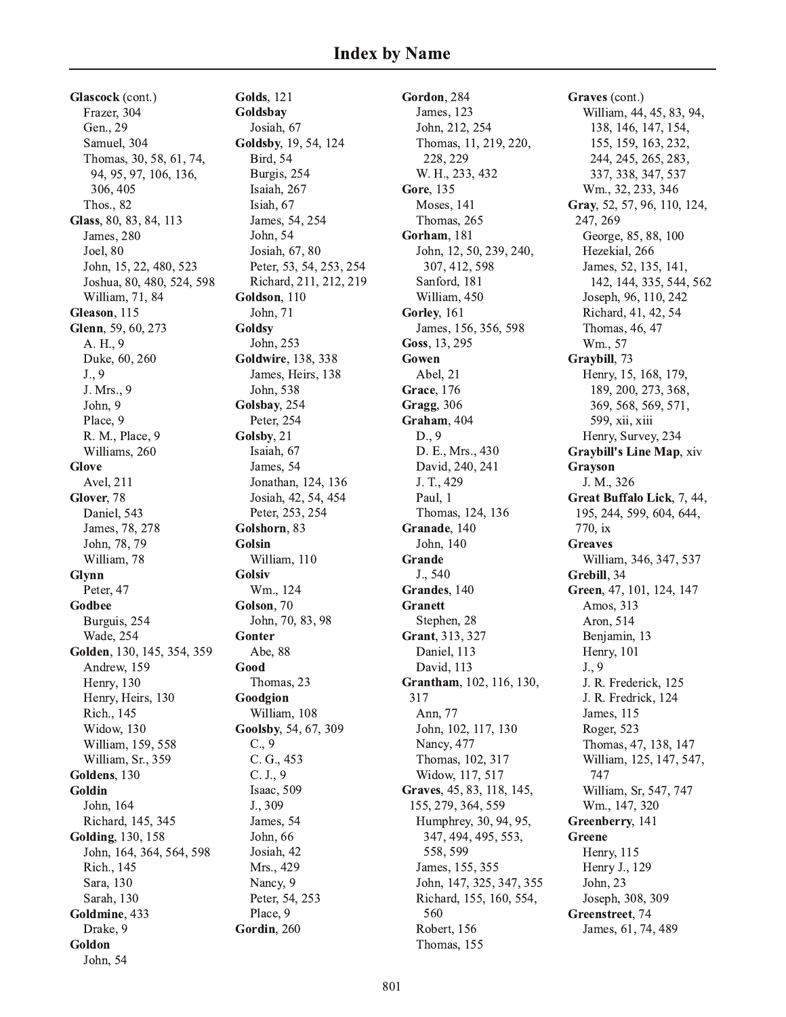Glascock (cont.) Frazer, 304 Gen., 29 Samuel, 304 Thomas, 30, 58, 61, 74, 94, 95, 97, 106, 136, 306, 405 **Thos., 82** Glass, 80, 83, 84, 113 James, 280 Joel, 80 John, 15, 22, 480, 523 Joshua, 80, 480, 524, 598 William, 71, 84 Gleason, 115 Glenn, 59, 60, 273 A. H., 9 Duke, 60, 260  $J., 9$ J. Mrs., 9 John, 9 Place, 9 R. M., Place, 9 Williams, 260 **Glove** Avel, 211 Glover, 78 Daniel, 543 James, 78, 278 John, 78, 79 William, 78 Glynn Peter, 47 Godbee Burguis, 254 **Wade**, 254 Golden, 130, 145, 354, 359 Andrew, 159 **Henry**, 130 Henry, Heirs, 130 Rich., 145 Widow, 130 William, 159, 558 William, Sr., 359 Goldens, 130 Goldin John, 164 Richard, 145, 345 **Golding**, 130, 158 John, 164, 364, 564, 598 Rich., 145 Sara, 130 Sarah, 130 Goldmine, 433 Drake, 9 Goldon

John, 54

**Golds**, 121 Goldsbay Josiah, 67 Goldsby, 19, 54, 124 **Bird**, 54 Burgis, 254 Isaiah, 267 Isiah, 67 James, 54, 254 John, 54 Josiah, 67, 80 Peter, 53, 54, 253, 254 Richard, 211, 212, 219 Goldson, 110 John, 71 Goldsy John, 253 **Goldwire**, 138, 338 James, Heirs, 138 John, 538 Golsbay, 254 Peter, 254 Golsby, 21 Isaiah, 67 James, 54 Jonathan, 124, 136 Josiah, 42, 54, 454 Peter, 253, 254 Golshorn, 83 Golsin William, 110 **Golsiv** Wm., 124 Golson, 70 John, 70, 83, 98 Gonter Abe, 88 Good Thomas, 23 Goodgion William, 108 Goolsby, 54, 67, 309  $C., 9$ C. G., 453  $C. J., 9$ Isaac, 509 J., 309 James, 54 John. 66 Josiah, 42 Mrs., 429 Nancy, 9 Peter, 54, 253 Place, 9 Gordin, 260

Gordon, 284 James, 123 John, 212, 254 Thomas, 11, 219, 220, 228, 229 W. H., 233, 432 Gore, 135 **Moses**, 141 Thomas, 265 Gorham, 181 John, 12, 50, 239, 240, 307, 412, 598 Sanford, 181 William, 450 Gorley, 161 James, 156, 356, 598 Goss, 13, 295 Gowen Abel, 21 **Grace**, 176 Gragg, 306 Graham. 404  $D., 9$ D. E., Mrs., 430 David, 240, 241 J. T., 429 Paul. 1 Thomas, 124, 136 Granade, 140 John, 140 Grande J., 540 Grandes, 140 **Granett** Stephen, 28 Grant, 313, 327 Daniel, 113 David. 113 Grantham, 102, 116, 130, 317 Ann, 77 John, 102, 117, 130 Nancy, 477 Thomas, 102, 317 Widow, 117, 517 Graves, 45, 83, 118, 145, 155, 279, 364, 559 Humphrey, 30, 94, 95, 347, 494, 495, 553, 558.599 James, 155, 355 John, 147, 325, 347, 355 Richard, 155, 160, 554, 560 Robert, 156 Thomas, 155

Graves (cont.) William, 44, 45, 83, 94, 138, 146, 147, 154, 155, 159, 163, 232, 244, 245, 265, 283, 337, 338, 347, 537 Wm., 32, 233, 346 Gray, 52, 57, 96, 110, 124, 247, 269 George, 85, 88, 100 Hezekial, 266 James, 52, 135, 141, 142, 144, 335, 544, 562 Joseph, 96, 110, 242 Richard, 41, 42, 54 Thomas, 46, 47 Wm., 57 Graybill, 73 Henry, 15, 168, 179, 189, 200, 273, 368, 369, 568, 569, 571, 599, xii, xiii Henry, Survey, 234 **Graybill's Line Map, xiv** Grayson J. M., 326 Great Buffalo Lick, 7, 44, 195, 244, 599, 604, 644, 770, ix **Greaves** William, 346, 347, 537 Grebill, 34 Green, 47, 101, 124, 147 Amos, 313 Aron, 514 Benjamin, 13 Henry, 101  $J., 9$ J. R. Frederick, 125 J. R. Fredrick, 124 James, 115 Roger, 523 Thomas, 47, 138, 147 William, 125, 147, 547, 747 William, Sr, 547, 747 Wm., 147, 320 Greenberry, 141 Greene Henry, 115 Henry J., 129 John, 23 Joseph, 308, 309 Greenstreet, 74 James, 61, 74, 489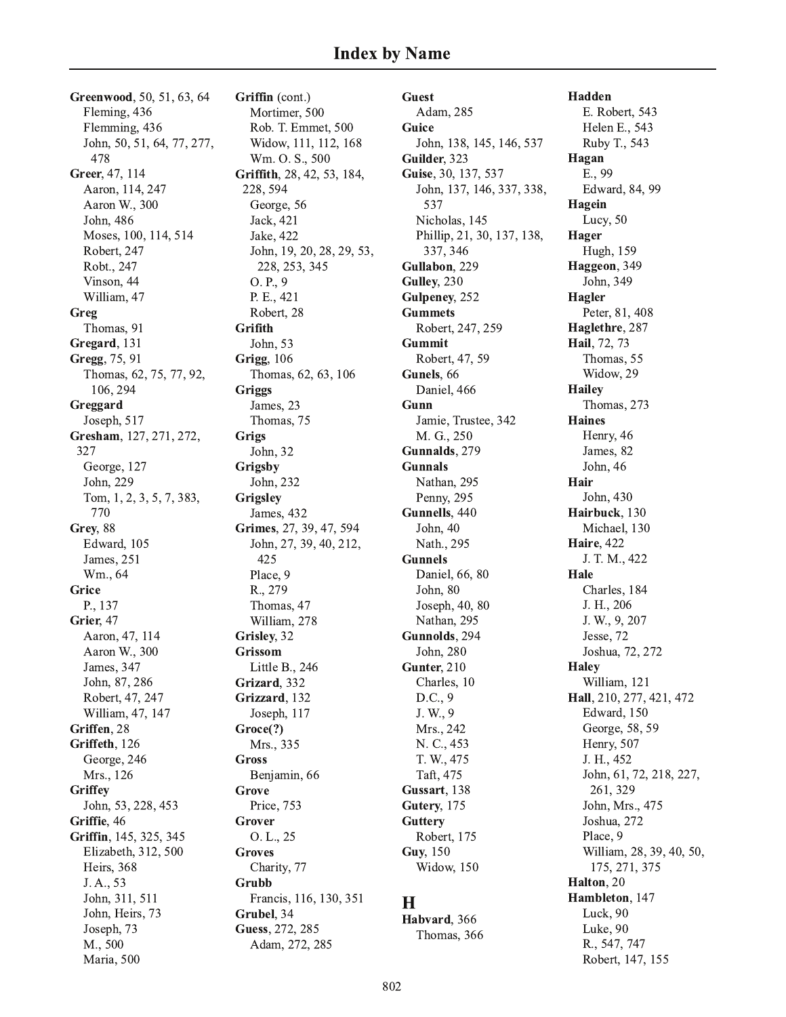Greenwood, 50, 51, 63, 64 Fleming, 436 Flemming, 436 John, 50, 51, 64, 77, 277, 478 Greer, 47, 114 Aaron, 114, 247 Aaron W., 300 John, 486 Moses, 100, 114, 514 Robert, 247 Robt., 247 Vinson, 44 William, 47 Greg Thomas, 91 Gregard, 131 Gregg, 75, 91 Thomas, 62, 75, 77, 92, 106, 294 Greggard Joseph, 517 Gresham, 127, 271, 272, 327 George, 127 John, 229 Tom, 1, 2, 3, 5, 7, 383, 770 Grey, 88 Edward, 105 James, 251 Wm., 64 Grice P., 137 Grier, 47 Aaron, 47, 114 Aaron W., 300 James, 347 John, 87, 286 Robert, 47, 247 William, 47, 147 Griffen, 28 Griffeth, 126 George, 246 Mrs., 126 Griffey John, 53, 228, 453 Griffie, 46 Griffin, 145, 325, 345 Elizabeth, 312, 500 Heirs, 368 J. A., 53 John, 311, 511 John, Heirs, 73 Joseph, 73 M., 500 Maria, 500

Griffin (cont.) Mortimer, 500 Rob. T. Emmet, 500 Widow, 111, 112, 168 Wm. O. S., 500 Griffith, 28, 42, 53, 184, 228, 594 George, 56 Jack, 421 Jake, 422 John, 19, 20, 28, 29, 53, 228, 253, 345 O. P., 9 P. E., 421 Robert, 28 Grifith John, 53 **Grigg**, 106 Thomas, 62, 63, 106 **Griggs** James, 23 Thomas, 75 **Grigs** John, 32 Grigsby John, 232 Grigsley James, 432 Grimes, 27, 39, 47, 594 John, 27, 39, 40, 212, 425 Place, 9 R., 279 Thomas, 47 William, 278 Grisley, 32 **Grissom** Little B.,  $246$ Grizard, 332 Grizzard, 132 Joseph, 117 Groce(?) Mrs., 335 **Gross** Benjamin, 66 Grove Price, 753 Grover  $O. L., 25$ **Groves** Charity, 77 Grubb Francis, 116, 130, 351 Grubel, 34 Guess, 272, 285 Adam, 272, 285

**Guest** Adam, 285 Guice John, 138, 145, 146, 537 Guilder. 323 Guise, 30, 137, 537 John, 137, 146, 337, 338, 537 Nicholas, 145 Phillip, 21, 30, 137, 138, 337, 346 Gullabon, 229 Gulley, 230 Gulpeney, 252 **Gummets** Robert, 247, 259 **Gummit** Robert, 47, 59 Gunels, 66 Daniel, 466 Gunn Jamie, Trustee, 342 M. G., 250 Gunnalds, 279 **Gunnals** Nathan, 295 Penny, 295 Gunnells, 440 John, 40 Nath., 295 **Gunnels** Daniel, 66, 80 John. 80 Joseph, 40, 80 Nathan, 295 Gunnolds, 294 John, 280 Gunter, 210 Charles, 10  $D.C., 9$ J. W., 9 Mrs., 242 N. C., 453 T. W., 475 Taft, 475 Gussart, 138 Gutery, 175 **Guttery** Robert, 175 Guy, 150 Widow, 150 H

Habvard, 366 Thomas, 366

Hadden E. Robert, 543 Helen E., 543 Ruby T., 543 Hagan E., 99 Edward, 84, 99 Hagein Lucy, 50 Hager Hugh, 159 Haggeon, 349 John, 349 Hagler Peter, 81, 408 Haglethre, 287 Hail, 72, 73 Thomas, 55 Widow, 29 **Hailey** Thomas, 273 **Haines** Henry, 46 James, 82 John, 46 Hair John. 430 Hairbuck. 130 Michael, 130 **Haire**, 422 J. T. M., 422 Hale Charles, 184 J. H., 206 J. W., 9, 207 Jesse, 72 Joshua, 72, 272 **Halev** William, 121 Hall, 210, 277, 421, 472 Edward, 150 George, 58, 59 Henry, 507 J. H., 452 John, 61, 72, 218, 227, 261, 329 John, Mrs., 475 Joshua, 272 Place, 9 William, 28, 39, 40, 50, 175, 271, 375 Halton, 20 Hambleton, 147 Luck, 90 Luke, 90 R., 547, 747 Robert, 147, 155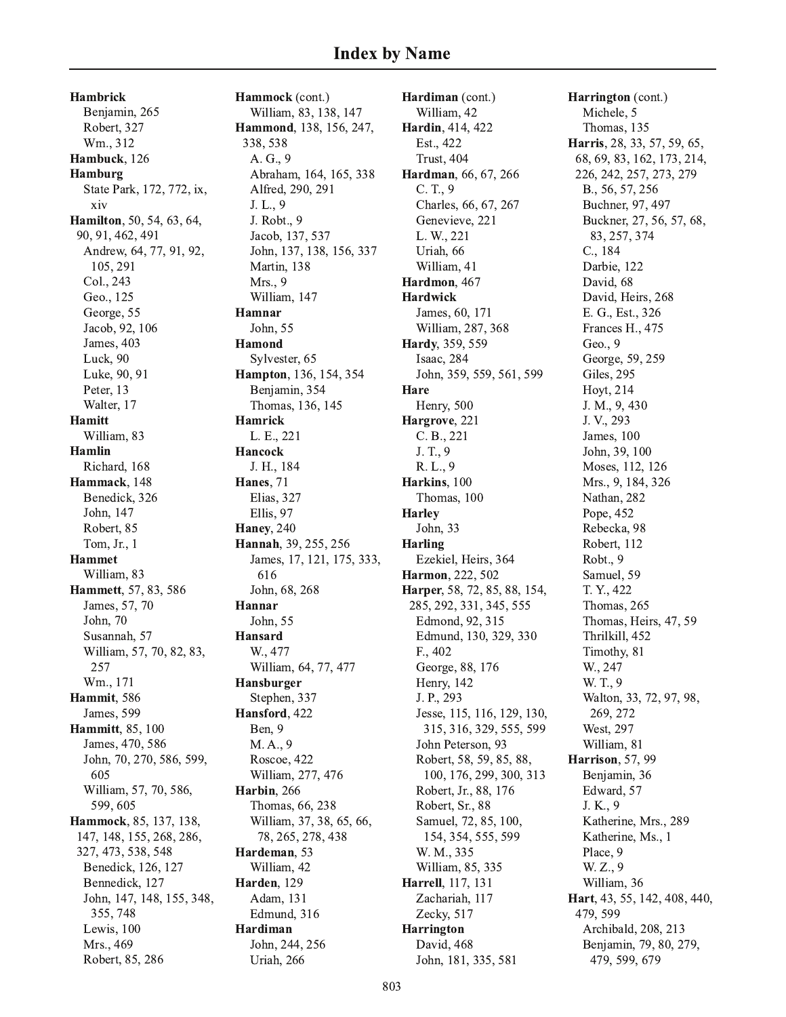Hambrick Benjamin, 265 Robert, 327 Wm., 312 Hambuck, 126 Hamburg State Park, 172, 772, ix, xiv **Hamilton**, 50, 54, 63, 64, 90, 91, 462, 491 Andrew, 64, 77, 91, 92, 105, 291 Col., 243 Geo., 125 George, 55 Jacob, 92, 106 James, 403 Luck, 90 Luke, 90, 91 Peter, 13 Walter, 17 Hamitt William, 83 Hamlin Richard, 168 Hammack, 148 Benedick, 326 John, 147 Robert, 85 Tom, Jr., 1 Hammet William, 83 **Hammett**, 57, 83, 586 James, 57, 70 John. 70 Susannah, 57 William, 57, 70, 82, 83, , 257 Wm., 171 Hammit, 586 James, 599 Hammitt, 85, 100 James, 470, 586 John, 70, 270, 586, 599, 605 William, 57, 70, 586, 599,605 **Hammock**, 85, 137, 138, 147, 148, 155, 268, 286, 327, 473, 538, 548 Benedick, 126, 127 Bennedick, 127 John, 147, 148, 155, 348, 355, 748 Lewis, 100 Mrs., 469 Robert, 85, 286

**Hammock** (cont.) William, 83, 138, 147 **Hammond**, 138, 156, 247, 338, 538 A. G., 9 Abraham, 164, 165, 338 Alfred, 290, 291  $J. L., 9$ J. Robt., 9 Jacob, 137, 537 John, 137, 138, 156, 337 Martin, 138 Mrs., 9 William, 147 Hamnar John, 55 Hamond Sylvester, 65 **Hampton**, 136, 154, 354 Benjamin, 354 Thomas, 136, 145 Hamrick L. E., 221 Hancock J. H., 184 **Hanes**, 71 Elias, 327 Ellis, 97 Haney, 240 **Hannah, 39, 255, 256** James, 17, 121, 175, 333 , 616 John, 68, 268 Hannar John, 55 Hansard W., 477 William, 64, 77, 477 Hansburger Stephen, 337 Hansford, 422 Ben, 9 M.A., 9 Roscoe, 422 William, 277, 476 Harbin, 266 Thomas, 66, 238 William, 37, 38, 65, 66, 78, 265, 278, 438 Hardeman, 53 William, 42 Harden, 129 Adam, 131 Edmund, 316 Hardiman John, 244, 256 Uriah, 266

**Hardiman** (cont.) William, 42 Hardin, 414, 422 Est., 422 Trust, 404 Hardman, 66, 67, 266  $C. T., 9$ Charles, 66, 67, 267 Genevieve, 221 L. W., 221 Uriah, 66 William, 41 Hardmon, 467 Hardwick James, 60, 171 William, 287, 368 Hardy, 359, 559 Isaac, 284 John, 359, 559, 561, 599 Hare Henry, 500 Hargrove, 221 C. B., 221 J. T., 9 R. L., 9 Harkins, 100 Thomas, 100 Harley John, 33 Harling Ezekiel, Heirs, 364 Harmon, 222, 502 Harper, 58, 72, 85, 88, 154, 285, 292, 331, 345, 555 Edmond, 92, 315 Edmund, 130, 329, 330 F., 402 George, 88, 176 Henry, 142 J. P., 293 Jesse, 115, 116, 129, 130, 315, 316, 329, 555, 599 John Peterson, 93 Robert, 58, 59, 85, 88, 100, 176, 299, 300, 313 Robert, Jr., 88, 176 Robert, Sr., 88 Samuel, 72, 85, 100, 154, 354, 555, 599 W. M., 335 William, 85, 335 **Harrell,** 117, 131 Zachariah, 117 Zecky, 517 Harrington David, 468 John, 181, 335, 581

**Harrington** (cont.) Michele, 5 Thomas, 135 **Harris**, 28, 33, 57, 59, 65, 68, 69, 83, 162, 173, 214, 226, 242, 257, 273, 279 B., 56, 57, 256 Buchner, 97, 497 Buckner, 27, 56, 57, 68, 83, 257, 374 C., 184 Darbie, 122 David, 68 David, Heirs, 268 E. G., Est., 326 Frances H., 475 Geo., 9 George, 59, 259 Giles, 295 Hoyt, 214 J. M., 9, 430 J. V., 293 James, 100 John, 39, 100 Moses, 112, 126 Mrs., 9, 184, 326 Nathan, 282 Pope, 452 Rebecka, 98 Robert, 112 Robt., 9 Samuel, 59 T. Y., 422 Thomas, 265 Thomas, Heirs, 47, 59 Thrilkill, 452 Timothy, 81 W., 247 W. T., 9 Walton, 33, 72, 97, 98, 269, 272 West, 297 William, 81 Harrison, 57, 99 Benjamin, 36 Edward, 57 J. K., 9 Katherine, Mrs., 289 Katherine, Ms., 1 Place, 9 W. Z., 9 William, 36 **Hart**, 43, 55, 142, 408, 440, 479, 599 Archibald, 208, 213 Benjamin, 79, 80, 279, 479, 599, 679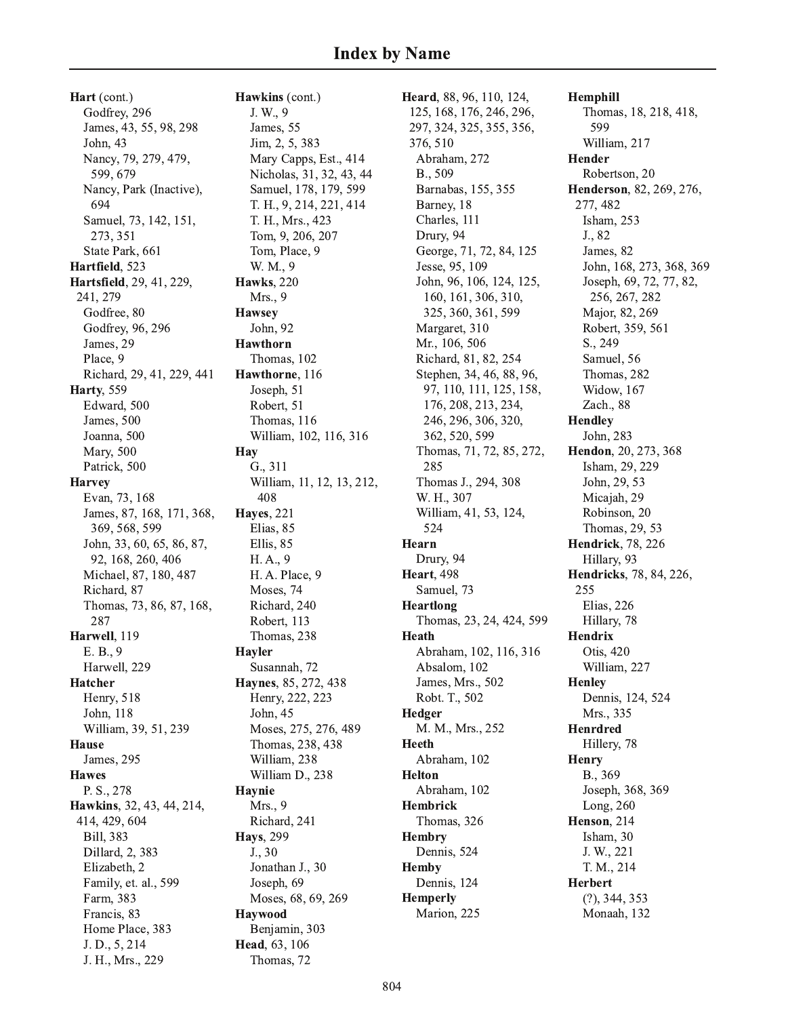Hart (cont.) Godfrey, 296 James, 43, 55, 98, 298 John, 43 Nancy, 79, 279, 479, 599, 679 Nancy, Park (Inactive), 694 Samuel, 73, 142, 151, 273, 351 State Park, 661 Hartfield, 523 Hartsfield, 29, 41, 229, 241, 279 Godfree, 80 Godfrey, 96, 296 James, 29 Place, 9 Richard, 29, 41, 229, 441 **Harty**, 559 Edward, 500 James, 500 Joanna, 500 Mary, 500 Patrick, 500 **Harvey** Evan, 73, 168 James, 87, 168, 171, 368, 369, 568, 599 John, 33, 60, 65, 86, 87, 92, 168, 260, 406 Michael, 87, 180, 487 Richard, 87 Thomas, 73, 86, 87, 168, 287 Harwell, 119 E. B., 9 Harwell, 229 **Hatcher** Henry, 518 John, 118 William, 39, 51, 239 **Hause** James, 295 **Hawes** P. S., 278 Hawkins, 32, 43, 44, 214, 414, 429, 604 Bill, 383 Dillard, 2, 383 Elizabeth, 2 Family, et. al., 599 Farm, 383 Francis, 83 Home Place, 383 J.D., 5, 214 J. H., Mrs., 229

Hawkins (cont.) J. W., 9 James, 55 Jim, 2, 5, 383 Mary Capps, Est., 414 Nicholas, 31, 32, 43, 44 Samuel, 178, 179, 599 T. H., 9, 214, 221, 414 T. H., Mrs., 423 Tom, 9, 206, 207 Tom, Place, 9 W. M., 9 **Hawks**, 220 Mrs., 9 **Hawsey** John, 92 **Hawthorn** Thomas, 102 Hawthorne, 116 Joseph, 51 Robert, 51 Thomas, 116 William, 102, 116, 316 Hay G., 311 William, 11, 12, 13, 212, 408 **Hayes**, 221 Elias, 85 Ellis, 85 H.A., 9 H. A. Place, 9 Moses, 74 Richard, 240 Robert, 113 Thomas, 238 **Hayler** Susannah, 72 Haynes, 85, 272, 438 Henry, 222, 223 John, 45 Moses, 275, 276, 489 Thomas, 238, 438 William, 238 William D., 238 **Havnie** Mrs., 9 Richard, 241 **Havs**, 299  $J., 30$ Jonathan J., 30 Joseph, 69 Moses, 68, 69, 269 **Havwood** Benjamin, 303 Head, 63, 106 Thomas, 72

Heard, 88, 96, 110, 124, 125, 168, 176, 246, 296, 297, 324, 325, 355, 356, 376, 510 Abraham, 272 B., 509 Barnabas, 155, 355 Barney, 18 Charles, 111 Drury, 94 George, 71, 72, 84, 125 Jesse, 95, 109 John, 96, 106, 124, 125, 160, 161, 306, 310, 325, 360, 361, 599 Margaret, 310 Mr., 106, 506 Richard, 81, 82, 254 Stephen, 34, 46, 88, 96, 97, 110, 111, 125, 158, 176, 208, 213, 234, 246, 296, 306, 320, 362, 520, 599 Thomas, 71, 72, 85, 272, 285 Thomas J., 294, 308 W. H., 307 William, 41, 53, 124, 524 Hearn Drury, 94 **Heart**, 498 Samuel, 73 Heartlong Thomas, 23, 24, 424, 599 **Heath** Abraham, 102, 116, 316 Absalom, 102 James, Mrs., 502 Robt. T., 502 Hedger M. M., Mrs., 252 **Heeth** Abraham, 102 **Helton** Abraham, 102 Hembrick Thomas, 326 **Hembry** Dennis, 524 **Hemby** Dennis, 124 **Hemperly** Marion, 225

Hemphill Thomas, 18, 218, 418, 599 William, 217 **Hender** Robertson, 20 Henderson, 82, 269, 276, 277, 482 Isham, 253 J., 82 James, 82 John, 168, 273, 368, 369 Joseph, 69, 72, 77, 82, 256, 267, 282 Major, 82, 269 Robert, 359, 561 S., 249 Samuel, 56 Thomas, 282 Widow, 167 Zach., 88 **Hendley** John, 283 Hendon, 20, 273, 368 Isham, 29, 229 John, 29, 53 Micajah, 29 Robinson, 20 Thomas, 29, 53 **Hendrick**, 78, 226 Hillary, 93 Hendricks, 78, 84, 226, 255 Elias, 226 Hillary, 78 **Hendrix** Otis, 420 William, 227 **Henley** Dennis, 124, 524 Mrs., 335 **Henrdred** Hillery, 78 **Henry** B., 369 Joseph, 368, 369 Long, 260 Henson, 214 Isham, 30 J. W., 221 T. M., 214 **Herbert**  $(?)$ , 344, 353 Monaah, 132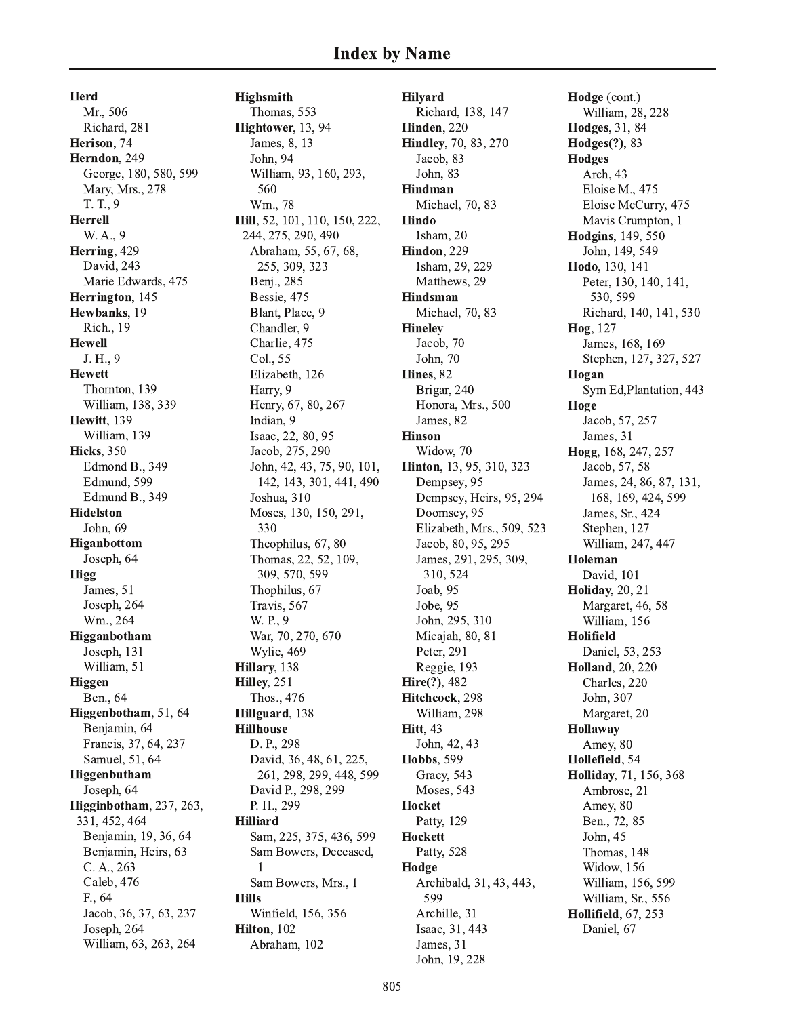Herd Mr., 506 Richard, 281 Herison, 74 Herndon, 249 George, 180, 580, 599 Mary, Mrs., 278 T. T., 9 **Herrell** W. A., 9 Herring, 429 David, 243 Marie Edwards, 475 Herrington, 145 Hewbanks, 19 Rich., 19 **Hewell** J. H., 9 **Hewett** Thornton, 139 William, 138, 339 Hewitt, 139 William, 139 **Hicks**, 350 Edmond B., 349 Edmund, 599 Edmund B., 349 **Hidelston** John, 69 Higanbottom Joseph, 64 Higg James, 51 Joseph, 264 Wm., 264 Higganbotham Joseph, 131 William, 51 Higgen Ben., 64 Higgenbotham, 51, 64 Benjamin, 64 Francis, 37, 64, 237 Samuel, 51, 64 Higgenbutham Joseph, 64 Higginbotham, 237, 263, 331, 452, 464 Benjamin, 19, 36, 64 Benjamin, Heirs, 63 C. A., 263 Caleb, 476 F., 64 Jacob, 36, 37, 63, 237 Joseph, 264 William, 63, 263, 264

Highsmith Thomas, 553 Hightower, 13, 94 James, 8, 13 John, 94 William, 93, 160, 293, 560 Wm., 78 Hill, 52, 101, 110, 150, 222, 244, 275, 290, 490 Abraham, 55, 67, 68, 255, 309, 323 Benj., 285 Bessie, 475 Blant, Place, 9 Chandler, 9 Charlie, 475 Col., 55 Elizabeth, 126 Harry, 9 Henry, 67, 80, 267 Indian. 9 Isaac, 22, 80, 95 Jacob, 275, 290 John, 42, 43, 75, 90, 101, 142, 143, 301, 441, 490 Joshua, 310 Moses, 130, 150, 291, 330 Theophilus, 67, 80 Thomas, 22, 52, 109, 309, 570, 599 Thophilus, 67 Travis, 567 W. P., 9 War, 70, 270, 670 Wylie, 469 Hillary, 138 Hilley, 251 Thos., 476 Hillguard, 138 **Hillhouse** D. P., 298 David, 36, 48, 61, 225, 261, 298, 299, 448, 599 David P., 298, 299 P. H., 299 **Hilliard** Sam, 225, 375, 436, 599 Sam Bowers, Deceased, Sam Bowers, Mrs., 1 **Hills** Winfield, 156, 356 Hilton. 102 Abraham, 102

**Hilyard** Richard, 138, 147 Hinden, 220 **Hindley**, 70, 83, 270 Jacob, 83 John. 83 Hindman Michael, 70, 83 Hindo Isham. 20 Hindon. 229 Isham, 29, 229 Matthews, 29 Hindsman Michael, 70, 83 **Hineley** Jacob, 70 John, 70 Hines, 82 Brigar, 240 Honora, Mrs., 500 James, 82 **Hinson** Widow, 70 Hinton, 13, 95, 310, 323 Dempsey, 95 Dempsey, Heirs, 95, 294 Doomsey, 95 Elizabeth, Mrs., 509, 523 Jacob, 80, 95, 295 James, 291, 295, 309, 310, 524 Joab, 95 Jobe, 95 John, 295, 310 Micajah, 80, 81 Peter, 291 Reggie, 193 Hire(?), 482 Hitchcock, 298 William, 298 **Hitt**, 43 John, 42, 43 **Hobbs**, 599 Gracy, 543 Moses, 543 Hocket Patty, 129 **Hockett** Patty, 528 Hodge Archibald, 31, 43, 443, 599 Archille, 31 Isaac, 31, 443 James, 31 John, 19, 228

Hodge (cont.) William, 28, 228 Hodges, 31, 84 Hodges(?), 83 **Hodges** Arch, 43 Eloise M., 475 Eloise McCurry, 475 Mavis Crumpton, 1 Hodgins, 149, 550 John, 149, 549 Hodo, 130, 141 Peter, 130, 140, 141, 530, 599 Richard, 140, 141, 530 Hog. 127 James, 168, 169 Stephen, 127, 327, 527 Hogan Sym Ed, Plantation, 443 Hoge Jacob, 57, 257 James, 31 Hogg, 168, 247, 257 Jacob, 57, 58 James, 24, 86, 87, 131, 168, 169, 424, 599 James, Sr., 424 Stephen, 127 William, 247, 447 Holeman David, 101 **Holiday**, 20, 21 Margaret, 46, 58 William, 156 **Holifield** Daniel, 53, 253 **Holland**, 20, 220 Charles, 220 John, 307 Margaret, 20 Hollaway Amey, 80 Hollefield. 54 Holliday, 71, 156, 368 Ambrose, 21 Amey, 80 Ben., 72, 85 John, 45 Thomas, 148 Widow, 156 William, 156, 599 William, Sr., 556 **Hollifield**, 67, 253 Daniel, 67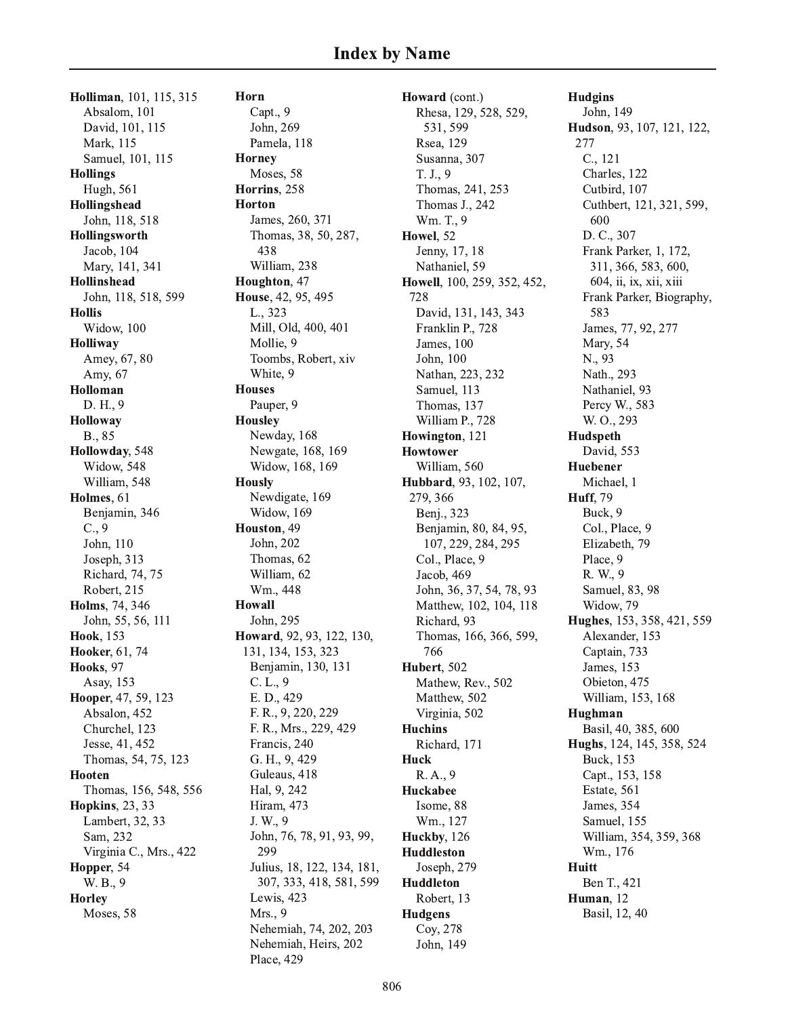Holliman, 101, 115, 315 Absalom, 101 David, 101, 115 Mark, 115 Samuel, 101, 115 **Hollings** Hugh, 561 Hollingshead John, 118, 518 Hollingsworth Jacob, 104 Mary, 141, 341 Hollinshead John, 118, 518, 599 **Hollis** Widow, 100 Holliway Amey, 67, 80 Amy, 67 Holloman D. H., 9 Holloway B., 85 Hollowday, 548 Widow, 548 William, 548 Holmes, 61 Benjamin, 346  $C., 9$ John, 110 Joseph, 313 Richard, 74, 75 Robert, 215 Holms, 74, 346 John, 55, 56, 111 Hook, 153 Hooker, 61, 74 Hooks, 97 Asay, 153 Hooper, 47, 59, 123 Absalon, 452 Churchel, 123 Jesse, 41, 452 Thomas, 54, 75, 123 Hooten Thomas, 156, 548, 556 **Hopkins**, 23, 33 Lambert, 32, 33 Sam, 232 Virginia C., Mrs., 422 Hopper, 54 W. B., 9 **Horley** Moses, 58

Horn Capt., 9 John, 269 Pamela, 118 **Horney** Moses, 58 Horrins, 258 **Horton** James, 260, 371 Thomas, 38, 50, 287, 438 William, 238 Houghton, 47 House, 42, 95, 495 L., 323 Mill, Old, 400, 401 Mollie, 9 Toombs, Robert, xiv White, 9 **Houses** Pauper, 9 **Housley** Newday, 168 Newgate, 168, 169 Widow, 168, 169 **Hously** Newdigate, 169 Widow, 169 Houston, 49 John, 202 Thomas, 62 William, 62 Wm., 448 **Howall** John. 295 Howard, 92, 93, 122, 130, 131, 134, 153, 323 Benjamin, 130, 131  $C. L., 9$ E. D., 429 F. R., 9, 220, 229 F. R., Mrs., 229, 429 Francis, 240 G. H., 9, 429 Guleaus, 418 Hal, 9, 242 Hiram, 473 J. W., 9 John, 76, 78, 91, 93, 99, 299 Julius, 18, 122, 134, 181, 307, 333, 418, 581, 599 Lewis, 423 Mrs., 9 Nehemiah, 74, 202, 203 Nehemiah, Heirs, 202 Place, 429

Howard (cont.) Rhesa, 129, 528, 529, 531, 599 Rsea, 129 Susanna, 307 T. J., 9 Thomas, 241, 253 Thomas J., 242 Wm. T., 9 Howel, 52 Jenny, 17, 18 Nathaniel, 59 Howell, 100, 259, 352, 452, 728 David, 131, 143, 343 Franklin P., 728 James, 100 John, 100 Nathan, 223, 232 Samuel, 113 Thomas, 137 William P., 728 Howington, 121 **Howtower** William, 560 Hubbard, 93, 102, 107, 279, 366 Benj., 323 Benjamin, 80, 84, 95, 107, 229, 284, 295 Col., Place, 9 Jacob, 469 John, 36, 37, 54, 78, 93 Matthew, 102, 104, 118 Richard, 93 Thomas, 166, 366, 599, 766 Hubert, 502 Mathew, Rev., 502 Matthew, 502 Virginia, 502 **Huchins** Richard, 171 Huck R.A., 9 Huckabee Isome, 88 Wm., 127 Huckby, 126 **Huddleston** Joseph, 279 **Huddleton** Robert, 13 **Hudgens** Coy, 278 John, 149

**Hudgins** John, 149 Hudson, 93, 107, 121, 122, 277  $C., 121$ Charles, 122 Cutbird, 107 Cuthbert, 121, 321, 599, 600 D. C., 307 Frank Parker, 1, 172, 311, 366, 583, 600, 604, ii, ix, xii, xiii Frank Parker, Biography, 583 James, 77, 92, 277 Mary, 54 N., 93 Nath., 293 Nathaniel, 93 Percy W., 583 W. O., 293 Hudspeth David. 553 Huebener Michael, 1 **Huff.** 79 Buck. 9 Col., Place, 9 Elizabeth, 79 Place, 9 R. W., 9 Samuel, 83, 98 Widow, 79 Hughes, 153, 358, 421, 559 Alexander, 153 Captain, 733 James, 153 Obieton, 475 William, 153, 168 Hughman Basil, 40, 385, 600 Hughs, 124, 145, 358, 524 Buck. 153 Capt., 153, 158 Estate, 561 James, 354 Samuel, 155 William, 354, 359, 368 Wm., 176 **Huitt** Ben T., 421 Human, 12 Basil, 12, 40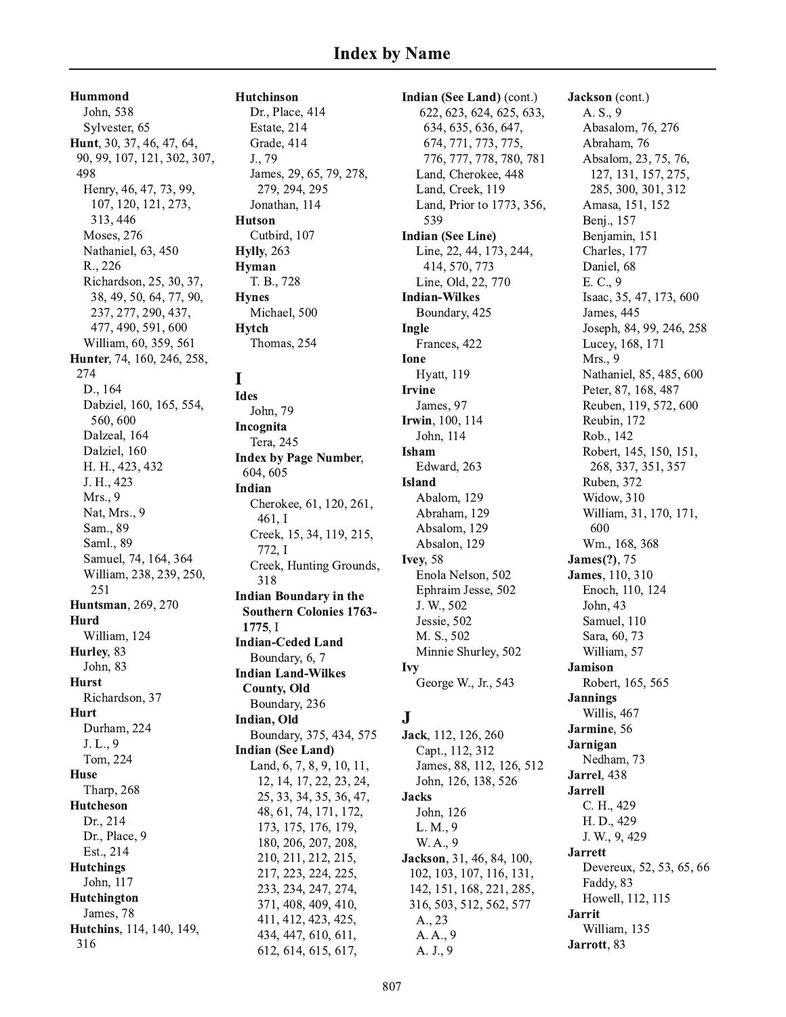Hummond John, 538 Sylvester, 65 Hunt, 30, 37, 46, 47, 64, 90, 99, 107, 121, 302, 307, 498 Henry, 46, 47, 73, 99, 107, 120, 121, 273, 313, 446 Moses, 276 Nathaniel, 63, 450 R., 226 Richardson, 25, 30, 37, 38, 49, 50, 64, 77, 90, 237, 277, 290, 437, 477, 490, 591, 600 William, 60, 359, 561 Hunter, 74, 160, 246, 258, 274 D., 164 Dabziel, 160, 165, 554, 560,600 Dalzeal, 164 Dalziel, 160 H. H., 423, 432 J. H., 423 Mrs., 9 Nat, Mrs., 9 Sam., 89 Saml., 89 Samuel, 74, 164, 364 William, 238, 239, 250, 251 **Huntsman**, 269, 270 Hurd William, 124 Hurley, 83 John, 83 **Hurst** Richardson, 37 Hurt Durham, 224 J. L., 9 Tom. 224 **Huse** Tharp, 268 Hutcheson Dr., 214 Dr., Place, 9 Est., 214 **Hutchings** John, 117 Hutchington James, 78 Hutchins, 114, 140, 149,

316

**Hutchinson** 

Dr., Place, 414 Estate, 214 Grade, 414 J., 79 James, 29, 65, 79, 278, 279, 294, 295 Jonathan, 114 **Hutson** Cutbird, 107 **Hylly**, 263 Hyman T. B., 728 **Hynes** Michael, 500 **Hytch** Thomas, 254

## I

**Ides** John, 79 Incognita Tera, 245 **Index by Page Number,** 604, 605 **Indian** Cherokee, 61, 120, 261,  $461, I$ Creek, 15, 34, 119, 215, 772, I Creek, Hunting Grounds, 318 **Indian Boundary in the Southern Colonies 1763-**1775. I **Indian-Ceded Land** Boundary, 6, 7 **Indian Land-Wilkes County, Old** Boundary, 236 Indian, Old Boundary, 375, 434, 575 **Indian (See Land)** Land, 6, 7, 8, 9, 10, 11, 12, 14, 17, 22, 23, 24, 25, 33, 34, 35, 36, 47, 48, 61, 74, 171, 172, 173, 175, 176, 179, 180, 206, 207, 208, 210, 211, 212, 215, 217, 223, 224, 225, 233, 234, 247, 274, 371, 408, 409, 410, 411, 412, 423, 425, 434, 447, 610, 611, 612, 614, 615, 617,

Indian (See Land) (cont.) 622, 623, 624, 625, 633, 634, 635, 636, 647, 674, 771, 773, 775, 776, 777, 778, 780, 781 Land, Cherokee, 448 Land, Creek, 119 Land, Prior to 1773, 356, 539 **Indian (See Line)** Line, 22, 44, 173, 244, 414, 570, 773 Line, Old, 22, 770 **Indian-Wilkes** Boundary, 425 Ingle Frances, 422 Ione **Hyatt**, 119 **Irvine** James, 97 Irwin, 100, 114 John, 114 Isham Edward, 263 **Island** Abalom, 129 Abraham, 129 Absalom, 129 Absalon, 129 **Ivey**, 58 Enola Nelson, 502 Ephraim Jesse, 502 J. W., 502 Jessie, 502 M. S., 502 Minnie Shurley, 502 Ivy George W., Jr., 543  $\mathbf{J}$ Jack, 112, 126, 260 Capt., 112, 312

James, 88, 112, 126, 512 John, 126, 138, 526 **Jacks** John, 126 L. M., 9 W.A., 9 Jackson, 31, 46, 84, 100, 102, 103, 107, 116, 131, 142, 151, 168, 221, 285, 316, 503, 512, 562, 577 A., 23 A.A., 9 A. J., 9

Jackson (cont.) A. S., 9 Abasalom, 76, 276 Abraham, 76 Absalom, 23, 75, 76, 127, 131, 157, 275, 285, 300, 301, 312 Amasa, 151, 152 Benj., 157 Benjamin, 151 Charles, 177 Daniel, 68 E. C., 9 Isaac, 35, 47, 173, 600 James, 445 Joseph, 84, 99, 246, 258 Lucey, 168, 171 Mrs., 9 Nathaniel, 85, 485, 600 Peter, 87, 168, 487 Reuben, 119, 572, 600 Reubin, 172 Rob., 142 Robert, 145, 150, 151, 268, 337, 351, 357 Ruben, 372 Widow, 310 William, 31, 170, 171, 600 Wm., 168, 368 **James**(?), 75 **James**, 110, 310 Enoch, 110, 124 John, 43 Samuel, 110 Sara, 60, 73 William, 57 **Jamison** Robert, 165, 565 **Jannings** Willis, 467 Jarmine, 56 Jarnigan Nedham, 73 Jarrel, 438 **Jarrell** C. H., 429 H. D., 429 J. W., 9, 429 **Jarrett** Devereux, 52, 53, 65, 66 Faddy, 83 Howell, 112, 115 **Jarrit** William, 135 Jarrott, 83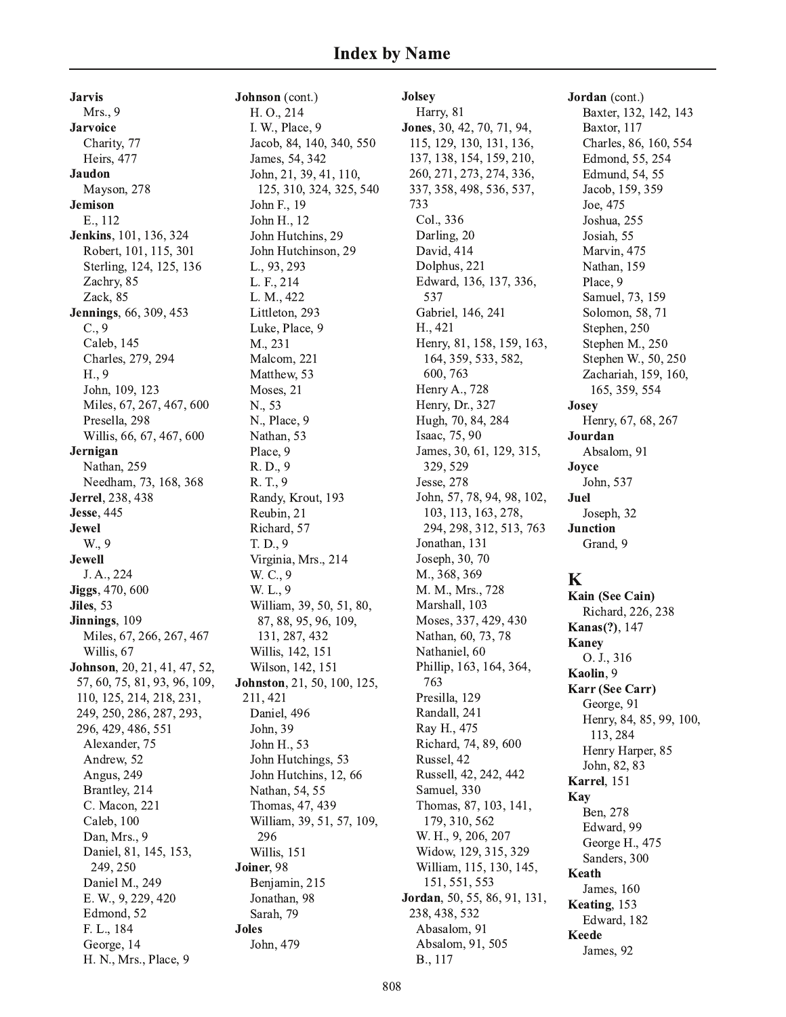**Jarvis** Mrs., 9 **Jarvoice** Charity, 77 Heirs, 477 **Jaudon** Mayson, 278 **Jemison** E., 112 Jenkins, 101, 136, 324 Robert, 101, 115, 301 Sterling, 124, 125, 136 Zachry, 85 Zack, 85 **Jennings**, 66, 309, 453  $C., 9$ Caleb, 145 Charles, 279, 294 H., 9 John, 109, 123 Miles, 67, 267, 467, 600 Presella, 298 Willis, 66, 67, 467, 600 Jernigan Nathan, 259 Needham, 73, 168, 368 **Jerrel**, 238, 438 **Jesse**, 445 **Jewel** W., 9 **Jewell** J. A., 224 **Jiggs**, 470, 600 Jiles, 53 Jinnings, 109 Miles, 67, 266, 267, 467 Willis, 67 **Johnson**, 20, 21, 41, 47, 52, 57, 60, 75, 81, 93, 96, 109, 110, 125, 214, 218, 231, 249, 250, 286, 287, 293, 296, 429, 486, 551 Alexander, 75 Andrew<sub>.</sub> 52 Angus, 249 Brantley, 214 C. Macon, 221 Caleb, 100 Dan, Mrs., 9 Daniel, 81, 145, 153, 249, 250 Daniel M., 249 E. W., 9, 229, 420 Edmond, 52 F. L., 184 George, 14 H. N., Mrs., Place, 9

Johnson (cont.) H. O., 214 I. W., Place, 9 Jacob, 84, 140, 340, 550 James, 54, 342 John, 21, 39, 41, 110, 125, 310, 324, 325, 540 John F., 19 John H., 12 John Hutchins, 29 John Hutchinson, 29 L., 93, 293 L. F., 214 L. M., 422 Littleton, 293 Luke, Place, 9 M., 231 Malcom, 221 Matthew, 53 Moses, 21 N., 53 N., Place, 9 Nathan, 53 Place, 9 R. D., 9 R. T., 9 Randy, Krout, 193 Reubin, 21 Richard, 57 T. D., 9 Virginia, Mrs., 214 W. C., 9 W. L., 9 William, 39, 50, 51, 80, 87, 88, 95, 96, 109, 131, 287, 432 Willis, 142, 151 Wilson, 142, 151 Johnston, 21, 50, 100, 125, 211, 421 Daniel, 496 John, 39 John H., 53 John Hutchings, 53 John Hutchins, 12, 66 Nathan, 54, 55 Thomas, 47, 439 William, 39, 51, 57, 109, 296 Willis, 151 Joiner, 98 Benjamin, 215 Jonathan, 98 Sarah, 79 **Joles** John, 479

**Jolsey** Harry, 81 Jones, 30, 42, 70, 71, 94, 115, 129, 130, 131, 136, 137, 138, 154, 159, 210, 260, 271, 273, 274, 336, 337, 358, 498, 536, 537, 733 Col., 336 Darling, 20 David, 414 Dolphus, 221 Edward, 136, 137, 336, 537 Gabriel, 146, 241 H., 421 Henry, 81, 158, 159, 163, 164, 359, 533, 582, 600, 763 Henry A., 728 Henry, Dr., 327 Hugh, 70, 84, 284 Isaac, 75, 90 James, 30, 61, 129, 315, 329, 529 Jesse, 278 John, 57, 78, 94, 98, 102, 103, 113, 163, 278, 294, 298, 312, 513, 763 Jonathan, 131 Joseph, 30, 70 M., 368, 369 M. M., Mrs., 728 Marshall, 103 Moses, 337, 429, 430 Nathan, 60, 73, 78 Nathaniel, 60 Phillip, 163, 164, 364, 763 Presilla, 129 Randall, 241 Ray H., 475 Richard, 74, 89, 600 Russel, 42 Russell, 42, 242, 442 Samuel, 330 Thomas, 87, 103, 141, 179, 310, 562 W. H., 9, 206, 207 Widow, 129, 315, 329 William, 115, 130, 145, 151, 551, 553 Jordan, 50, 55, 86, 91, 131, 238, 438, 532 Abasalom, 91 Absalom, 91, 505 B., 117

Jordan (cont.) Baxter, 132, 142, 143 Baxtor, 117 Charles, 86, 160, 554 Edmond, 55, 254 Edmund, 54, 55 Jacob, 159, 359 Joe, 475 Joshua, 255 Josiah, 55 Marvin, 475 Nathan, 159 Place, 9 Samuel, 73, 159 Solomon, 58, 71 Stephen, 250 Stephen M., 250 Stephen W., 50, 250 Zachariah, 159, 160, 165, 359, 554 **Josey** Henry, 67, 68, 267 Jourdan Absalom, 91 Joyce John, 537 Juel Joseph, 32 **Junction** Grand, 9

## $\mathbf K$

Kain (See Cain) Richard, 226, 238 **Kanas**(?), 147 **Kaney** O. J., 316 Kaolin, 9 Karr (See Carr) George, 91 Henry, 84, 85, 99, 100, 113, 284 Henry Harper, 85 John, 82, 83 Karrel, 151 Kav Ben, 278 Edward, 99 George H., 475 Sanders, 300 Keath James, 160 Keating, 153 Edward, 182 **Keede** James, 92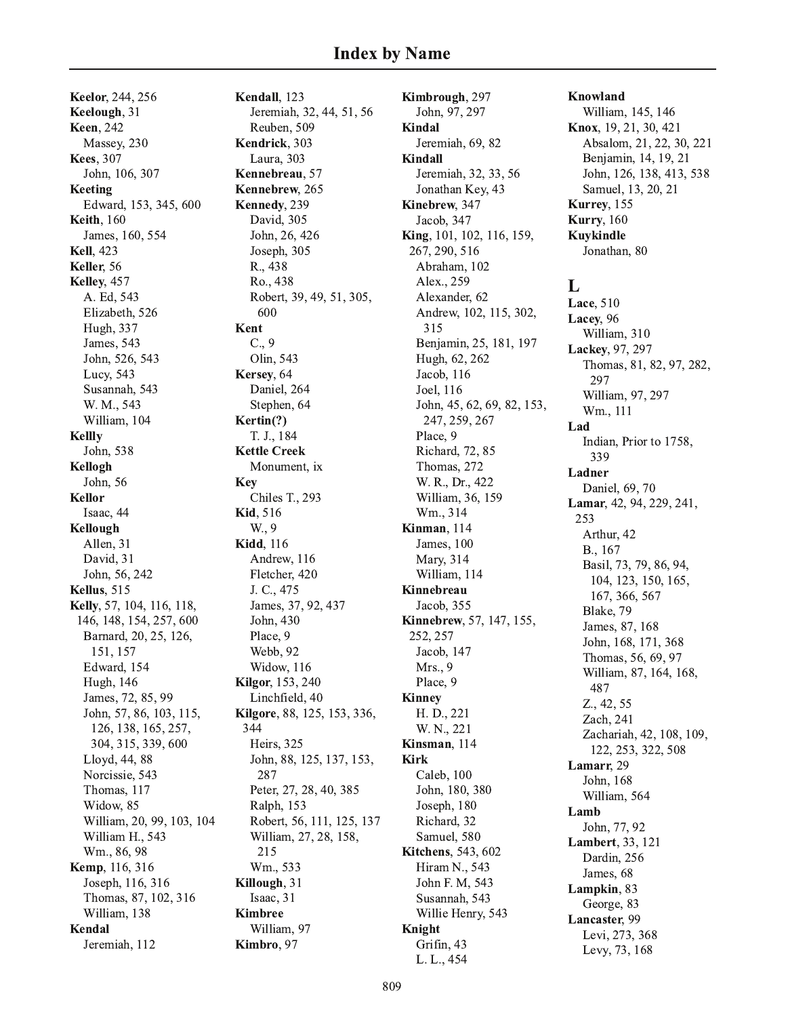**Keelor**, 244, 256 Keelough, 31 **Keen**, 242 Massey, 230 **Kees**, 307 John, 106, 307 Keeting Edward, 153, 345, 600 **Keith**, 160 James, 160, 554 **Kell.** 423 Keller, 56 Kelley, 457 A. Ed, 543 Elizabeth, 526 Hugh, 337 James, 543 John, 526, 543 Lucy, 543 Susannah, 543 W. M., 543 William, 104 **Kellly** John, 538 Kellogh John, 56 **Kellor** Isaac, 44 Kellough Allen, 31 David, 31 John, 56, 242 **Kellus**, 515 Kelly, 57, 104, 116, 118, 146, 148, 154, 257, 600 Barnard, 20, 25, 126, 151, 157 Edward, 154 **Hugh**, 146 James, 72, 85, 99 John, 57, 86, 103, 115, 126, 138, 165, 257, 304, 315, 339, 600 Lloyd, 44, 88 Norcissie, 543 Thomas, 117 Widow, 85 William, 20, 99, 103, 104 William H., 543 Wm., 86, 98 **Kemp**, 116, 316 Joseph, 116, 316 Thomas, 87, 102, 316 William, 138 Kendal Jeremiah, 112

Kendall, 123 Jeremiah, 32, 44, 51, 56 Reuben, 509 Kendrick. 303 Laura, 303 Kennebreau, 57 Kennebrew, 265 Kennedy, 239 David, 305 John, 26, 426 Joseph, 305 R., 438 Ro., 438 Robert, 39, 49, 51, 305, 600 Kent  $C., 9$ Olin, 543 Kersey, 64 Daniel, 264 Stephen, 64 Kertin(?) T. J., 184 **Kettle Creek** Monument, ix Key Chiles T., 293 **Kid, 516** W., 9 **Kidd**, 116 Andrew, 116 Fletcher, 420 J. C., 475 James, 37, 92, 437 John, 430 Place, 9 Webb, 92 Widow, 116 **Kilgor**, 153, 240 Linchfield, 40 Kilgore, 88, 125, 153, 336, 344 Heirs, 325 John, 88, 125, 137, 153, 287 Peter, 27, 28, 40, 385 Ralph, 153 Robert, 56, 111, 125, 137 William, 27, 28, 158, 215 Wm., 533 Killough, 31 Isaac, 31 **Kimbree** William, 97 Kimbro, 97

Kimbrough, 297 John, 97, 297 Kindal Jeremiah, 69, 82 **Kindall** Jeremiah, 32, 33, 56 Jonathan Key, 43 Kinebrew, 347 Jacob, 347 King, 101, 102, 116, 159, 267, 290, 516 Abraham, 102 Alex., 259 Alexander, 62 Andrew, 102, 115, 302, 315 Benjamin, 25, 181, 197 Hugh, 62, 262 Jacob, 116 Joel, 116 John, 45, 62, 69, 82, 153, 247, 259, 267 Place, 9 Richard, 72, 85 Thomas, 272 W. R., Dr., 422 William, 36, 159 Wm., 314 Kinman, 114 James, 100 Mary, 314 William, 114 Kinnebreau Jacob, 355 Kinnebrew, 57, 147, 155, 252, 257 Jacob, 147  $Mrs.$ , 9 Place, 9 **Kinney** H. D., 221 W. N., 221 Kinsman, 114 **Kirk** Caleb, 100 John, 180, 380 Joseph, 180 Richard, 32 Samuel, 580 **Kitchens**, 543, 602 Hiram N., 543 John F. M, 543 Susannah, 543 Willie Henry, 543 Knight Grifin, 43 L. L., 454

Knowland William, 145, 146 Knox, 19, 21, 30, 421 Absalom, 21, 22, 30, 221 Benjamin, 14, 19, 21 John, 126, 138, 413, 538 Samuel, 13, 20, 21 Kurrey, 155 **Kurry**, 160 **Kuykindle** Jonathan, 80 L Lace, 510 Lacey, 96 William, 310 Lackey, 97, 297 Thomas, 81, 82, 97, 282, 297 William, 97, 297 Wm., 111 Lad Indian, Prior to 1758, 339 Ladner Daniel, 69, 70 Lamar, 42, 94, 229, 241, 253 Arthur, 42 B., 167 Basil, 73, 79, 86, 94, 104, 123, 150, 165, 167, 366, 567 Blake, 79 James, 87, 168 John, 168, 171, 368 Thomas, 56, 69, 97 William, 87, 164, 168, 487 Z., 42, 55 Zach, 241 Zachariah, 42, 108, 109, 122, 253, 322, 508 Lamarr, 29 John, 168 William, 564 Lamb John, 77, 92 **Lambert**, 33, 121 Dardin, 256 James, 68 Lampkin, 83 George, 83 Lancaster, 99 Levi, 273, 368 Levy, 73, 168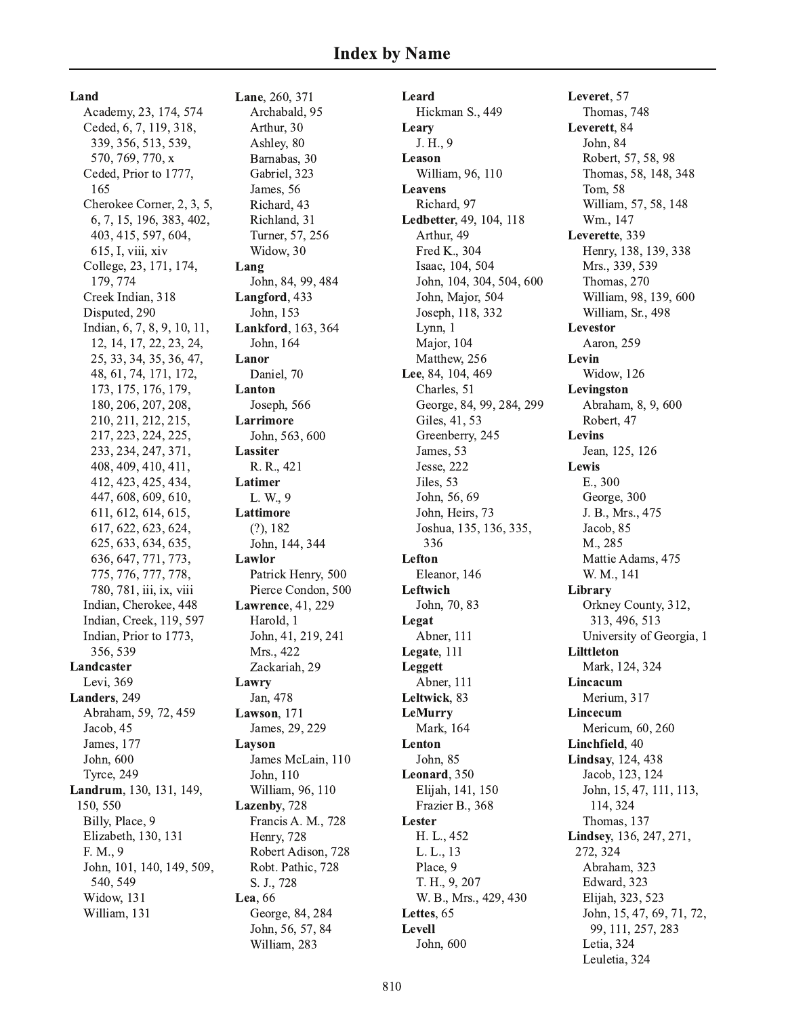Land Academy, 23, 174, 574 Ceded, 6, 7, 119, 318, 339, 356, 513, 539, 570, 769, 770, x Ceded, Prior to 1777, 165 Cherokee Corner, 2, 3, 5, 6, 7, 15, 196, 383, 402, 403, 415, 597, 604, 615, I, viii, xiv College, 23, 171, 174, 179, 774 Creek Indian, 318 Disputed, 290 Indian, 6, 7, 8, 9, 10, 11, 12, 14, 17, 22, 23, 24, 25, 33, 34, 35, 36, 47, 48, 61, 74, 171, 172, 173, 175, 176, 179, 180, 206, 207, 208, 210, 211, 212, 215, 217, 223, 224, 225, 233, 234, 247, 371, 408, 409, 410, 411, 412, 423, 425, 434, 447, 608, 609, 610, 611, 612, 614, 615, 617, 622, 623, 624, 625, 633, 634, 635, 636, 647, 771, 773, 775, 776, 777, 778, 780, 781, iii, ix, viii Indian, Cherokee, 448 Indian, Creek, 119, 597 Indian, Prior to 1773, 356, 539 Landcaster Levi. 369 Landers, 249 Abraham, 59, 72, 459 Jacob, 45 James, 177 John. 600 **Tyrce**, 249 Landrum, 130, 131, 149, 150, 550 Billy, Place, 9 Elizabeth, 130, 131 F. M., 9 John, 101, 140, 149, 509, 540, 549 Widow, 131 William, 131

Lane, 260, 371 Archabald, 95 Arthur, 30 Ashley, 80 Barnabas, 30 Gabriel. 323 James, 56 Richard, 43 Richland, 31 Turner, 57, 256 Widow, 30 Lang John, 84, 99, 484 Langford, 433 John, 153 Lankford, 163, 364 John, 164 Lanor Daniel, 70 Lanton Joseph, 566 Larrimore John, 563, 600 **Lassiter** R. R., 421 Latimer L. W., 9 Lattimore  $(?)$ , 182 John, 144, 344 Lawlor Patrick Henry, 500 Pierce Condon, 500 Lawrence, 41, 229 Harold, 1 John, 41, 219, 241 Mrs., 422 Zackariah, 29 Lawry Jan, 478 Lawson, 171 James, 29, 229 Layson James McLain, 110 John, 110 William, 96, 110 Lazenby, 728 Francis A. M., 728 Henry, 728 Robert Adison, 728 Robt. Pathic, 728 S. J., 728 Lea, 66 George, 84, 284 John, 56, 57, 84 William, 283

Leard Hickman S., 449 Leary J. H., 9 Leason William, 96, 110 **Leavens** Richard, 97 Ledbetter, 49, 104, 118 Arthur, 49 Fred K., 304 Isaac, 104, 504 John, 104, 304, 504, 600 John, Major, 504 Joseph, 118, 332 Lynn, 1 Major, 104 Matthew, 256 Lee, 84, 104, 469 Charles, 51 George, 84, 99, 284, 299 Giles, 41, 53 Greenberry, 245 James, 53 Jesse, 222 Jiles. 53 John, 56, 69 John, Heirs, 73 Joshua, 135, 136, 335, 336 Lefton Eleanor, 146 Leftwich John, 70, 83 Legat Abner, 111 Legate, 111 Leggett Abner, 111 Leltwick, 83 LeMurry Mark, 164 Lenton John, 85 Leonard, 350 Elijah, 141, 150 Frazier B., 368 Lester H. L., 452 L. L., 13 Place, 9 T. H., 9, 207 W. B., Mrs., 429, 430 Lettes, 65 Levell John, 600

Leveret, 57 Thomas, 748 Leverett, 84 John, 84 Robert, 57, 58, 98 Thomas, 58, 148, 348 Tom. 58 William, 57, 58, 148 Wm., 147 Leverette, 339 Henry, 138, 139, 338 Mrs., 339, 539 Thomas, 270 William, 98, 139, 600 William, Sr., 498 **Levestor** Aaron, 259 Levin Widow, 126 Levingston Abraham, 8, 9, 600 Robert, 47 Levins Jean, 125, 126 Lewis E., 300 George, 300 J. B., Mrs., 475 Jacob, 85 M., 285 Mattie Adams, 475 W. M., 141 Library Orkney County, 312, 313, 496, 513 University of Georgia, 1 Lilttleton Mark, 124, 324 Lincacum Merium, 317 **Lincecum** Mericum, 60, 260 Linchfield, 40 **Lindsay**, 124, 438 Jacob, 123, 124 John, 15, 47, 111, 113, 114, 324 Thomas, 137 Lindsey, 136, 247, 271, 272.324 Abraham, 323 Edward, 323 Elijah, 323, 523 John, 15, 47, 69, 71, 72, 99, 111, 257, 283 Letia, 324 Leuletia, 324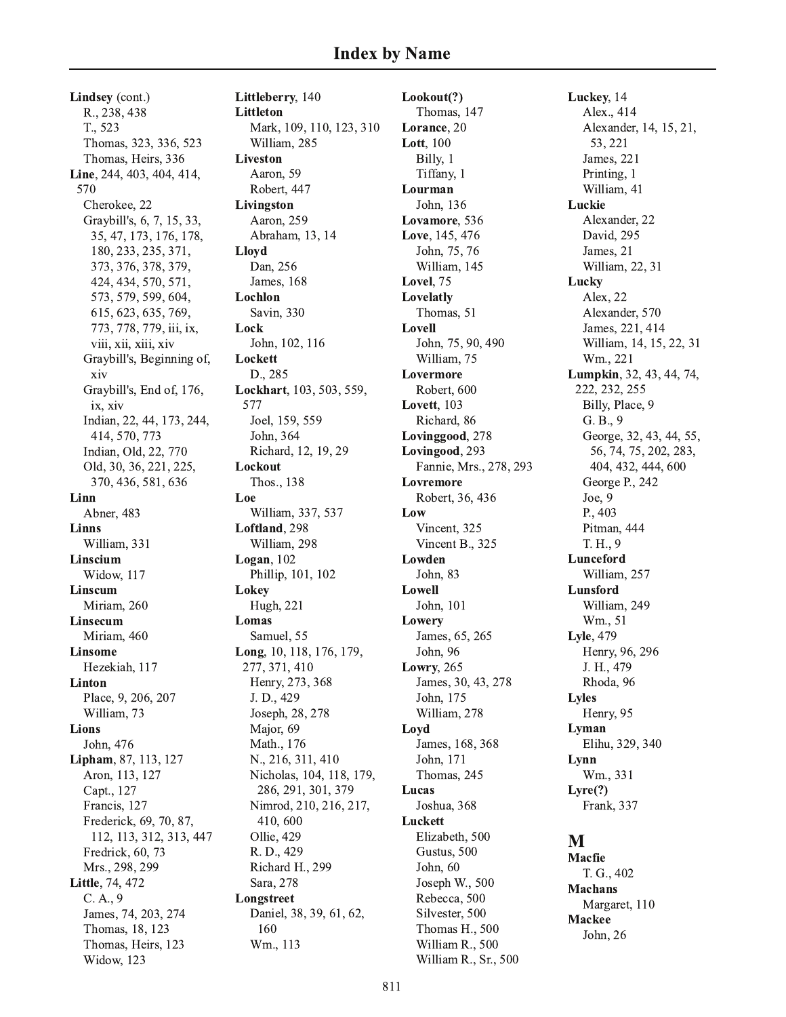Lindsey (cont.) R., 238, 438 T., 523 Thomas, 323, 336, 523 Thomas, Heirs, 336 Line, 244, 403, 404, 414, 570 Cherokee, 22 Graybill's, 6, 7, 15, 33, 35, 47, 173, 176, 178, 180, 233, 235, 371, 373, 376, 378, 379, 424, 434, 570, 571, 573, 579, 599, 604, 615, 623, 635, 769, 773, 778, 779, iii, ix, viii, xii, xiii, xiv Graybill's, Beginning of, xiv Graybill's, End of, 176, ix. xiv Indian, 22, 44, 173, 244, 414, 570, 773 Indian, Old, 22, 770 Old, 30, 36, 221, 225, 370, 436, 581, 636 Linn Abner, 483 **Linns** William, 331 Linscium Widow, 117 Linscum Miriam, 260 Linsecum Miriam, 460 **Linsome** Hezekiah, 117 Linton Place, 9, 206, 207 William, 73 **Lions** John, 476 Lipham, 87, 113, 127 Aron, 113, 127 Capt., 127 Francis, 127 Frederick, 69, 70, 87, 112, 113, 312, 313, 447 Fredrick, 60, 73 Mrs., 298, 299 Little, 74, 472  $C. A., 9$ James, 74, 203, 274 Thomas, 18, 123 Thomas, Heirs, 123 Widow, 123

Littleberry, 140 **Littleton** Mark, 109, 110, 123, 310 William, 285 **Liveston** Aaron. 59 Robert, 447 Livingston Aaron, 259 Abraham, 13, 14 **Llovd** Dan, 256 **James**, 168 Lochlon Savin, 330 Lock John, 102, 116 Lockett D., 285 Lockhart, 103, 503, 559, 577 Joel, 159, 559 John, 364 Richard, 12, 19, 29 Lockout Thos., 138 Loe William, 337, 537 Loftland, 298 William, 298 Logan,  $102$ Phillip, 101, 102 Lokey Hugh, 221 Lomas Samuel, 55 Long, 10, 118, 176, 179, 277, 371, 410 Henry, 273, 368 J.D., 429 Joseph, 28, 278 Major, 69 Math., 176 N., 216, 311, 410 Nicholas, 104, 118, 179, 286, 291, 301, 379 Nimrod, 210, 216, 217, 410,600 Ollie, 429 R. D., 429 Richard H., 299 Sara, 278 Longstreet Daniel, 38, 39, 61, 62, 160 Wm., 113

Lookout(?) Thomas, 147 Lorance, 20 **Lott**, 100 Billy, 1 Tiffany, 1 Lourman John, 136 Lovamore, 536 Love, 145, 476 John, 75, 76 William, 145 Lovel. 75 Lovelatly Thomas, 51 Lovell John, 75, 90, 490 William, 75 Lovermore Robert, 600 Lovett, 103 Richard, 86 Lovinggood, 278 Lovingood, 293 Fannie, Mrs., 278, 293 Lovremore Robert, 36, 436 Low Vincent, 325 Vincent B., 325 Lowden John, 83 Lowell John, 101 Lowery James, 65, 265 John, 96 **Lowry**, 265 James, 30, 43, 278 John, 175 William, 278 Loyd James, 168, 368 John. 171 Thomas, 245 Lucas Joshua, 368 Luckett Elizabeth, 500 Gustus, 500 John, 60 Joseph W., 500 Rebecca, 500 Silvester, 500 Thomas H., 500 William R., 500 William R., Sr., 500

Luckey, 14 Alex., 414 Alexander, 14, 15, 21, 53, 221 James, 221 Printing, 1 William, 41 Luckie Alexander, 22 David, 295 James, 21 William, 22, 31 Lucky Alex, 22 Alexander, 570 James, 221, 414 William, 14, 15, 22, 31 Wm., 221 Lumpkin, 32, 43, 44, 74, 222, 232, 255 Billy, Place, 9 G. B., 9 George, 32, 43, 44, 55, 56, 74, 75, 202, 283, 404, 432, 444, 600 George P., 242 Joe,  $9$ P., 403 Pitman, 444 T. H., 9 Lunceford William, 257 Lunsford William, 249 Wm., 51 Lyle, 479 Henry, 96, 296 J. H., 479 Rhoda, 96 **Lyles** Henry, 95 Lyman Elihu, 329, 340 Lynn Wm., 331  $Lvre(?)$ Frank, 337 M **Macfie** 

T. G., 402 **Machans** Margaret, 110 **Mackee** John, 26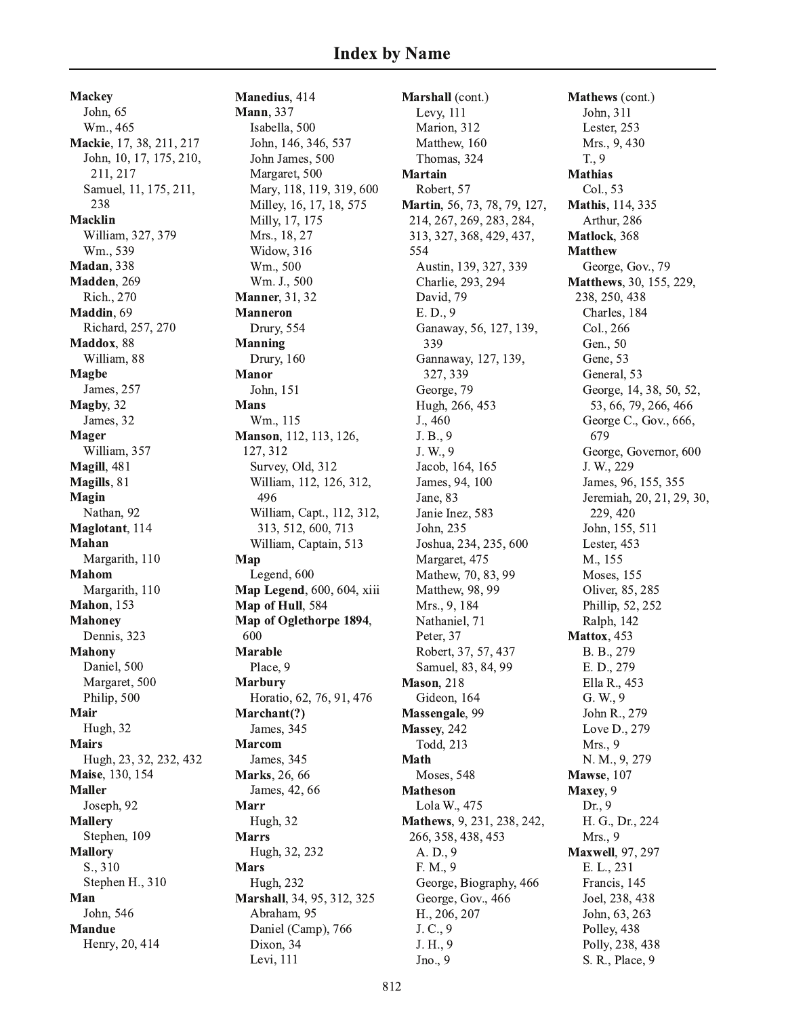**Mackey** John, 65 Wm., 465 **Mackie**, 17, 38, 211, 217 John, 10, 17, 175, 210, 211, 217 Samuel, 11, 175, 211, 238 Macklin William, 327, 379 Wm., 539 Madan, 338 **Madden**, 269 Rich., 270 Maddin, 69 Richard, 257, 270 Maddox, 88 William, 88 **Magbe** James, 257 **Magby**, 32 James, 32 Mager William, 357 **Magill**, 481 Magills, 81 Magin Nathan, 92 Maglotant, 114 Mahan Margarith, 110 Mahom Margarith, 110 **Mahon**, 153 Mahoney Dennis, 323 Mahony Daniel, 500 Margaret, 500 Philip, 500 Mair Hugh, 32 **Mairs** Hugh, 23, 32, 232, 432 Maise, 130, 154 Maller Joseph, 92 **Mallery** Stephen, 109 **Mallory**  $\mathbf{S}_{\cdot}, 310$ Stephen H., 310 Man John, 546 Mandue Henry, 20, 414

Manedius, 414 **Mann**, 337 Isabella, 500 John, 146, 346, 537 John James, 500 Margaret, 500 Mary, 118, 119, 319, 600 Milley, 16, 17, 18, 575 Milly, 17, 175 Mrs., 18, 27 Widow, 316 Wm., 500 Wm. J., 500 **Manner**, 31, 32 Manneron Drury, 554 **Manning** Drury, 160 Manor John, 151 Mans Wm., 115 **Manson**, 112, 113, 126, 127, 312 Survey, Old, 312 William, 112, 126, 312, 496 William, Capt., 112, 312, 313, 512, 600, 713 William, Captain, 513 Map Legend, 600 Map Legend, 600, 604, xiii Map of Hull, 584 Map of Oglethorpe 1894, 600 Marable Place, 9 Marbury Horatio, 62, 76, 91, 476 Marchant(?) James, 345 **Marcom** James, 345 Marks, 26, 66 James, 42, 66 Marr Hugh, 32 **Marrs** Hugh, 32, 232 Mars Hugh, 232 Marshall, 34, 95, 312, 325 Abraham, 95 Daniel (Camp), 766 Dixon, 34

Marshall (cont.) Levy, 111 Marion, 312 Matthew, 160 Thomas, 324 Martain Robert, 57 **Martin**, 56, 73, 78, 79, 127, 214, 267, 269, 283, 284, 313, 327, 368, 429, 437, 554 Austin, 139, 327, 339 Charlie, 293, 294 David, 79 E.D., 9 Ganaway, 56, 127, 139, 339 Gannaway, 127, 139, 327, 339 George, 79 Hugh, 266, 453 J., 460 J. B., 9 J. W., 9 Jacob, 164, 165 James, 94, 100 Jane, 83 Janie Inez, 583 John, 235 Joshua, 234, 235, 600 Margaret, 475 Mathew, 70, 83, 99 Matthew, 98, 99 Mrs., 9, 184 Nathaniel, 71 Peter, 37 Robert, 37, 57, 437 Samuel, 83, 84, 99 Mason, 218 Gideon, 164 Massengale, 99 Massev, 242 Todd, 213 Math Moses, 548 Matheson Lola W., 475 Mathews, 9, 231, 238, 242, 266, 358, 438, 453 A. D., 9 F. M., 9 George, Biography, 466 George, Gov., 466 H., 206, 207 J. C., 9 J. H., 9 Jno., 9

**Mathews** (cont.) John, 311 Lester, 253 Mrs., 9, 430  $T., 9$ Mathias Col., 53 **Mathis**, 114, 335 Arthur, 286 **Matlock**, 368 Matthew George, Gov., 79 **Matthews**, 30, 155, 229, 238, 250, 438 Charles, 184 Col., 266 Gen., 50 Gene, 53 General, 53 George, 14, 38, 50, 52, 53, 66, 79, 266, 466 George C., Gov., 666, 679 George, Governor, 600 J. W., 229 James, 96, 155, 355 Jeremiah, 20, 21, 29, 30, 229, 420 John, 155, 511 Lester, 453 M., 155 Moses, 155 Oliver, 85, 285 Phillip, 52, 252 Ralph, 142 **Mattox**, 453 B. B., 279 E. D., 279 Ella R., 453 G. W., 9 John R., 279 Love D., 279 Mrs., 9 N. M., 9, 279 **Mawse**, 107 Maxey, 9  $Dr., 9$ H. G., Dr., 224 Mrs., 9 Maxwell, 97, 297 E. L., 231 Francis, 145 Joel, 238, 438 John, 63, 263 Polley, 438 Polly, 238, 438 S. R., Place, 9

Levi, 111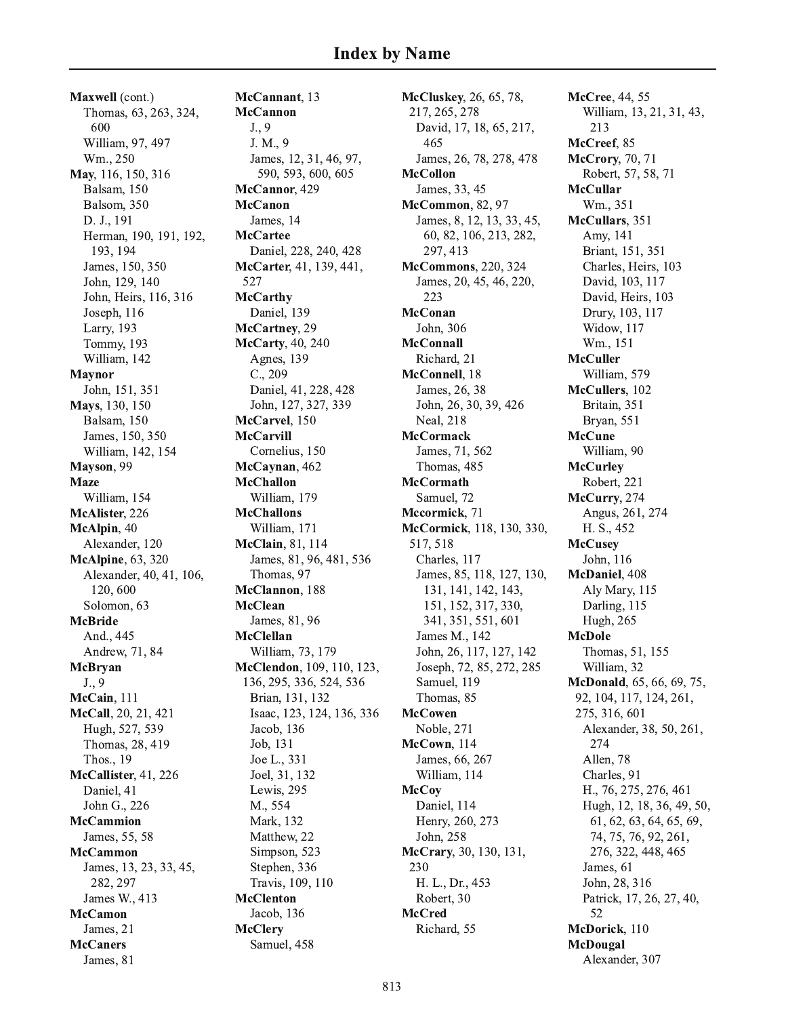Maxwell (cont.) Thomas, 63, 263, 324, 600 William, 97, 497 Wm., 250 May, 116, 150, 316 Balsam, 150 Balsom, 350 D. J., 191 Herman, 190, 191, 192, 193, 194 James, 150, 350 John, 129, 140 John, Heirs, 116, 316 Joseph, 116 Larry, 193 Tommy, 193 William, 142 **Maynor** John, 151, 351 Mays, 130, 150 Balsam, 150 James, 150, 350 William, 142, 154 Mayson, 99 **Maze** William, 154 McAlister, 226 McAlpin, 40 Alexander, 120 **McAlpine**, 63, 320 Alexander, 40, 41, 106, 120,600 Solomon, 63 **McBride** And., 445 Andrew, 71, 84 McBryan  $J., 9$ McCain, 111 McCall, 20, 21, 421 Hugh, 527, 539 Thomas, 28, 419 Thos., 19 McCallister, 41, 226 Daniel, 41 John G., 226 **McCammion** James, 55, 58 **McCammon** James, 13, 23, 33, 45, 282, 297 James W., 413 **McCamon** James, 21 **McCaners** James, 81

McCannant, 13 **McCannon**  $J., 9$ J. M., 9 James, 12, 31, 46, 97, 590, 593, 600, 605 McCannor, 429 **McCanon** James, 14 **McCartee** Daniel, 228, 240, 428 McCarter, 41, 139, 441, 527 **McCarthy** Daniel, 139 McCartney, 29 McCarty, 40, 240 Agnes, 139  $C., 209$ Daniel, 41, 228, 428 John, 127, 327, 339 McCarvel. 150 **McCarvill** Cornelius, 150 McCaynan, 462 **McChallon** William, 179 **McChallons** William, 171 McClain, 81, 114 James, 81, 96, 481, 536 Thomas, 97 McClannon. 188 **McClean** James, 81, 96 **McClellan** William, 73, 179 McClendon, 109, 110, 123, 136, 295, 336, 524, 536 Brian, 131, 132 Isaac, 123, 124, 136, 336 Jacob, 136 Job, 131 Joe L., 331 Joel, 31, 132 Lewis, 295 M., 554 Mark, 132 Matthew, 22 Simpson, 523 Stephen, 336 Travis, 109, 110 **McClenton** Jacob, 136 **McClery** Samuel, 458

McCluskey, 26, 65, 78, 217, 265, 278 David, 17, 18, 65, 217, 465 James, 26, 78, 278, 478 **McCollon** James, 33, 45 McCommon, 82, 97 James, 8, 12, 13, 33, 45, 60, 82, 106, 213, 282, 297, 413 **McCommons**, 220, 324 James, 20, 45, 46, 220, 223 **McConan** John. 306 **McConnall** Richard, 21 McConnell, 18 James, 26, 38 John, 26, 30, 39, 426 **Neal**, 218 **McCormack** James, 71, 562 Thomas, 485 **McCormath** Samuel, 72 Mccormick, 71 McCormick, 118, 130, 330, 517, 518 Charles, 117 James, 85, 118, 127, 130, 131, 141, 142, 143, 151, 152, 317, 330, 341, 351, 551, 601 James M., 142 John, 26, 117, 127, 142 Joseph, 72, 85, 272, 285 Samuel, 119 Thomas, 85 **McCowen** Noble, 271 McCown, 114 James, 66, 267 William, 114 **McCoy** Daniel, 114 Henry, 260, 273 John, 258 McCrary, 30, 130, 131, 230 H. L., Dr., 453 Robert, 30 **McCred** Richard, 55

McCree, 44, 55 William, 13, 21, 31, 43, 213 McCreef, 85 McCrory, 70, 71 Robert, 57, 58, 71 **McCullar** Wm., 351 McCullars, 351 Amy, 141 Briant, 151, 351 Charles, Heirs, 103 David, 103, 117 David, Heirs, 103 Drury, 103, 117 Widow, 117 Wm., 151 **McCuller** William, 579 McCullers, 102 Britain, 351 Bryan, 551 **McCune** William, 90 **McCurley** Robert, 221 McCurry, 274 Angus, 261, 274 H. S., 452 **McCusey** John, 116 McDaniel, 408 Aly Mary, 115 Darling, 115 Hugh, 265 **McDole** Thomas, 51, 155 William, 32 McDonald, 65, 66, 69, 75, 92, 104, 117, 124, 261, 275, 316, 601 Alexander, 38, 50, 261, 274 Allen, 78 Charles, 91 H., 76, 275, 276, 461 Hugh, 12, 18, 36, 49, 50, 61, 62, 63, 64, 65, 69, 74, 75, 76, 92, 261, 276, 322, 448, 465 James, 61 John, 28, 316 Patrick, 17, 26, 27, 40, 52 McDorick. 110 McDougal Alexander, 307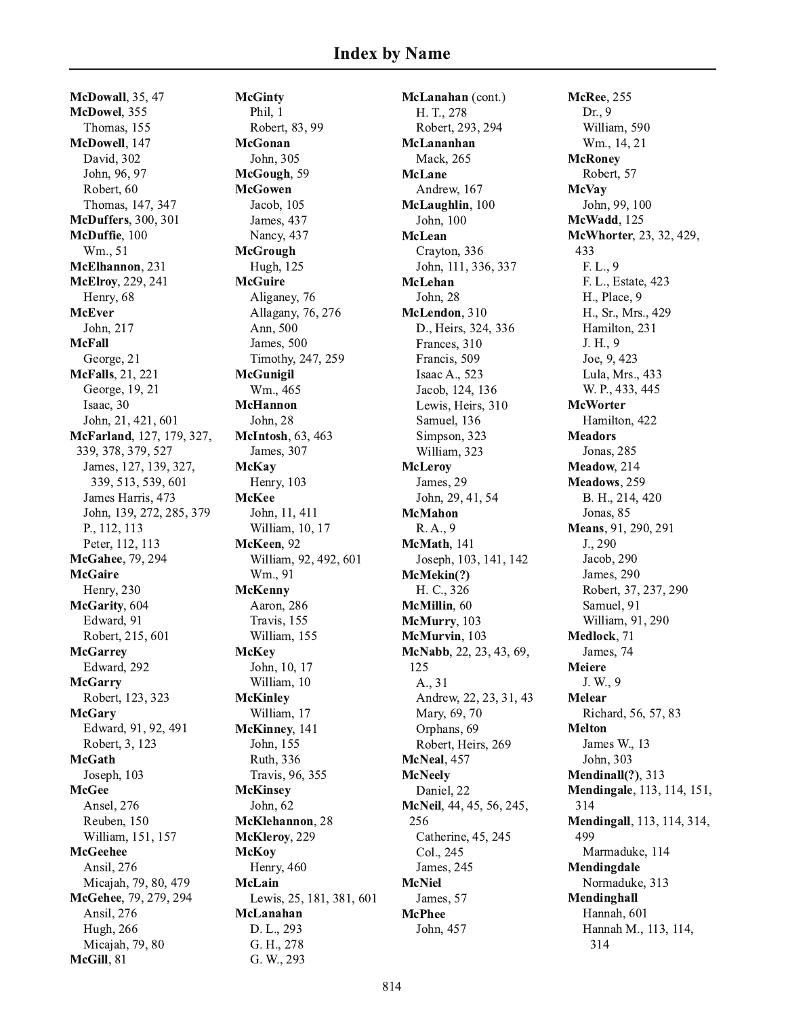**McDowall**, 35, 47 McDowel, 355 Thomas, 155 McDowell, 147 David. 302 John, 96, 97 Robert, 60 Thomas, 147, 347 **McDuffers**, 300, 301 McDuffie, 100 Wm., 51 McElhannon, 231 McElroy, 229, 241 Henry, 68 **McEver** John. 217 **McFall** George, 21 McFalls, 21, 221 George, 19, 21 Isaac, 30 John, 21, 421, 601 McFarland, 127, 179, 327, 339, 378, 379, 527 James, 127, 139, 327, 339, 513, 539, 601 James Harris, 473 John, 139, 272, 285, 379 P., 112, 113 Peter, 112, 113 McGahee, 79, 294 **McGaire** Henry, 230 McGarity, 604 Edward, 91 Robert, 215, 601 **McGarrey** Edward, 292 **McGarry** Robert, 123, 323 **McGary** Edward, 91, 92, 491 Robert, 3, 123 **McGath** Joseph, 103 **McGee** Ansel, 276 Reuben, 150 William, 151, 157 **McGeehee** Ansil, 276 Micajah, 79, 80, 479 McGehee, 79, 279, 294 Ansil, 276 **Hugh**, 266 Micajah, 79, 80 McGill, 81

**McGinty** Phil. 1 Robert, 83, 99 McGonan John, 305 McGough, 59 **McGowen** Jacob, 105 James, 437 Nancy, 437 **McGrough** Hugh, 125 **McGuire** Aliganey, 76 Allagany, 76, 276 Ann, 500 James, 500 Timothy, 247, 259 **McGunigil** Wm., 465 **McHannon** John. 28 McIntosh, 63, 463 James, 307 **McKay** Henry, 103 **McKee** John, 11, 411 William, 10, 17 McKeen, 92 William, 92, 492, 601 Wm., 91 **McKenny** Aaron, 286 Travis, 155 William, 155 **McKey** John, 10, 17 William, 10 **McKinley** William, 17 McKinney, 141 John, 155 Ruth, 336 Travis, 96, 355 **McKinsey** John, 62 McKlehannon, 28 McKleroy, 229 **McKoy** Henry, 460 **McLain** Lewis, 25, 181, 381, 601 McLanahan D. L., 293 G. H., 278 G. W., 293

McLanahan (cont.) H. T., 278 Robert, 293, 294 McLananhan Mack, 265 **McLane** Andrew, 167 McLaughlin, 100 John, 100 **McLean** Crayton, 336 John, 111, 336, 337 McLehan John, 28 McLendon, 310 D., Heirs, 324, 336 Frances, 310 Francis, 509 Isaac A., 523 Jacob, 124, 136 Lewis, Heirs, 310 Samuel, 136 Simpson, 323 William, 323 **McLeroy** James, 29 John, 29, 41, 54 **McMahon** R. A., 9 McMath, 141 Joseph, 103, 141, 142 McMekin(?) H. C., 326 McMillin, 60 McMurry, 103 McMurvin, 103 McNabb, 22, 23, 43, 69, 125 A., 31 Andrew, 22, 23, 31, 43 Mary, 69, 70 Orphans, 69 Robert, Heirs, 269 McNeal, 457 **McNeely** Daniel, 22 McNeil, 44, 45, 56, 245, 256 Catherine, 45, 245 Col., 245 James, 245 **McNiel** James, 57 **McPhee** John, 457

**McRee**, 255 Dr., 9 William, 590 Wm., 14, 21 **McRoney** Robert, 57 **McVay** John, 99, 100 McWadd, 125 McWhorter, 23, 32, 429, 433 F. L., 9 F. L., Estate, 423 H., Place, 9 H., Sr., Mrs., 429 Hamilton, 231 J. H., 9 Joe, 9, 423 Lula, Mrs., 433 W. P., 433, 445 **McWorter** Hamilton, 422 **Meadors** Jonas, 285 Meadow, 214 Meadows, 259 B. H., 214, 420 Jonas, 85 Means, 91, 290, 291 J., 290 Jacob, 290 James, 290 Robert, 37, 237, 290 Samuel, 91 William, 91, 290 Medlock, 71 James, 74 **Meiere** J.W., 9 **Melear** Richard, 56, 57, 83 **Melton** James W., 13 John. 303 Mendinall $(?)$ , 313 Mendingale, 113, 114, 151, 314 Mendingall, 113, 114, 314, 499 Marmaduke, 114 Mendingdale Normaduke, 313 Mendinghall Hannah, 601 Hannah M., 113, 114, 314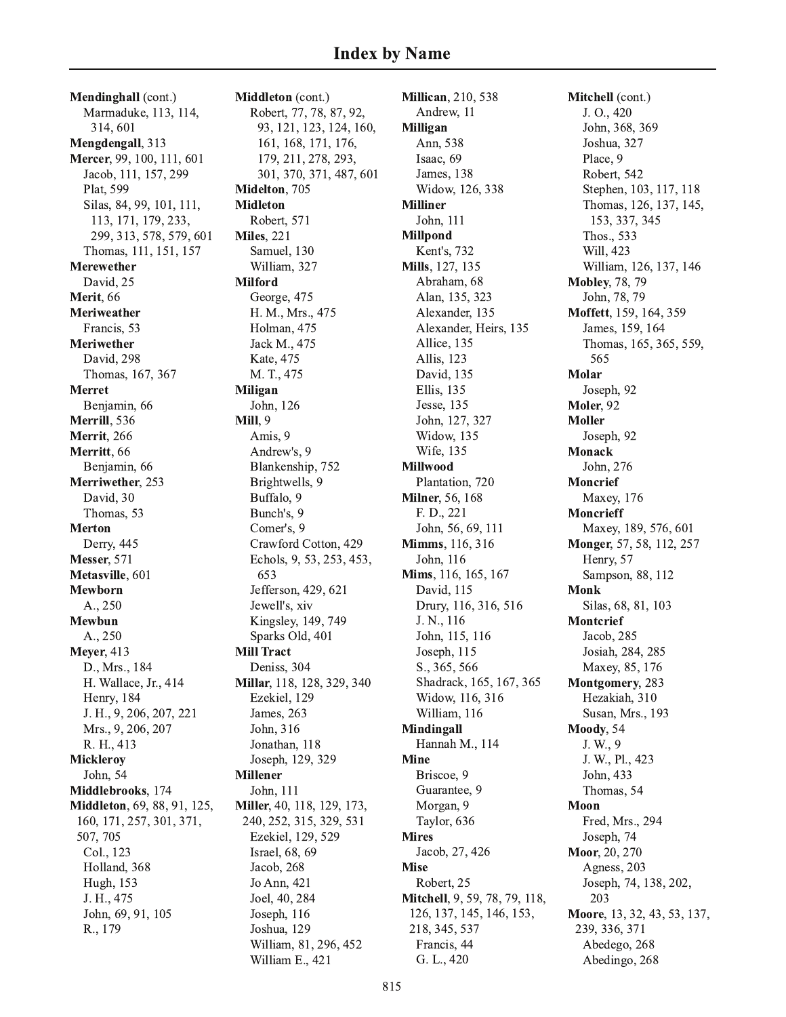Mendinghall (cont.) Marmaduke, 113, 114, 314,601 Mengdengall, 313 Mercer, 99, 100, 111, 601 Jacob, 111, 157, 299 Plat, 599 Silas, 84, 99, 101, 111, 113, 171, 179, 233, 299, 313, 578, 579, 601 Thomas, 111, 151, 157 **Merewether** David. 25 Merit, 66 Meriweather Francis, 53 **Meriwether** David, 298 Thomas, 167, 367 **Merret** Benjamin, 66 Merrill, 536 **Merrit**, 266 Merritt, 66 Benjamin, 66 Merriwether, 253 David, 30 Thomas, 53 **Merton** Derry, 445 **Messer**, 571 Metasville, 601 Mewborn A., 250 Mewbun A., 250 **Mever**, 413 D., Mrs., 184 H. Wallace, Jr., 414 Henry, 184 J. H., 9, 206, 207, 221 Mrs., 9, 206, 207 R. H., 413 Micklerov John, 54 Middlebrooks, 174 Middleton, 69, 88, 91, 125, 160, 171, 257, 301, 371, 507, 705 Col., 123 Holland, 368 Hugh, 153 J. H., 475 John, 69, 91, 105 R., 179

Middleton (cont.) Robert, 77, 78, 87, 92, 93, 121, 123, 124, 160, 161, 168, 171, 176, 179, 211, 278, 293, 301, 370, 371, 487, 601 Midelton, 705 **Midleton** Robert, 571 **Miles**, 221 Samuel, 130 William, 327 **Milford** George, 475 H. M., Mrs., 475 Holman, 475 Jack M., 475 Kate, 475 M. T., 475 **Miligan** John, 126 **Mill**, 9 Amis, 9 Andrew's, 9 Blankenship, 752 Brightwells, 9 Buffalo, 9 Bunch's, 9 Comer's, 9 Crawford Cotton, 429 Echols, 9, 53, 253, 453, 653 Jefferson, 429, 621 Jewell's, xiv Kingsley, 149, 749 Sparks Old, 401 **Mill Tract** Deniss, 304 Millar, 118, 128, 329, 340 Ezekiel, 129 James, 263 John, 316 Jonathan, 118 Joseph, 129, 329 **Millener** John, 111 Miller, 40, 118, 129, 173, 240, 252, 315, 329, 531 Ezekiel, 129, 529 Israel, 68, 69 Jacob, 268 Jo Ann, 421 Joel, 40, 284 Joseph, 116 Joshua, 129 William, 81, 296, 452 William E., 421

**Millican**, 210, 538 Andrew, 11 Milligan Ann, 538 Isaac, 69 James, 138 Widow, 126, 338 **Milliner** John, 111 **Millpond** Kent's, 732 Mills, 127, 135 Abraham. 68 Alan, 135, 323 Alexander, 135 Alexander, Heirs, 135 Allice, 135 Allis, 123 David, 135 Ellis, 135 Jesse, 135 John. 127, 327 Widow, 135 **Wife**, 135 **Millwood** Plantation, 720 **Milner**, 56, 168 F. D., 221 John, 56, 69, 111 **Mimms**, 116, 316 John, 116 Mims, 116, 165, 167 David. 115 Drury, 116, 316, 516 J. N., 116 John, 115, 116 Joseph, 115 S., 365, 566 Shadrack, 165, 167, 365 Widow, 116, 316 William, 116 Mindingall Hannah M., 114 **Mine** Briscoe, 9 Guarantee, 9 Morgan, 9 Taylor, 636 **Mires** Jacob, 27, 426 **Mise** Robert, 25 Mitchell, 9, 59, 78, 79, 118, 126, 137, 145, 146, 153, 218, 345, 537 Francis, 44 G. L., 420

Mitchell (cont.) J. O., 420 John, 368, 369 Joshua, 327 Place, 9 Robert, 542 Stephen, 103, 117, 118 Thomas, 126, 137, 145, 153, 337, 345 Thos., 533 Will, 423 William, 126, 137, 146 **Mobley, 78, 79** John, 78, 79 Moffett, 159, 164, 359 James, 159, 164 Thomas, 165, 365, 559, 565 Molar Joseph, 92 Moler, 92 **Moller** Joseph, 92 Monack John, 276 **Moncrief** Maxey, 176 **Moncrieff** Maxey, 189, 576, 601 Monger, 57, 58, 112, 257 Henry, 57 Sampson, 88, 112 **Monk** Silas, 68, 81, 103 **Montcrief** Jacob, 285 Josiah, 284, 285 Maxey, 85, 176 Montgomery, 283 Hezakiah, 310 Susan, Mrs., 193 Moody, 54 J. W., 9 J. W., Pl., 423 John, 433 Thomas, 54 Moon Fred, Mrs., 294 Joseph, 74 Moor, 20, 270 Agness, 203 Joseph, 74, 138, 202, 203 Moore, 13, 32, 43, 53, 137, 239, 336, 371 Abedego, 268 Abedingo, 268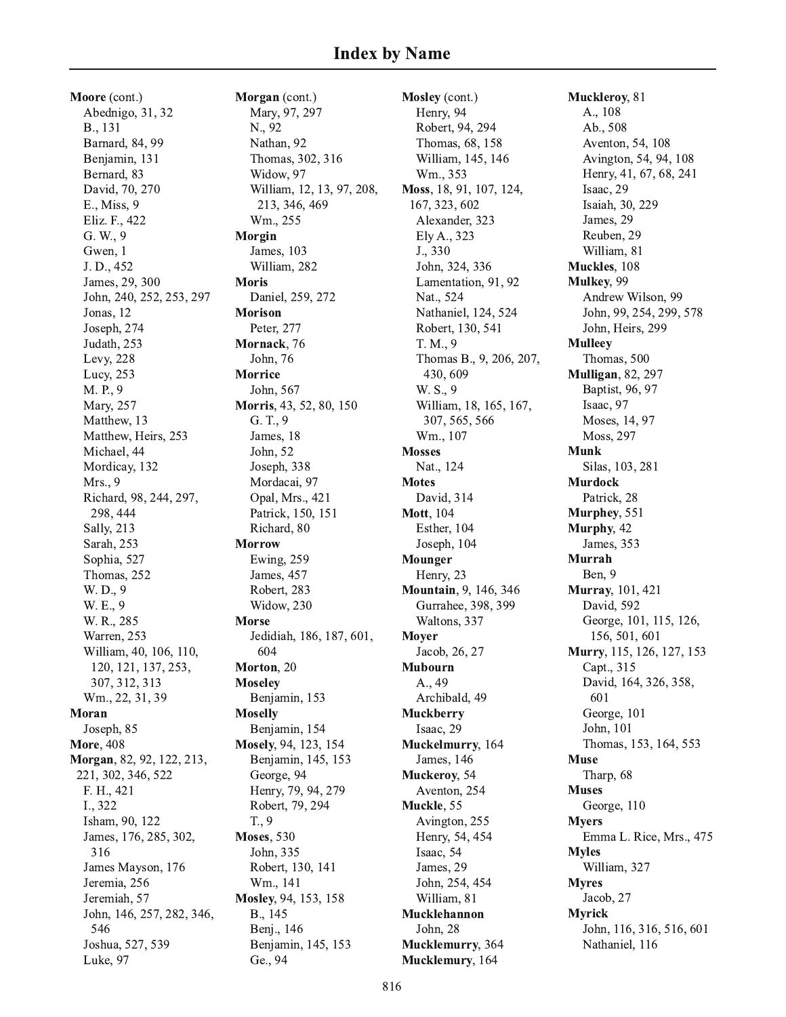Moore (cont.) Abednigo, 31, 32 B., 131 Barnard, 84, 99 Benjamin, 131 Bernard, 83 David, 70, 270 E., Miss, 9 Eliz. F., 422 G. W., 9 Gwen, 1 J.D., 452 James, 29, 300 John, 240, 252, 253, 297 Jonas, 12 Joseph, 274 Judath, 253 Levy, 228 Lucy, 253 M. P., 9 Mary, 257 Matthew, 13 Matthew, Heirs, 253 Michael, 44 Mordicay, 132 Mrs., 9 Richard, 98, 244, 297, 298, 444 Sally, 213 Sarah, 253 Sophia, 527 Thomas, 252 W. D., 9 W. E., 9 W. R., 285 Warren, 253 William, 40, 106, 110, 120, 121, 137, 253, 307, 312, 313 Wm., 22, 31, 39 Moran Joseph, 85 **More, 408** Morgan, 82, 92, 122, 213, 221, 302, 346, 522 F. H., 421 I., 322 Isham, 90, 122 James, 176, 285, 302, 316 James Mayson, 176 Jeremia, 256 Jeremiah, 57 John, 146, 257, 282, 346, 546 Joshua, 527, 539 Luke, 97

Morgan (cont.) Mary, 97, 297 N., 92 Nathan, 92 Thomas, 302, 316 Widow, 97 William, 12, 13, 97, 208, 213, 346, 469 Wm., 255 Morgin James, 103 William, 282 **Moris** Daniel, 259, 272 **Morison** Peter, 277 Mornack, 76 John, 76 **Morrice** John, 567 Morris, 43, 52, 80, 150 G. T., 9 James, 18 John, 52 Joseph, 338 Mordacai, 97 Opal, Mrs., 421 Patrick, 150, 151 Richard, 80 **Morrow** Ewing, 259 James, 457 Robert, 283 Widow, 230 **Morse** Jedidiah, 186, 187, 601, 604 Morton, 20 **Moseley** Benjamin, 153 **Moselly** Benjamin, 154 Mosely, 94, 123, 154 Benjamin, 145, 153 George, 94 Henry, 79, 94, 279 Robert, 79, 294  $T., 9$ **Moses**, 530 John, 335 Robert, 130, 141 Wm., 141 Mosley, 94, 153, 158 B., 145 Benj., 146 Benjamin, 145, 153 Ge., 94

Mosley (cont.) Henry, 94 Robert, 94, 294 Thomas, 68, 158 William, 145, 146 Wm., 353 Moss, 18, 91, 107, 124, 167, 323, 602 Alexander, 323 Ely A., 323 J., 330 John, 324, 336 Lamentation, 91, 92 Nat., 524 Nathaniel, 124, 524 Robert, 130, 541 T. M., 9 Thomas B., 9, 206, 207, 430, 609 W. S., 9 William, 18, 165, 167, 307, 565, 566 Wm., 107 **Mosses** Nat., 124 **Motes** David, 314 **Mott**, 104 Esther, 104 Joseph, 104 Mounger Henry, 23 **Mountain**, 9, 146, 346 Gurrahee, 398, 399 Waltons, 337 **Moyer** Jacob, 26, 27 **Mubourn** A., 49 Archibald, 49 **Muckberry** Isaac, 29 Muckelmurry, 164 James, 146 Muckeroy, 54 Aventon, 254 Muckle, 55 Avington, 255 Henry, 54, 454 Isaac, 54 James, 29 John, 254, 454 William, 81 Mucklehannon John, 28 Mucklemurry, 364 Mucklemury, 164

Muckleroy, 81 A., 108 Ab., 508 Aventon, 54, 108 Avington, 54, 94, 108 Henry, 41, 67, 68, 241 Isaac, 29 Isaiah, 30, 229 James, 29 Reuben, 29 William, 81 Muckles, 108 Mulkey, 99 Andrew Wilson, 99 John, 99, 254, 299, 578 John, Heirs, 299 **Mulleey** Thomas, 500 **Mulligan**, 82, 297 Baptist, 96, 97 Isaac, 97 Moses, 14, 97 Moss, 297 **Munk** Silas, 103, 281 **Murdock** Patrick, 28 Murphey, 551 Murphy, 42 James, 353 Murrah Ben. 9 **Murray**, 101, 421 David, 592 George, 101, 115, 126, 156, 501, 601 Murry, 115, 126, 127, 153 Capt., 315 David, 164, 326, 358, 601 George, 101 John, 101 Thomas, 153, 164, 553 **Muse** Tharp, 68 **Muses** George, 110 **Myers** Emma L. Rice, Mrs., 475 **Myles** William, 327 **Myres** Jacob, 27 **Myrick** John, 116, 316, 516, 601 Nathaniel, 116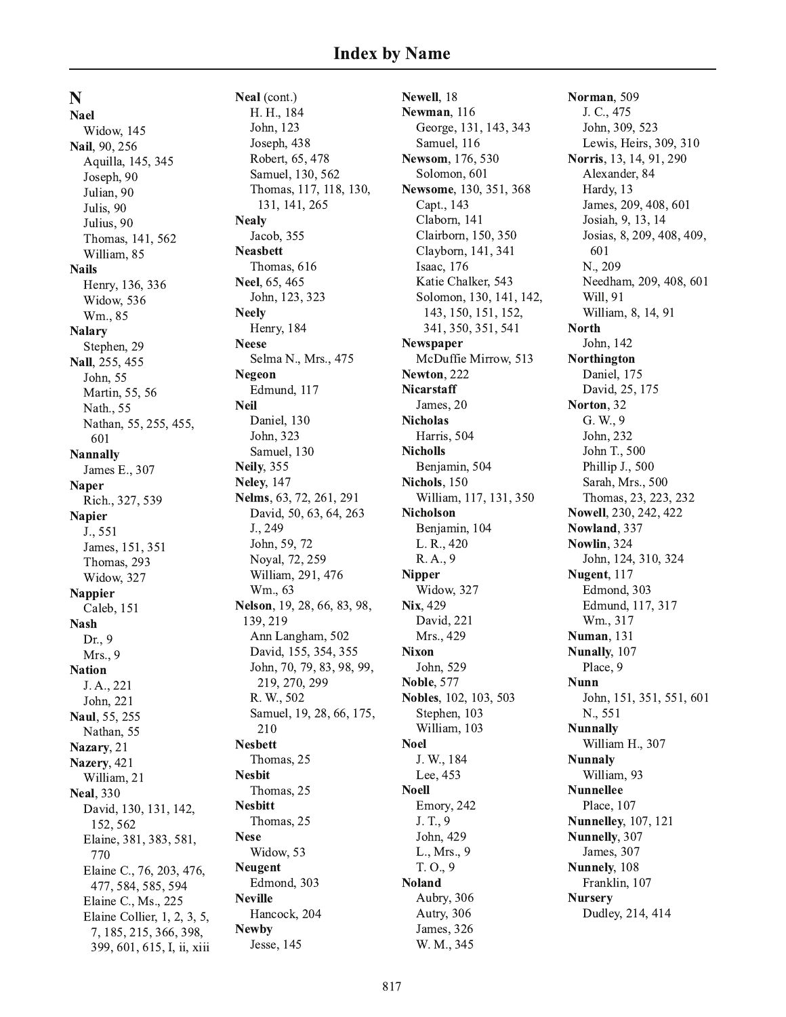N

**Nael** Widow, 145 Nail, 90, 256 Aquilla, 145, 345 Joseph, 90 Julian, 90 Julis, 90 Julius, 90 Thomas, 141, 562 William, 85 **Nails** Henry, 136, 336 Widow, 536 Wm., 85 **Nalary** Stephen, 29 Nall, 255, 455 John, 55 Martin, 55, 56 Nath., 55 Nathan, 55, 255, 455, 601 **Nannally** James E., 307 **Naper** Rich., 327, 539 **Napier**  $J., 551$ James, 151, 351 Thomas, 293 Widow, 327 **Nappier** Caleb, 151 **Nash** Dr., 9 Mrs., 9 **Nation** J. A., 221 John, 221 Naul, 55, 255 Nathan, 55 Nazary, 21 Nazery, 421 William, 21 **Neal**, 330 David, 130, 131, 142, 152, 562 Elaine, 381, 383, 581, 770 Elaine C., 76, 203, 476, 477, 584, 585, 594 Elaine C., Ms., 225 Elaine Collier, 1, 2, 3, 5, 7, 185, 215, 366, 398, 399, 601, 615, I, ii, xiii

Neal (cont.) H. H., 184 John, 123 Joseph, 438 Robert, 65, 478 Samuel, 130, 562 Thomas, 117, 118, 130, 131, 141, 265 **Nealy** Jacob, 355 **Neashett** Thomas, 616 Neel, 65, 465 John, 123, 323 **Neely** Henry, 184 **Neese** Selma N., Mrs., 475 **Negeon** Edmund, 117 **Neil** Daniel, 130 John, 323 Samuel, 130 **Neily**, 355 **Neley**, 147 Nelms, 63, 72, 261, 291 David, 50, 63, 64, 263 J., 249 John, 59, 72 Noval, 72, 259 William, 291, 476 Wm., 63 Nelson, 19, 28, 66, 83, 98, 139, 219 Ann Langham, 502 David, 155, 354, 355 John, 70, 79, 83, 98, 99, 219, 270, 299 R. W., 502 Samuel, 19, 28, 66, 175, 210 **Nesbett** Thomas, 25 **Nesbit** Thomas, 25 **Nesbitt** Thomas, 25 **Nese** Widow, 53 **Neugent** Edmond, 303 **Neville** Hancock, 204 **Newby** Jesse, 145

Newell, 18 Newman, 116 George, 131, 143, 343 Samuel, 116 Newsom, 176, 530 Solomon, 601 Newsome, 130, 351, 368 Capt., 143 Claborn, 141 Clairborn, 150, 350 Clayborn, 141, 341 Isaac, 176 Katie Chalker, 543 Solomon, 130, 141, 142, 143, 150, 151, 152, 341, 350, 351, 541 **Newspaper** McDuffie Mirrow, 513 Newton, 222 Nicarstaff James, 20 **Nicholas** Harris, 504 **Nicholls** Benjamin, 504 Nichols, 150 William, 117, 131, 350 **Nicholson** Benjamin, 104 L. R., 420 R. A., 9 **Nipper** Widow, 327 Nix, 429 David, 221 Mrs., 429 **Nixon** John, 529 **Noble. 577** Nobles, 102, 103, 503 Stephen, 103 William, 103 **Noel** J. W., 184 Lee, 453 **Noell** Emory, 242 J. T., 9 John, 429 L., Mrs., 9  $T. O., 9$ **Noland** Aubry, 306 Autry, 306 James, 326 W. M., 345

Norman, 509 J. C., 475 John, 309, 523 Lewis, Heirs, 309, 310 **Norris**, 13, 14, 91, 290 Alexander, 84 Hardy, 13 James, 209, 408, 601 Josiah, 9, 13, 14 Josias, 8, 209, 408, 409, 601 N., 209 Needham, 209, 408, 601 Will, 91 William, 8, 14, 91 **North** John, 142 Northington Daniel, 175 David, 25, 175 Norton, 32 G. W., 9 John, 232 John T., 500 Phillip J., 500 Sarah, Mrs., 500 Thomas, 23, 223, 232 Nowell, 230, 242, 422 Nowland, 337 Nowlin, 324 John, 124, 310, 324 Nugent, 117 Edmond, 303 Edmund, 117, 317 Wm., 317 **Numan**, 131 Nunally, 107 Place, 9 **Nunn** John, 151, 351, 551, 601 N., 551 **Nunnally** William H., 307 **Nunnaly** William, 93 **Nunnellee** Place, 107 **Nunnelley**, 107, 121 Nunnelly, 307 James, 307 Nunnely, 108 Franklin, 107 **Nursery** Dudley, 214, 414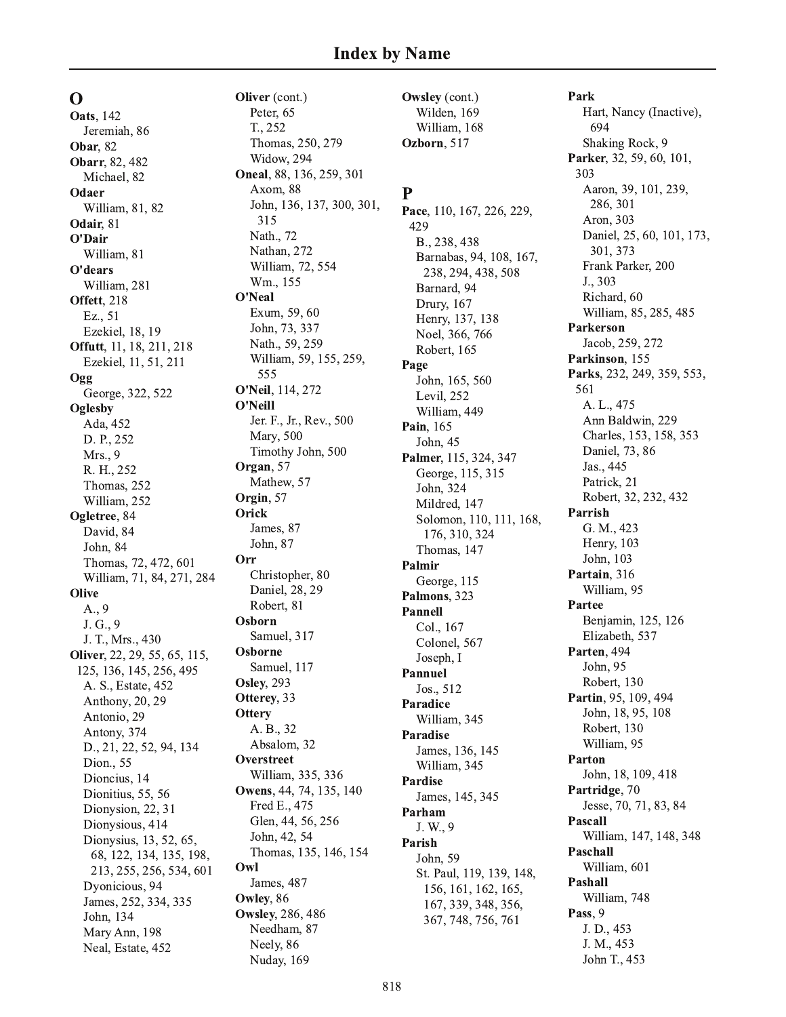$\Omega$ **Oats**, 142 Jeremiah, 86 **Obar**, 82 Obarr, 82, 482 Michael, 82 Odaer William, 81, 82 Odair, 81 O'Dair William, 81 O'dears William, 281 Offett, 218 Ez., 51 Ezekiel, 18, 19 Offutt, 11, 18, 211, 218 Ezekiel, 11, 51, 211 Ogg George, 322, 522 Oglesby Ada, 452 D. P., 252 Mrs., 9 R. H., 252 Thomas, 252 William, 252 Ogletree, 84 David, 84 John, 84 Thomas, 72, 472, 601 William, 71, 84, 271, 284 **Olive**  $A_{.,}9$ J. G., 9 J. T., Mrs., 430 Oliver, 22, 29, 55, 65, 115, 125, 136, 145, 256, 495 A. S., Estate, 452 Anthony, 20, 29 Antonio, 29 Antony, 374 D., 21, 22, 52, 94, 134 Dion., 55 Dioncius, 14 Dionitius, 55, 56 Dionysion, 22, 31 Dionysious, 414 Dionysius, 13, 52, 65, 68, 122, 134, 135, 198, 213, 255, 256, 534, 601 Dyonicious, 94 James, 252, 334, 335 John, 134 Mary Ann, 198 Neal, Estate, 452

Oliver (cont.) Peter, 65 T., 252 Thomas, 250, 279 Widow, 294 Oneal, 88, 136, 259, 301 Axom, 88 John, 136, 137, 300, 301, 315 Nath., 72 Nathan, 272 William, 72, 554 Wm., 155 O'Neal Exum, 59, 60 John, 73, 337 Nath., 59, 259 William, 59, 155, 259, 555 **O'Neil**, 114, 272 O'Neill Jer. F., Jr., Rev., 500 Mary, 500 Timothy John, 500 Organ, 57 Mathew, 57 Orgin, 57 Orick James, 87 John, 87 Orr Christopher, 80 Daniel, 28, 29 Robert, 81 Osborn Samuel, 317 Osborne Samuel, 117 **Osley, 293** Otterey, 33 **Ottery** A. B., 32 Absalom, 32 Overstreet William, 335, 336 Owens, 44, 74, 135, 140 Fred E., 475 Glen, 44, 56, 256 John, 42, 54 Thomas, 135, 146, 154 Owl James, 487 Owley, 86 **Owsley**, 286, 486 Needham, 87 Neely, 86 Nuday, 169

Owsley (cont.) Wilden, 169 William, 168 Ozborn, 517

# P

Pace, 110, 167, 226, 229, 429 B., 238, 438 Barnabas, 94, 108, 167, 238, 294, 438, 508 Barnard, 94 Drury, 167 Henry, 137, 138 Noel, 366, 766 Robert, 165 Page John, 165, 560 Levil, 252 William, 449 Pain, 165 John, 45 Palmer, 115, 324, 347 George, 115, 315 John, 324 Mildred, 147 Solomon, 110, 111, 168, 176, 310, 324 Thomas, 147 Palmir George, 115 Palmons, 323 Pannell Col., 167 Colonel, 567 Joseph, I **Pannuel** Jos., 512 Paradice William, 345 Paradise James, 136, 145 William, 345 Pardise James, 145, 345 Parham J. W., 9 Parish John, 59 St. Paul, 119, 139, 148, 156, 161, 162, 165, 167, 339, 348, 356, 367, 748, 756, 761

Park Hart, Nancy (Inactive), 694 Shaking Rock, 9 Parker, 32, 59, 60, 101, 303 Aaron, 39, 101, 239, 286, 301 Aron, 303 Daniel, 25, 60, 101, 173, 301.373 Frank Parker, 200 J., 303 Richard, 60 William, 85, 285, 485 **Parkerson** Jacob, 259, 272 Parkinson, 155 Parks, 232, 249, 359, 553, 561 A. L., 475 Ann Baldwin, 229 Charles, 153, 158, 353 Daniel, 73, 86 Jas., 445 Patrick, 21 Robert, 32, 232, 432 Parrish G. M., 423 Henry, 103 John, 103 Partain, 316 William, 95 Partee Benjamin, 125, 126 Elizabeth, 537 Parten, 494 John, 95 Robert, 130 Partin, 95, 109, 494 John, 18, 95, 108 Robert, 130 William, 95 Parton John, 18, 109, 418 Partridge, 70 Jesse, 70, 71, 83, 84 Pascall William, 147, 148, 348 Paschall William, 601 Pashall William, 748 Pass, 9 J. D., 453 J. M., 453 John T., 453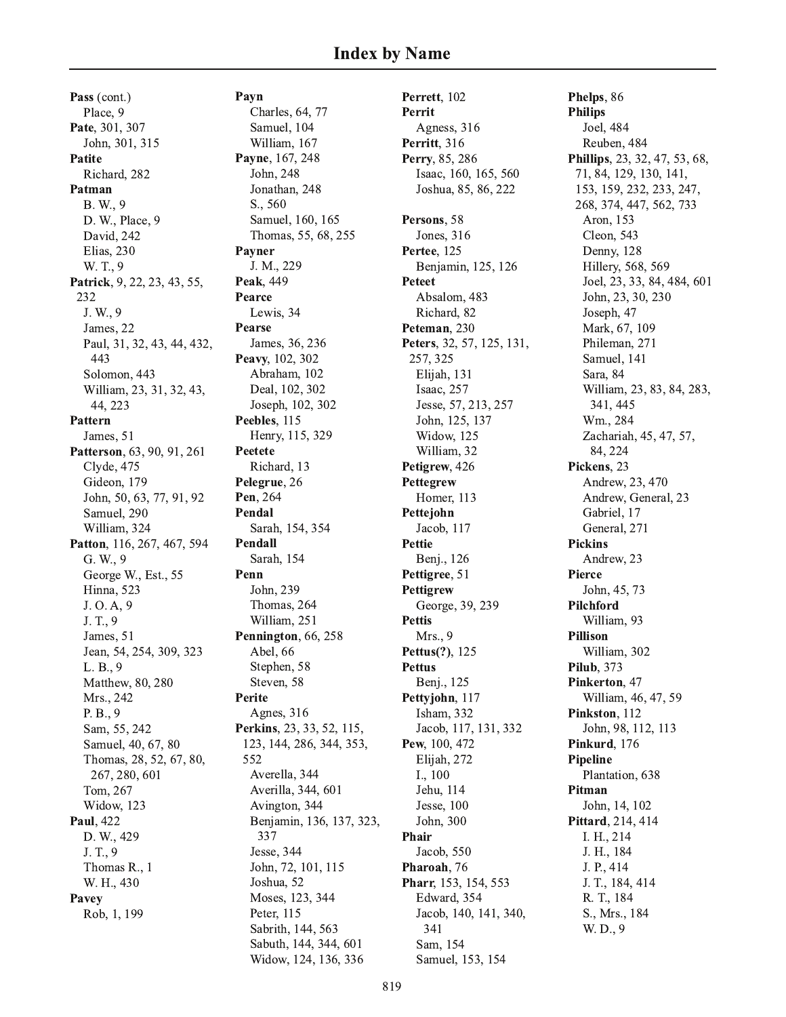Pass (cont.) Place, 9 Pate, 301, 307 John, 301, 315 Patite Richard, 282 Patman B. W., 9 D. W., Place, 9 David, 242 Elias, 230 W. T., 9 Patrick, 9, 22, 23, 43, 55, 232 J. W., 9 James, 22 Paul, 31, 32, 43, 44, 432, 443 Solomon, 443 William, 23, 31, 32, 43, 44, 223 **Pattern** James, 51 Patterson, 63, 90, 91, 261 Clyde, 475 Gideon, 179 John, 50, 63, 77, 91, 92 Samuel, 290 William, 324 Patton, 116, 267, 467, 594 G. W., 9 George W., Est., 55 **Hinna**, 523 J. O. A, 9 J. T., 9 James, 51 Jean, 54, 254, 309, 323  $L. B., 9$ Matthew, 80, 280 Mrs., 242 P. B., 9 Sam, 55, 242 Samuel, 40, 67, 80 Thomas, 28, 52, 67, 80, 267, 280, 601 Tom, 267 Widow, 123 Paul, 422 D. W., 429 J. T., 9 Thomas R., 1 W. H., 430 Pavey Rob, 1, 199

Payn

Charles, 64, 77 Samuel, 104 William, 167 Payne, 167, 248 John, 248 Jonathan, 248 S., 560 Samuel, 160, 165 Thomas, 55, 68, 255 Pavner J. M., 229 **Peak. 449** Pearce Lewis, 34 Pearse James, 36, 236 Peavy, 102, 302 Abraham, 102 Deal, 102, 302 Joseph, 102, 302 Peebles, 115 Henry, 115, 329 Peetete Richard, 13 Pelegrue, 26 Pen. 264 Pendal Sarah, 154, 354 Pendall Sarah, 154 Penn John. 239 Thomas, 264 William, 251 Pennington, 66, 258 Abel, 66 Stephen, 58 Steven, 58 **Perite** Agnes, 316 Perkins, 23, 33, 52, 115, 123, 144, 286, 344, 353, 552 Averella, 344 Averilla, 344, 601 Avington, 344 Benjamin, 136, 137, 323, 337 Jesse, 344 John, 72, 101, 115 Joshua, 52 Moses, 123, 344 Peter, 115 Sabrith, 144, 563 Sabuth, 144, 344, 601 Widow, 124, 136, 336

Perrett, 102 Perrit Agness, 316 Perritt, 316 Perry, 85, 286 Isaac, 160, 165, 560 Joshua, 85, 86, 222 Persons, 58 Jones, 316 Pertee, 125 Benjamin, 125, 126 **Peteet** Absalom, 483 Richard, 82 Peteman. 230 Peters, 32, 57, 125, 131, 257, 325 Elijah, 131 Isaac, 257 Jesse, 57, 213, 257 John, 125, 137 Widow, 125 William, 32 Petigrew, 426 Pettegrew Homer, 113 Pettejohn Jacob, 117 **Pettie** Benj., 126 Pettigree, 51 **Pettigrew** George, 39, 239 **Pettis** Mrs., 9 Pettus(?), 125 **Pettus** Benj., 125 Pettyjohn, 117 Isham, 332 Jacob, 117, 131, 332 Pew, 100, 472 Elijah, 272 I., 100 Jehu, 114 Jesse, 100 John, 300 Phair Jacob, 550 Pharoah, 76 Pharr, 153, 154, 553 Edward, 354 Jacob, 140, 141, 340, 341 Sam, 154 Samuel, 153, 154

Phelps, 86 **Philips** Joel, 484 Reuben, 484 **Phillips**, 23, 32, 47, 53, 68, 71, 84, 129, 130, 141, 153, 159, 232, 233, 247, 268, 374, 447, 562, 733 Aron, 153 Cleon, 543 Denny, 128 Hillery, 568, 569 Joel, 23, 33, 84, 484, 601 John, 23, 30, 230 Joseph, 47 Mark, 67, 109 Phileman, 271 Samuel, 141 Sara, 84 William, 23, 83, 84, 283, 341, 445 Wm., 284 Zachariah, 45, 47, 57, 84.224 Pickens, 23 Andrew, 23, 470 Andrew, General, 23 Gabriel, 17 General, 271 **Pickins** Andrew, 23 Pierce John, 45, 73 Pilchford William, 93 **Pillison** William, 302 **Pilub.** 373 Pinkerton, 47 William, 46, 47, 59 Pinkston, 112 John, 98, 112, 113 Pinkurd, 176 **Pipeline** Plantation, 638 Pitman John, 14, 102 Pittard, 214, 414 I. H., 214 J. H., 184 J. P., 414 J. T., 184, 414 R. T., 184 S., Mrs., 184 W. D., 9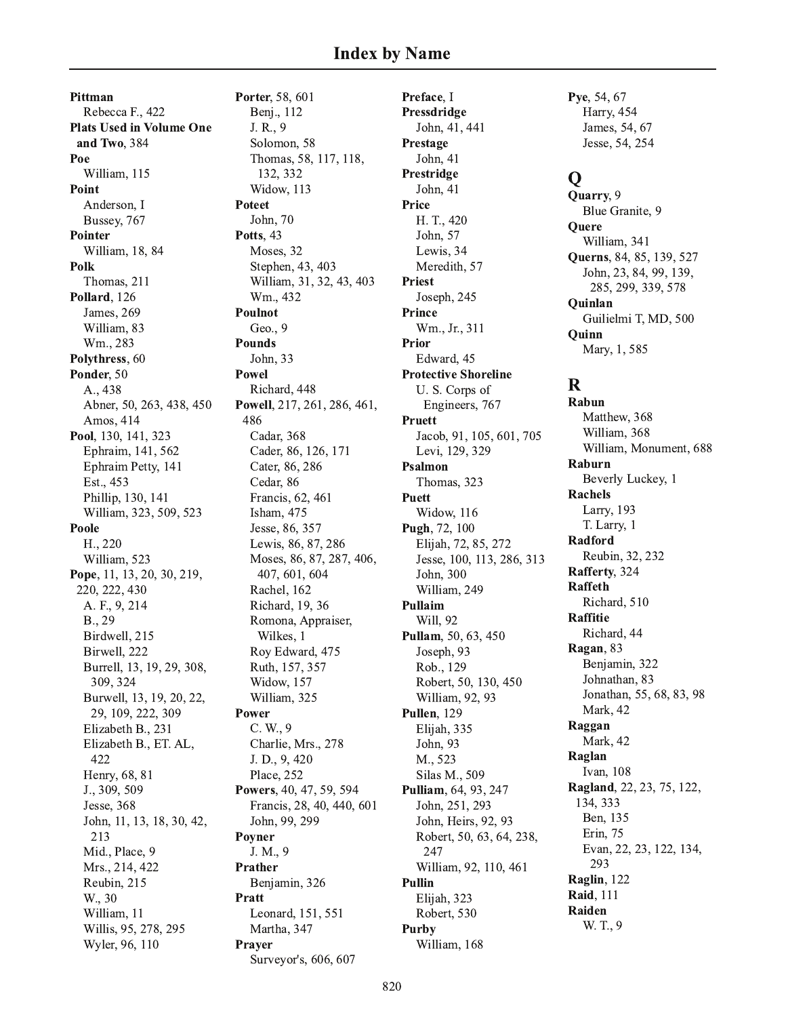Pittman Rebecca F., 422 **Plats Used in Volume One** and Two, 384 Poe William, 115 Point Anderson, I Bussey, 767 **Pointer** William, 18, 84 Polk Thomas, 211 Pollard, 126 James, 269 William, 83 Wm., 283 Polythress, 60 Ponder, 50 A., 438 Abner, 50, 263, 438, 450 Amos, 414 Pool, 130, 141, 323 Ephraim, 141, 562 Ephraim Petty, 141 Est., 453 Phillip, 130, 141 William, 323, 509, 523 Poole H., 220 William, 523 Pope, 11, 13, 20, 30, 219, 220, 222, 430 A. F., 9, 214 B., 29 Birdwell, 215 Birwell, 222 Burrell, 13, 19, 29, 308, 309, 324 Burwell, 13, 19, 20, 22, 29, 109, 222, 309 Elizabeth B., 231 Elizabeth B., ET. AL, 422 Henry, 68, 81 J., 309, 509 Jesse, 368 John, 11, 13, 18, 30, 42, 213 Mid., Place, 9 Mrs., 214, 422 Reubin, 215 W., 30 William, 11 Willis, 95, 278, 295 Wyler, 96, 110

Porter, 58, 601 Benj., 112 J. R., 9 Solomon, 58 Thomas, 58, 117, 118, 132, 332 Widow, 113 Poteet John, 70 Potts, 43 Moses, 32 Stephen, 43, 403 William, 31, 32, 43, 403 Wm., 432 Poulnot Geo.,  $9$ **Pounds** John, 33 **Powel** Richard, 448 Powell, 217, 261, 286, 461, 486 Cadar, 368 Cader, 86, 126, 171 Cater, 86, 286 Cedar, 86 Francis, 62, 461 Isham, 475 Jesse, 86, 357 Lewis, 86, 87, 286 Moses, 86, 87, 287, 406, 407, 601, 604 Rachel, 162 Richard, 19, 36 Romona, Appraiser, Wilkes, 1 Roy Edward, 475 Ruth, 157, 357 **Widow**, 157 William, 325 Power  $C. W., 9$ Charlie, Mrs., 278 J. D., 9, 420 Place, 252 Powers, 40, 47, 59, 594 Francis, 28, 40, 440, 601 John, 99, 299 Poyner J. M., 9 Prather Benjamin, 326 **Pratt** Leonard, 151, 551 Martha, 347 Prayer Surveyor's, 606, 607

Preface, I Pressdridge John, 41, 441 Prestage John, 41 Prestridge John, 41 Price H. T., 420 John, 57 Lewis, 34 Meredith, 57 **Priest** Joseph, 245 Prince Wm., Jr., 311 Prior Edward, 45 **Protective Shoreline** U.S. Corps of Engineers, 767 Pruett Jacob, 91, 105, 601, 705 Levi, 129, 329 Psalmon Thomas, 323 **Puett** Widow, 116 Pugh, 72, 100 Elijah, 72, 85, 272 Jesse, 100, 113, 286, 313 John, 300 William, 249 Pullaim Will. 92 Pullam, 50, 63, 450 Joseph, 93 Rob., 129 Robert, 50, 130, 450 William, 92, 93 Pullen, 129 Elijah, 335 John, 93 M., 523 Silas M., 509 Pulliam, 64, 93, 247 John, 251, 293 John, Heirs, 92, 93 Robert, 50, 63, 64, 238, 247 William, 92, 110, 461 **Pullin** Elijah, 323 Robert, 530 **Purby** William, 168

Pye, 54, 67 Harry, 454 James, 54, 67 Jesse, 54, 254

# $\mathbf Q$

Quarry, 9 Blue Granite, 9 Quere William, 341 **Ouerns**, 84, 85, 139, 527 John, 23, 84, 99, 139, 285, 299, 339, 578 Quinlan Guilielmi T, MD, 500 Ouinn Mary, 1, 585

# $\mathbf R$

Rabun Matthew, 368 William, 368 William, Monument, 688 Raburn Beverly Luckey, 1 **Rachels** Larry, 193 T. Larry, 1 Radford Reubin, 32, 232 Rafferty, 324 **Raffeth** Richard, 510 **Raffitie** Richard, 44 Ragan, 83 Benjamin, 322 Johnathan, 83 Jonathan, 55, 68, 83, 98 Mark, 42 Raggan Mark, 42 Raglan Ivan. 108 Ragland, 22, 23, 75, 122, 134, 333 Ben, 135 Erin, 75 Evan, 22, 23, 122, 134, 293 Raglin, 122 **Raid.** 111 Raiden W. T., 9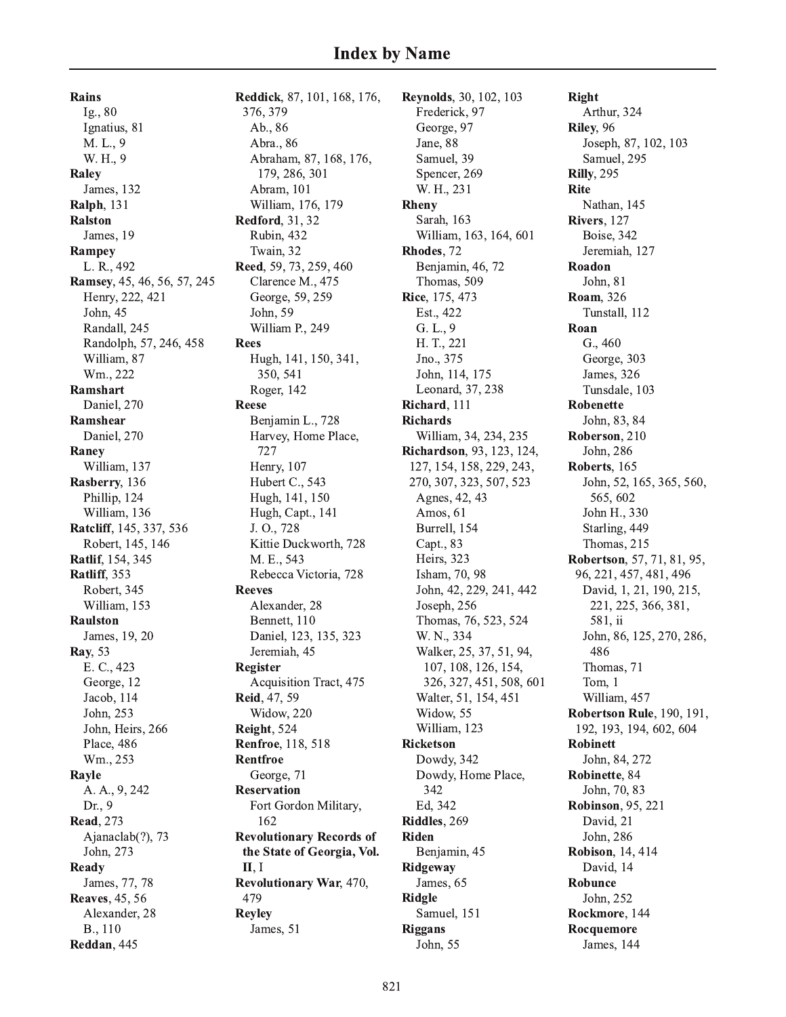**Rains** Ig., 80 Ignatius, 81 M. L., 9 W. H., 9 Raley James, 132 **Ralph**, 131 **Ralston** James, 19 Rampey L. R., 492 Ramsey, 45, 46, 56, 57, 245 Henry, 222, 421 John, 45 Randall, 245 Randolph, 57, 246, 458 William, 87 Wm., 222 Ramshart Daniel, 270 Ramshear Daniel, 270 Raney William, 137 Rasberry, 136 Phillip, 124 William, 136 Ratcliff, 145, 337, 536 Robert, 145, 146 Ratlif, 154, 345 Ratliff, 353 Robert, 345 William, 153 **Raulston** James, 19, 20 **Ray**, 53 E. C., 423 George, 12 Jacob, 114 John, 253 John, Heirs, 266 Place, 486 Wm., 253 Rayle A. A., 9, 242 Dr., 9 **Read**, 273 Ajanaclab $(?)$ , 73 John, 273 Ready James, 77, 78 **Reaves**, 45, 56 Alexander, 28 B., 110 Reddan, 445

Reddick, 87, 101, 168, 176, 376, 379 Ab., 86 Abra., 86 Abraham, 87, 168, 176, 179, 286, 301 Abram, 101 William, 176, 179 **Redford**, 31, 32 Rubin, 432 Twain, 32 Reed, 59, 73, 259, 460 Clarence M., 475 George, 59, 259 John, 59 William P., 249 **Rees** Hugh, 141, 150, 341, 350, 541 Roger, 142 **Reese** Benjamin L., 728 Harvey, Home Place, 727 Henry, 107 Hubert C., 543 Hugh, 141, 150 Hugh, Capt., 141 J. O., 728 Kittie Duckworth, 728 M. E., 543 Rebecca Victoria, 728 **Reeves** Alexander, 28 Bennett, 110 Daniel, 123, 135, 323 Jeremiah, 45 **Register** Acquisition Tract, 475 Reid, 47, 59 Widow, 220 Reight, 524 **Renfroe**, 118, 518 Rentfroe George, 71 **Reservation** Fort Gordon Military, 162 **Revolutionary Records of** the State of Georgia, Vol.  $II, I$ **Revolutionary War, 470,** 479 **Reyley** James, 51

**Reynolds**, 30, 102, 103 Frederick, 97 George, 97 Jane, 88 Samuel, 39 Spencer, 269 W. H., 231 Rheny Sarah, 163 William, 163, 164, 601 Rhodes. 72 Benjamin, 46, 72 Thomas, 509 Rice, 175, 473 Est., 422  $G. L., 9$ H. T., 221 Jno., 375 John, 114, 175 Leonard, 37, 238 Richard, 111 **Richards** William, 34, 234, 235 **Richardson**, 93, 123, 124, 127, 154, 158, 229, 243, 270, 307, 323, 507, 523 Agnes, 42, 43 Amos, 61 Burrell, 154 Capt., 83 Heirs, 323 Isham, 70, 98 John, 42, 229, 241, 442 Joseph, 256 Thomas, 76, 523, 524 W. N., 334 Walker, 25, 37, 51, 94, 107, 108, 126, 154, 326, 327, 451, 508, 601 Walter, 51, 154, 451 Widow, 55 William, 123 **Ricketson** Dowdy, 342 Dowdy, Home Place, 342 Ed, 342 Riddles, 269 Riden Benjamin, 45 Ridgeway James, 65 **Ridgle** Samuel, 151 **Riggans** John, 55

**Right** Arthur, 324 Riley, 96 Joseph, 87, 102, 103 Samuel, 295 **Rilly**, 295 **Rite** Nathan, 145 Rivers, 127 **Boise**, 342 Jeremiah, 127 Roadon John, 81 Roam, 326 Tunstall, 112 Roan G., 460 George, 303 James, 326 Tunsdale, 103 **Robenette** John, 83, 84 Roberson, 210 John, 286 Roberts, 165 John, 52, 165, 365, 560, 565, 602 John H., 330 Starling, 449 Thomas, 215 **Robertson**, 57, 71, 81, 95, 96, 221, 457, 481, 496 David, 1, 21, 190, 215, 221, 225, 366, 381, 581, ii John, 86, 125, 270, 286, 486 Thomas, 71 Tom. 1 William, 457 **Robertson Rule**, 190, 191, 192, 193, 194, 602, 604 **Robinett** John, 84, 272 Robinette, 84 John, 70, 83 **Robinson**, 95, 221 David, 21 John, 286 **Robison**, 14, 414 David, 14 Robunce John, 252 Rockmore, 144 Rocquemore James, 144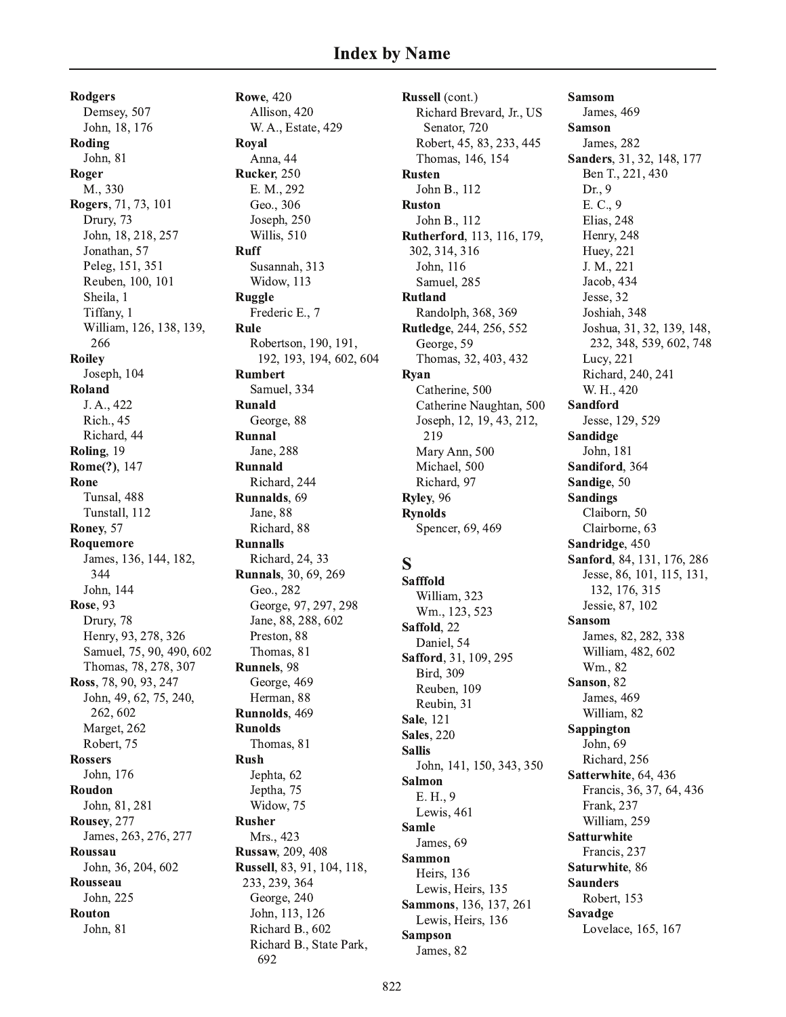**Rodgers** Demsey, 507 John, 18, 176 Roding John, 81 Roger M., 330 Rogers, 71, 73, 101 Drury, 73 John, 18, 218, 257 Jonathan, 57 Peleg, 151, 351 Reuben, 100, 101 Sheila, 1 Tiffany, 1 William, 126, 138, 139, 266 **Roiley** Joseph, 104 Roland J. A., 422 **Rich.**, 45 Richard, 44 Roling, 19 Rome(?), 147 Rone Tunsal, 488 Tunstall, 112 Roney, 57 Roquemore James, 136, 144, 182, 344 John, 144 **Rose**, 93 Drury, 78 Henry, 93, 278, 326 Samuel, 75, 90, 490, 602 Thomas, 78, 278, 307 Ross, 78, 90, 93, 247 John, 49, 62, 75, 240, 262, 602 Marget, 262 Robert, 75 **Rossers** John, 176 Roudon John, 81, 281 Rousey, 277 James, 263, 276, 277 Roussau John, 36, 204, 602 Rousseau John, 225 **Routon** John, 81

**Rowe**, 420 Allison, 420 W. A., Estate, 429 Roval Anna, 44 Rucker, 250 E. M., 292 Geo., 306 Joseph, 250 Willis, 510 **Ruff** Susannah, 313 Widow, 113 **Ruggle** Frederic E., 7 Rule Robertson, 190, 191, 192, 193, 194, 602, 604 **Rumbert** Samuel, 334 **Runald** George, 88 Runnal Jane, 288 Runnald Richard, 244 Runnalds. 69 Jane, 88 Richard, 88 **Runnalls** Richard, 24, 33 **Runnals**, 30, 69, 269 Geo., 282 George, 97, 297, 298 Jane, 88, 288, 602 Preston, 88 Thomas, 81 Runnels, 98 George, 469 Herman, 88 Runnolds, 469 **Runolds** Thomas, 81 **Rush** Jephta, 62 Jeptha, 75 Widow, 75 **Rusher** Mrs., 423 **Russaw**, 209, 408 Russell, 83, 91, 104, 118, 233, 239, 364 George, 240 John, 113, 126 Richard B., 602 Richard B., State Park,

692

Russell (cont.) Richard Brevard, Jr., US Senator, 720 Robert, 45, 83, 233, 445 Thomas, 146, 154 **Rusten** John B., 112 **Ruston** John B., 112 Rutherford, 113, 116, 179, 302, 314, 316 John, 116 Samuel, 285 **Rutland** Randolph, 368, 369 **Rutledge, 244, 256, 552** George, 59 Thomas, 32, 403, 432 Ryan Catherine, 500 Catherine Naughtan, 500 Joseph, 12, 19, 43, 212, 219 Mary Ann, 500 Michael, 500 Richard, 97 Ryley, 96 **Rynolds** Spencer, 69, 469 S **Safffold** William, 323 Wm., 123, 523 Saffold, 22 Daniel, 54 Safford, 31, 109, 295 **Bird, 309** Reuben, 109 Reubin, 31 **Sale**, 121 **Sales, 220 Sallis** John, 141, 150, 343, 350 Salmon E. H., 9

**Samsom** James, 469 **Samson** James, 282 Sanders, 31, 32, 148, 177 Ben T., 221, 430 Dr., 9 E. C., 9 Elias, 248 Henry, 248 Huey, 221 J. M., 221 Jacob, 434 Jesse, 32 Joshiah, 348 Joshua, 31, 32, 139, 148, 232, 348, 539, 602, 748 Lucy, 221 Richard, 240, 241 W. H., 420 **Sandford** Jesse, 129, 529 Sandidge John. 181 Sandiford, 364 Sandige, 50 **Sandings** Claiborn, 50 Clairborne, 63 Sandridge, 450 Sanford, 84, 131, 176, 286 Jesse, 86, 101, 115, 131, 132, 176, 315 Jessie, 87, 102 **Sansom** James, 82, 282, 338 William, 482, 602 Wm., 82 Sanson. 82 James, 469 William, 82 Sappington John. 69 Richard, 256 Satterwhite, 64, 436 Francis, 36, 37, 64, 436 Frank, 237 William, 259 **Satturwhite** Francis, 237 Saturwhite, 86 **Saunders** Robert, 153 Savadge Lovelace, 165, 167

Lewis, 461

James, 69

Heirs, 136

Lewis, Heirs, 135

Lewis, Heirs, 136

**Sammons**, 136, 137, 261

**Samle** 

**Sammon** 

**Sampson** 

James, 82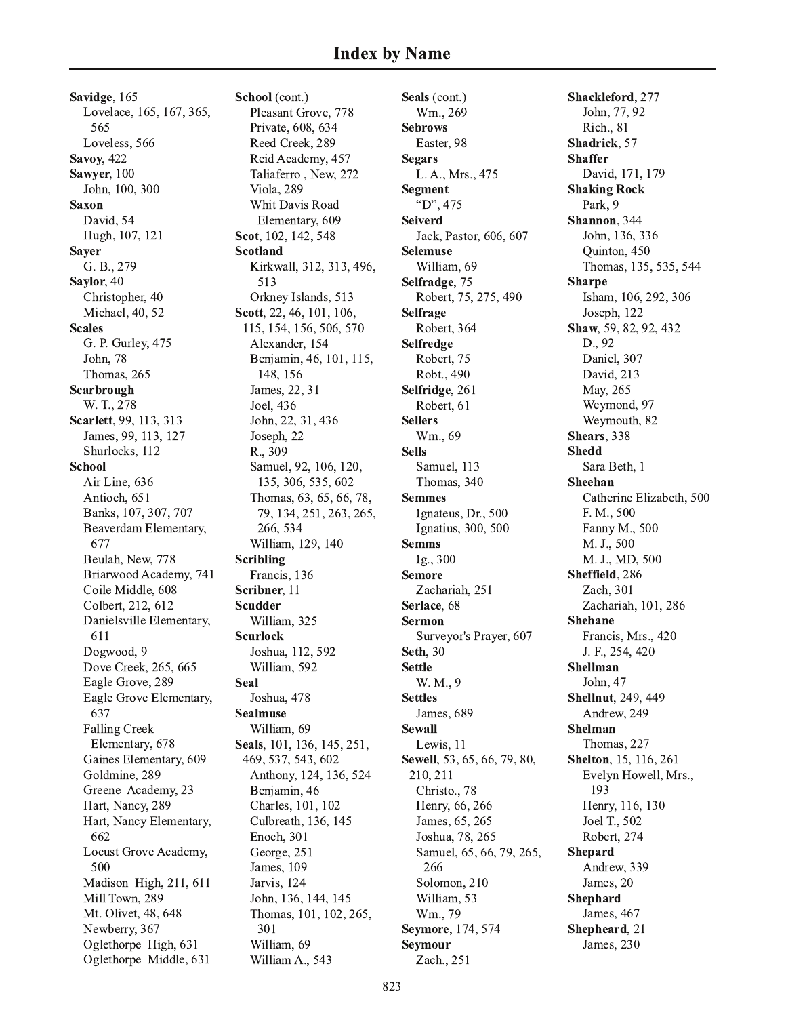Savidge, 165 Lovelace, 165, 167, 365, 565 Loveless, 566 **Savoy**, 422 Sawyer, 100 John, 100, 300 **Saxon** David, 54 Hugh, 107, 121 **Saver** G. B., 279 Saylor, 40 Christopher, 40 Michael, 40, 52 **Scales** G. P. Gurley, 475 John, 78 Thomas, 265 Scarbrough W. T., 278 Scarlett, 99, 113, 313 James, 99, 113, 127 Shurlocks, 112 **School** Air Line, 636 Antioch, 651 Banks, 107, 307, 707 Beaverdam Elementary, 677 Beulah, New, 778 Briarwood Academy, 741 Coile Middle, 608 Colbert, 212, 612 Danielsville Elementary, 611 Dogwood, 9 Dove Creek, 265, 665 Eagle Grove, 289 Eagle Grove Elementary, 637 **Falling Creek** Elementary, 678 Gaines Elementary, 609 Goldmine, 289 Greene Academy, 23 Hart, Nancy, 289 Hart, Nancy Elementary, 662 Locust Grove Academy, 500 Madison High, 211, 611 Mill Town, 289 Mt. Olivet, 48, 648 Newberry, 367 Oglethorpe High, 631 Oglethorpe Middle, 631

School (cont.) Pleasant Grove, 778 Private, 608, 634 Reed Creek, 289 Reid Academy, 457 Taliaferro, New, 272 Viola, 289 Whit Davis Road Elementary, 609 Scot, 102, 142, 548 **Scotland** Kirkwall, 312, 313, 496, 513 Orkney Islands, 513 Scott, 22, 46, 101, 106, 115, 154, 156, 506, 570 Alexander, 154 Benjamin, 46, 101, 115, 148, 156 James, 22, 31 Joel, 436 John, 22, 31, 436 Joseph, 22 R., 309 Samuel, 92, 106, 120, 135, 306, 535, 602 Thomas, 63, 65, 66, 78, 79, 134, 251, 263, 265, 266, 534 William, 129, 140 **Scribling** Francis, 136 Scribner, 11 **Scudder** William, 325 **Scurlock** Joshua, 112, 592 William, 592 Seal Joshua, 478 **Sealmuse** William, 69 Seals, 101, 136, 145, 251, 469, 537, 543, 602 Anthony, 124, 136, 524 Benjamin, 46 Charles, 101, 102 Culbreath, 136, 145 Enoch, 301 George, 251 James, 109 Jarvis, 124 John, 136, 144, 145 Thomas, 101, 102, 265, 301 William, 69 William A., 543

Seals (cont.) Wm., 269 **Sebrows** Easter, 98 **Segars** L. A., Mrs., 475 **Segment** "D", 475 **Seiverd** Jack, Pastor, 606, 607 **Selemuse** William, 69 Selfradge, 75 Robert, 75, 275, 490 Selfrage Robert, 364 Selfredge Robert, 75 Robt., 490 Selfridge, 261 Robert, 61 **Sellers** Wm., 69 **Sells** Samuel, 113 Thomas, 340 **Semmes** Ignateus, Dr., 500 Ignatius, 300, 500 **Semms** Ig., 300 **Semore** Zachariah, 251 Serlace, 68 **Sermon** Surveyor's Prayer, 607 **Seth**, 30 **Settle** W. M., 9 **Settles** James, 689 **Sewall** Lewis, 11 Sewell, 53, 65, 66, 79, 80, 210, 211 Christo., 78 Henry, 66, 266 James, 65, 265 Joshua, 78, 265 Samuel, 65, 66, 79, 265, 266 Solomon, 210 William, 53 Wm., 79 Seymore, 174, 574 **Seymour** Zach., 251

Shackleford, 277 John, 77, 92 Rich., 81 Shadrick, 57 **Shaffer** David, 171, 179 **Shaking Rock** Park, 9 Shannon, 344 John, 136, 336 Quinton, 450 Thomas, 135, 535, 544 **Sharpe** Isham, 106, 292, 306 Joseph. 122 Shaw, 59, 82, 92, 432 D., 92 Daniel, 307 David, 213 May, 265 Weymond, 97 Weymouth, 82 Shears, 338 **Shedd** Sara Beth, 1 Sheehan Catherine Elizabeth, 500 F. M., 500 Fanny M., 500 M. J., 500 M. J., MD, 500 Sheffield, 286 Zach. 301 Zachariah, 101, 286 **Shehane** Francis, Mrs., 420 J. F., 254, 420 **Shellman** John, 47 **Shellnut**, 249, 449 Andrew, 249 Shelman Thomas, 227 **Shelton**, 15, 116, 261 Evelyn Howell, Mrs., 193 Henry, 116, 130 Joel T., 502 Robert, 274 **Shepard** Andrew, 339 James, 20 **Shephard** James, 467 Shepheard, 21 James, 230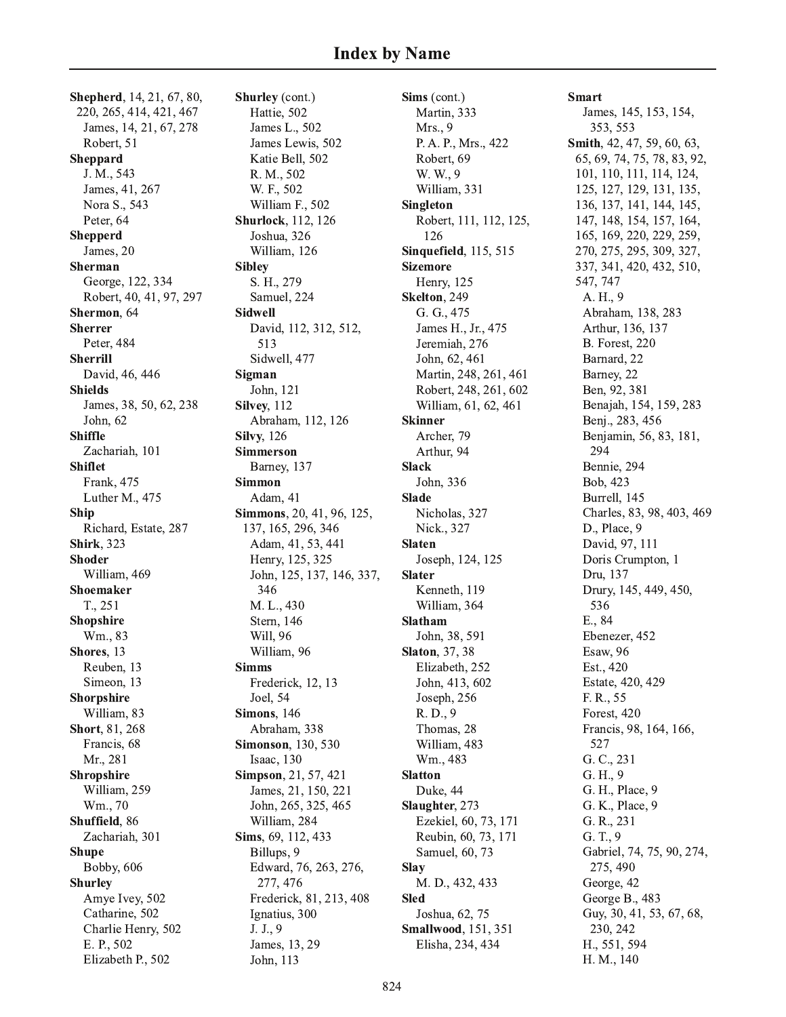**Shepherd**, 14, 21, 67, 80, 220, 265, 414, 421, 467 James, 14, 21, 67, 278 Robert, 51 **Sheppard** J. M., 543 James, 41, 267 Nora S., 543 Peter, 64 **Shepperd** James, 20 Sherman George, 122, 334 Robert, 40, 41, 97, 297 Shermon, 64 **Sherrer** Peter, 484 **Sherrill** David, 46, 446 **Shields** James, 38, 50, 62, 238 John. 62 **Shiffle** Zachariah, 101 **Shiflet** Frank, 475 Luther M., 475 **Ship** Richard, Estate, 287 **Shirk**, 323 **Shoder** William, 469 **Shoemaker** T., 251 **Shopshire** Wm., 83 Shores. 13 Reuben, 13 Simeon, 13 Shorpshire William, 83 Short, 81, 268 Francis, 68 Mr., 281 Shropshire William, 259 Wm., 70 Shuffield, 86 Zachariah, 301 **Shupe** Bobby, 606 **Shurley** Amye Ivey, 502 Catharine, 502 Charlie Henry, 502 E. P., 502 Elizabeth P., 502

Shurley (cont.) Hattie, 502 James L., 502 James Lewis, 502 Katie Bell, 502 R. M., 502 W. F., 502 William F., 502 **Shurlock**, 112, 126 Joshua, 326 William, 126 **Sibley** S. H., 279 Samuel, 224 **Sidwell** David, 112, 312, 512, 513 Sidwell, 477 Sigman John, 121 Silvey, 112 Abraham, 112, 126 **Silvy**, 126 **Simmerson** Barney, 137 **Simmon** Adam, 41 Simmons, 20, 41, 96, 125, 137, 165, 296, 346 Adam, 41, 53, 441 Henry, 125, 325 John, 125, 137, 146, 337, 346 M. L., 430 Stern, 146 Will, 96 William, 96 **Simms** Frederick, 12, 13 Joel, 54 **Simons**, 146 Abraham, 338 **Simonson**, 130, 530 Isaac, 130 Simpson, 21, 57, 421 James, 21, 150, 221 John, 265, 325, 465 William, 284 Sims, 69, 112, 433 Billups, 9 Edward, 76, 263, 276, 277, 476 Frederick, 81, 213, 408 Ignatius, 300 J. J., 9 James, 13, 29 John, 113

Sims (cont.) Martin, 333 Mrs., 9 P. A. P., Mrs., 422 Robert, 69 W. W., 9 William, 331 **Singleton** Robert, 111, 112, 125, 126 **Sinquefield**, 115, 515 **Sizemore** Henry, 125 Skelton, 249 G. G., 475 James H., Jr., 475 Jeremiah, 276 John, 62, 461 Martin, 248, 261, 461 Robert, 248, 261, 602 William, 61, 62, 461 **Skinner** Archer, 79 Arthur, 94 **Slack** John, 336 **Slade** Nicholas, 327 Nick., 327 **Slaten** Joseph, 124, 125 **Slater** Kenneth, 119 William, 364 **Slatham** John, 38, 591 **Slaton**, 37, 38 Elizabeth, 252 John, 413, 602 Joseph, 256 R. D., 9 Thomas, 28 William, 483 Wm., 483 **Slatton** Duke, 44 Slaughter, 273 Ezekiel, 60, 73, 171 Reubin, 60, 73, 171 Samuel, 60, 73 Slav M. D., 432, 433 **Sled** Joshua, 62, 75 **Smallwood**, 151, 351 Elisha, 234, 434

**Smart** James, 145, 153, 154, 353, 553 Smith, 42, 47, 59, 60, 63, 65, 69, 74, 75, 78, 83, 92, 101, 110, 111, 114, 124, 125, 127, 129, 131, 135, 136, 137, 141, 144, 145, 147, 148, 154, 157, 164, 165, 169, 220, 229, 259, 270, 275, 295, 309, 327, 337, 341, 420, 432, 510, 547, 747 A. H., 9 Abraham, 138, 283 Arthur, 136, 137 **B.** Forest, 220 Barnard, 22 Barney, 22 Ben, 92, 381 Benajah, 154, 159, 283 Benj., 283, 456 Benjamin, 56, 83, 181, 294 Bennie, 294 Bob, 423 Burrell, 145 Charles, 83, 98, 403, 469 D., Place, 9 David, 97, 111 Doris Crumpton, 1 Dru, 137 Drury, 145, 449, 450, 536 E., 84 Ebenezer, 452 Esaw, 96 Est., 420 Estate, 420, 429 F. R., 55 Forest, 420 Francis, 98, 164, 166, 527 G. C., 231 G. H., 9 G. H., Place, 9 G. K., Place, 9 G. R., 231  $G. T., 9$ Gabriel, 74, 75, 90, 274, 275, 490 George, 42 George B., 483 Guy, 30, 41, 53, 67, 68, 230, 242 H., 551, 594 H. M., 140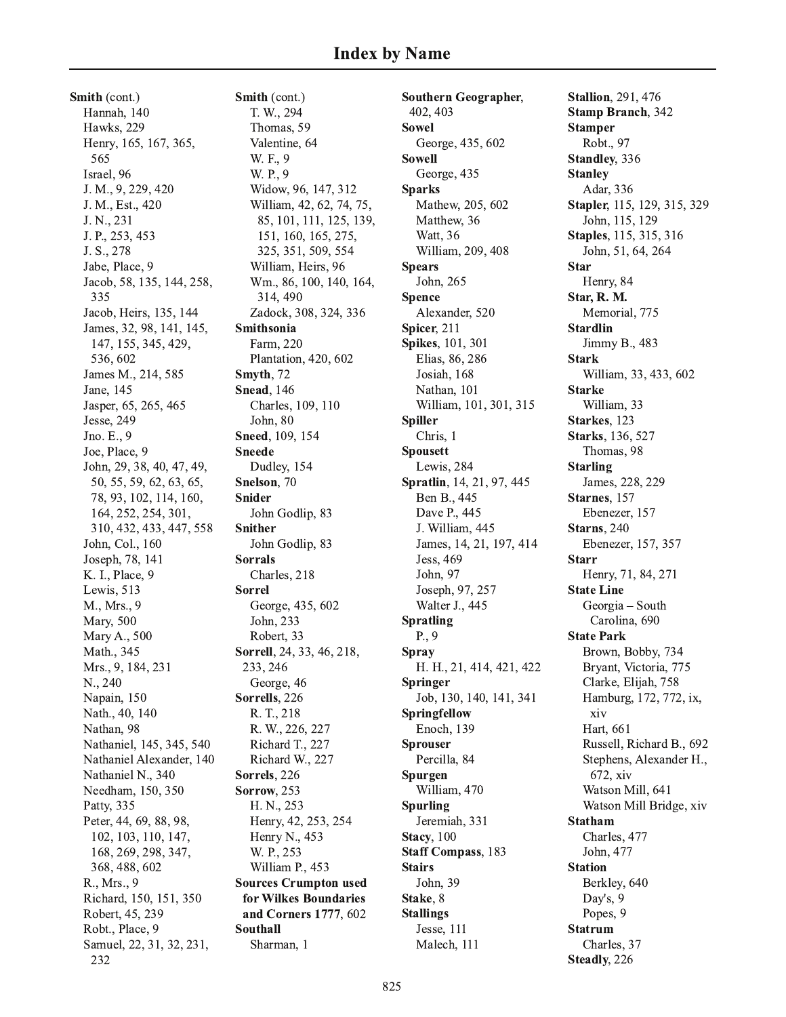Smith (cont.) Hannah, 140 Hawks, 229 Henry, 165, 167, 365, 565 Israel, 96 J. M., 9, 229, 420 J. M., Est., 420 J. N., 231 J. P., 253, 453 J. S., 278 Jabe, Place, 9 Jacob, 58, 135, 144, 258, 335 Jacob, Heirs, 135, 144 James, 32, 98, 141, 145, 147, 155, 345, 429, 536, 602 James M., 214, 585 Jane, 145 Jasper, 65, 265, 465 Jesse, 249 Jno. E., 9 Joe, Place, 9 John, 29, 38, 40, 47, 49, 50, 55, 59, 62, 63, 65, 78, 93, 102, 114, 160, 164, 252, 254, 301, 310, 432, 433, 447, 558 John, Col., 160 Joseph, 78, 141 K. I., Place, 9 Lewis, 513 M., Mrs., 9 Mary, 500 Mary A., 500 Math., 345 Mrs., 9, 184, 231 N., 240 Napain, 150 Nath., 40, 140 Nathan, 98 Nathaniel, 145, 345, 540 Nathaniel Alexander, 140 Nathaniel N., 340 Needham, 150, 350 Patty, 335 Peter, 44, 69, 88, 98, 102, 103, 110, 147, 168, 269, 298, 347, 368, 488, 602 R., Mrs., 9 Richard, 150, 151, 350 Robert, 45, 239 Robt., Place, 9 Samuel, 22, 31, 32, 231, 232

Smith (cont.) T. W., 294 Thomas, 59 Valentine, 64 W. F., 9 W. P., 9 Widow, 96, 147, 312 William, 42, 62, 74, 75, 85, 101, 111, 125, 139, 151, 160, 165, 275, 325, 351, 509, 554 William, Heirs, 96 Wm., 86, 100, 140, 164, 314, 490 Zadock, 308, 324, 336 Smithsonia Farm, 220 Plantation, 420, 602 Smyth, 72 **Snead**, 146 Charles, 109, 110 John, 80 Sneed, 109, 154 **Sneede** Dudley, 154 Snelson, 70 **Snider** John Godlip, 83 **Snither** John Godlip, 83 **Sorrals** Charles, 218 **Sorrel** George, 435, 602 John, 233 Robert, 33 Sorrell, 24, 33, 46, 218, 233, 246 George, 46 Sorrells, 226 R. T., 218 R. W., 226, 227 Richard T., 227 Richard W., 227 Sorrels, 226 **Sorrow**, 253 H. N., 253 Henry, 42, 253, 254 Henry N., 453 W. P., 253 William P., 453 **Sources Crumpton used** for Wilkes Boundaries and Corners 1777, 602 **Southall** Sharman, 1

**Southern Geographer,** 402.403 **Sowel** George, 435, 602 **Sowell** George, 435 **Sparks** Mathew, 205, 602 Matthew, 36 Watt. 36 William, 209, 408 **Spears** John, 265 **Spence** Alexander, 520 Spicer, 211 Spikes, 101, 301 Elias, 86, 286 Josiah, 168 Nathan, 101 William, 101, 301, 315 **Spiller** Chris, 1 **Spousett** Lewis, 284 Spratlin, 14, 21, 97, 445 Ben B., 445 Dave P., 445 J. William, 445 James, 14, 21, 197, 414 Jess, 469 John, 97 Joseph, 97, 257 Walter J., 445 **Spratling**  $P_{\cdot}$ , 9 **Spray** H. H., 21, 414, 421, 422 **Springer** Job, 130, 140, 141, 341 Springfellow Enoch, 139 **Sprouser** Percilla, 84 Spurgen William, 470 **Spurling** Jeremiah, 331 **Stacy**, 100 **Staff Compass**, 183 **Stairs** John, 39 Stake, 8 **Stallings** Jesse, 111 Malech, 111

**Stallion**, 291, 476 **Stamp Branch**, 342 **Stamper** Robt., 97 Standley, 336 **Stanley** Adar, 336 Stapler, 115, 129, 315, 329 John, 115, 129 **Staples**, 115, 315, 316 John, 51, 64, 264 **Star** Henry, 84 Star, R. M. Memorial, 775 **Stardlin** Jimmy B., 483 **Stark** William, 33, 433, 602 **Starke** William, 33 Starkes. 123 Starks, 136, 527 Thomas, 98 **Starling** James, 228, 229 Starnes, 157 Ebenezer, 157 Starns, 240 Ebenezer, 157, 357 **Starr** Henry, 71, 84, 271 **State Line** Georgia - South Carolina, 690 **State Park** Brown, Bobby, 734 Bryant, Victoria, 775 Clarke, Elijah, 758 Hamburg, 172, 772, ix, xiv Hart, 661 Russell, Richard B., 692 Stephens, Alexander H., 672, xiv Watson Mill, 641 Watson Mill Bridge, xiv **Statham** Charles, 477 John, 477 **Station** Berkley, 640 Day's, 9 Popes, 9 **Statrum** Charles, 37 Steadly, 226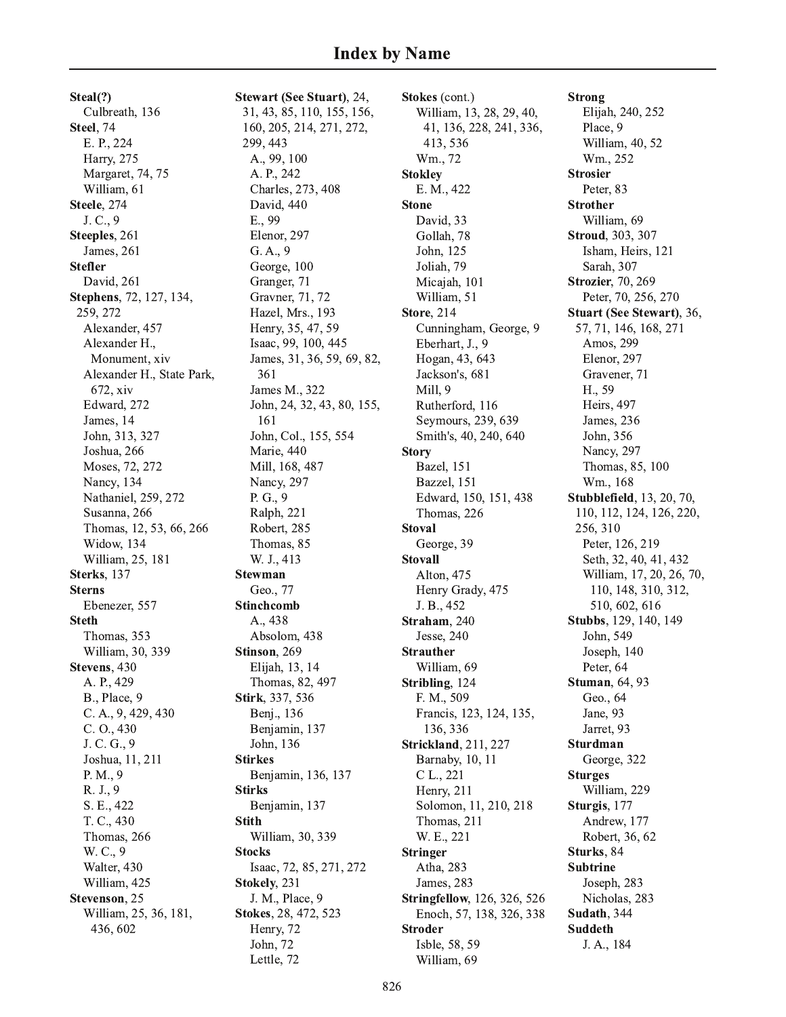Steal(?) Culbreath, 136 Steel, 74 E. P., 224 Harry, 275 Margaret, 74, 75 William, 61 Steele, 274 J. C., 9 Steeples, 261 James, 261 **Stefler** David, 261 Stephens, 72, 127, 134, 259, 272 Alexander, 457 Alexander H., Monument, xiv Alexander H., State Park, 672, xiv Edward, 272 James, 14 John, 313, 327 Joshua, 266 Moses, 72, 272 Nancy, 134 Nathaniel, 259, 272 Susanna, 266 Thomas, 12, 53, 66, 266 Widow, 134 William, 25, 181 Sterks, 137 **Sterns** Ebenezer, 557 **Steth** Thomas, 353 William, 30, 339 Stevens, 430 A. P., 429 B., Place, 9 C. A., 9, 429, 430  $C. O., 430$ J. C. G., 9 Joshua, 11, 211  $P. M., 9$ R. J., 9 S. E., 422 T. C., 430 Thomas, 266 W. C., 9 Walter, 430 William, 425 Stevenson, 25 William, 25, 36, 181, 436, 602

Stewart (See Stuart), 24, 31, 43, 85, 110, 155, 156, 160, 205, 214, 271, 272, 299, 443 A., 99, 100 A. P., 242 Charles, 273, 408 David, 440 E., 99 Elenor, 297  $G. A., 9$ George, 100 Granger, 71 Gravner, 71, 72 Hazel, Mrs., 193 Henry, 35, 47, 59 Isaac, 99, 100, 445 James, 31, 36, 59, 69, 82, 361 James M., 322 John, 24, 32, 43, 80, 155, 161 John, Col., 155, 554 Marie, 440 Mill, 168, 487 Nancy, 297  $P. G., 9$ Ralph, 221 Robert, 285 Thomas, 85 W. J., 413 **Stewman** Geo., 77 **Stinchcomb** A., 438 Absolom, 438 Stinson, 269 Elijah, 13, 14 Thomas, 82, 497 Stirk, 337, 536 Benj., 136 Benjamin, 137 John, 136 **Stirkes** Benjamin, 136, 137 **Stirks** Benjamin, 137 **Stith** William, 30, 339 **Stocks** Isaac, 72, 85, 271, 272 Stokely, 231 J. M., Place, 9 Stokes, 28, 472, 523 Henry, 72 John, 72 Lettle, 72

Stokes (cont.) William, 13, 28, 29, 40, 41, 136, 228, 241, 336, 413, 536 Wm., 72 **Stokley** E. M., 422 **Stone** David, 33 Gollah, 78 John, 125 Joliah, 79 Micajah, 101 William, 51 **Store, 214** Cunningham, George, 9 Eberhart, J., 9 Hogan, 43, 643 Jackson's, 681 Mill, 9 Rutherford, 116 Seymours, 239, 639 Smith's, 40, 240, 640 **Story** Bazel, 151 Bazzel, 151 Edward, 150, 151, 438 Thomas, 226 **Stoval** George, 39 **Stovall** Alton, 475 Henry Grady, 475 J. B., 452 Straham, 240 Jesse, 240 **Strauther** William, 69 Stribling, 124 F. M., 509 Francis, 123, 124, 135, 136, 336 **Strickland**, 211, 227 Barnaby, 10, 11 C L., 221 Henry, 211 Solomon, 11, 210, 218 Thomas, 211 W. E., 221 **Stringer** Atha, 283 James, 283 **Stringfellow**, 126, 326, 526 Enoch, 57, 138, 326, 338 **Stroder** Isble, 58, 59 William, 69

**Strong** Elijah, 240, 252 Place, 9 William, 40, 52 Wm., 252 **Strosier** Peter, 83 **Strother** William, 69 **Stroud**, 303, 307 Isham, Heirs, 121 Sarah, 307 **Strozier**, 70, 269 Peter, 70, 256, 270 Stuart (See Stewart), 36, 57, 71, 146, 168, 271 Amos, 299 Elenor, 297 Gravener, 71 H., 59 Heirs, 497 James, 236 John, 356 Nancy, 297 Thomas, 85, 100 Wm., 168 **Stubblefield**, 13, 20, 70, 110, 112, 124, 126, 220, 256, 310 Peter, 126, 219 Seth, 32, 40, 41, 432 William, 17, 20, 26, 70, 110, 148, 310, 312, 510, 602, 616 Stubbs, 129, 140, 149 John, 549 Joseph, 140 Peter, 64 **Stuman**, 64, 93 Geo., 64 Jane, 93 Jarret, 93 **Sturdman** George, 322 **Sturges** William, 229 Sturgis, 177 Andrew, 177 Robert, 36, 62 Sturks. 84 **Subtrine** Joseph, 283 Nicholas, 283 Sudath, 344 **Suddeth** J. A., 184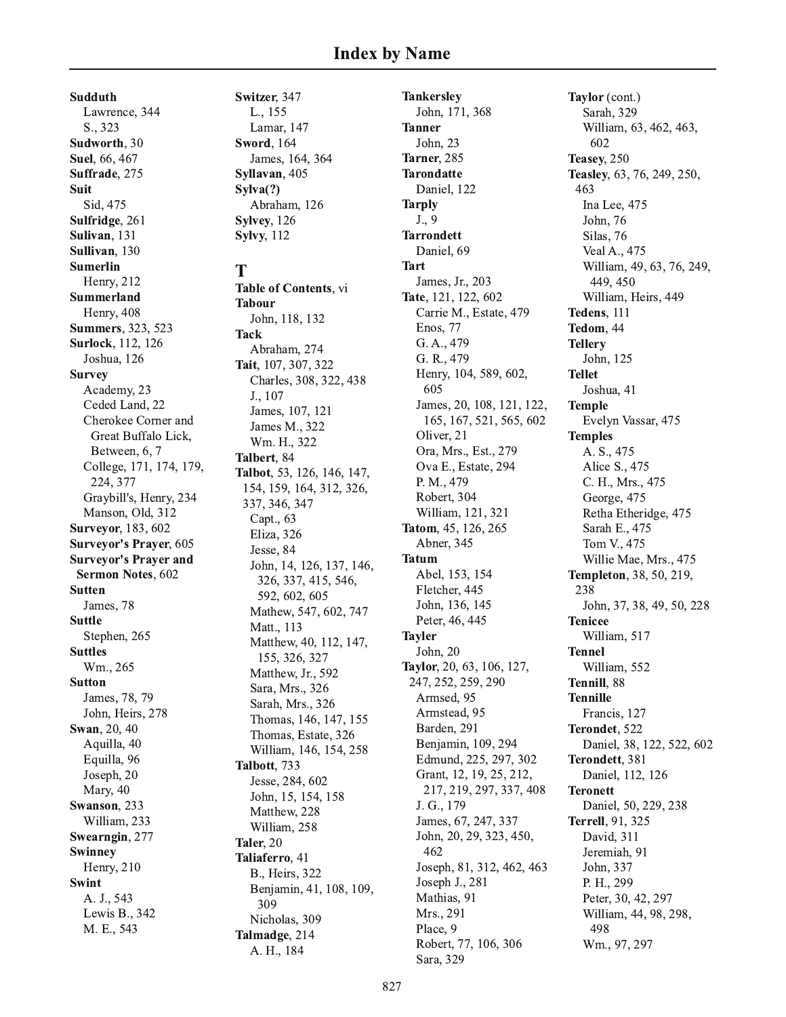**Sudduth** Lawrence, 344 S., 323 Sudworth, 30 Suel, 66, 467 Suffrade, 275 **Suit** Sid, 475 Sulfridge, 261 Sulivan, 131 Sullivan. 130 **Sumerlin** Henry, 212 Summerland Henry, 408 **Summers**, 323, 523 **Surlock**, 112, 126 Joshua, 126 **Survey** Academy, 23 Ceded Land, 22 Cherokee Corner and Great Buffalo Lick, Between, 6, 7 College, 171, 174, 179, 224, 377 Graybill's, Henry, 234 Manson, Old, 312 **Surveyor**, 183, 602 **Surveyor's Prayer, 605 Surveyor's Prayer and** Sermon Notes, 602 **Sutten** James, 78 **Suttle** Stephen, 265 **Suttles** Wm., 265 **Sutton** James, 78, 79 John, Heirs, 278 Swan, 20, 40 Aquilla, 40 Equilla, 96 Joseph, 20 Mary, 40 Swanson, 233 William, 233 Swearngin, 277 Swinney Henry, 210 **Swint** A. J., 543 Lewis B., 342 M. E., 543

Switzer, 347 L., 155 Lamar, 147 **Sword**, 164 James, 164, 364 Syllavan, 405  $Svlva(?)$ Abraham, 126 Sylvey, 126 **Sylvy**, 112

## T

Table of Contents, vi **Tabour** John, 118, 132 **Tack** Abraham, 274 Tait, 107, 307, 322 Charles, 308, 322, 438 J., 107 James, 107, 121 James M., 322 Wm. H., 322 Talbert, 84 Talbot, 53, 126, 146, 147, 154, 159, 164, 312, 326, 337, 346, 347 Capt., 63 Eliza, 326 Jesse, 84 John, 14, 126, 137, 146, 326, 337, 415, 546, 592, 602, 605 Mathew, 547, 602, 747 Matt., 113 Matthew, 40, 112, 147, 155, 326, 327 Matthew, Jr., 592 Sara, Mrs., 326 Sarah, Mrs., 326 Thomas, 146, 147, 155 Thomas, Estate, 326 William, 146, 154, 258 Talbott, 733 Jesse, 284, 602 John, 15, 154, 158 Matthew, 228 William, 258 Taler, 20 Taliaferro, 41 B., Heirs, 322 Benjamin, 41, 108, 109, 309 Nicholas, 309 Talmadge, 214 A. H., 184

**Tankersley** John, 171, 368 **Tanner** John. 23 Tarner<sub>.285</sub> **Tarondatte** Daniel, 122 **Tarply**  $J., 9$ **Tarrondett** Daniel, 69 **Tart** James, Jr., 203 Tate, 121, 122, 602 Carrie M., Estate, 479 Enos. 77 G. A., 479 G. R., 479 Henry, 104, 589, 602, 605 James, 20, 108, 121, 122, 165, 167, 521, 565, 602 Oliver, 21 Ora, Mrs., Est., 279 Ova E., Estate, 294 P. M., 479 Robert, 304 William, 121, 321 Tatom, 45, 126, 265 Abner, 345 **Tatum** Abel, 153, 154 Fletcher, 445 John, 136, 145 Peter, 46, 445 **Tayler** John. 20 Taylor, 20, 63, 106, 127, 247, 252, 259, 290 Armsed, 95 Armstead, 95 Barden, 291 Benjamin, 109, 294 Edmund, 225, 297, 302 Grant, 12, 19, 25, 212, 217, 219, 297, 337, 408 J. G., 179 James, 67, 247, 337 John, 20, 29, 323, 450, 462 Joseph, 81, 312, 462, 463 Joseph J., 281 Mathias, 91 Mrs., 291 Place, 9 Robert, 77, 106, 306 Sara, 329

Taylor (cont.) Sarah, 329 William, 63, 462, 463, 602 Teasey, 250 Teasley, 63, 76, 249, 250, 463 Ina Lee, 475 John, 76 Silas, 76 Veal A., 475 William, 49, 63, 76, 249, 449, 450 William, Heirs, 449 Tedens, 111 Tedom, 44 **Tellery** John, 125 **Tellet** Joshua, 41 **Temple** Evelyn Vassar, 475 **Temples** A. S., 475 Alice S., 475 C. H., Mrs., 475 George, 475 Retha Etheridge, 475 Sarah E., 475 Tom V., 475 Willie Mae, Mrs., 475 **Templeton**, 38, 50, 219, 238 John, 37, 38, 49, 50, 228 **Tenicee** William, 517 **Tennel** William, 552 Tennill, 88 **Tennille** Francis, 127 Terondet, 522 Daniel, 38, 122, 522, 602 Terondett, 381 Daniel, 112, 126 **Teronett** Daniel, 50, 229, 238 **Terrell**, 91, 325 David, 311 Jeremiah, 91 John, 337 P. H., 299 Peter, 30, 42, 297 William, 44, 98, 298, 498 Wm., 97, 297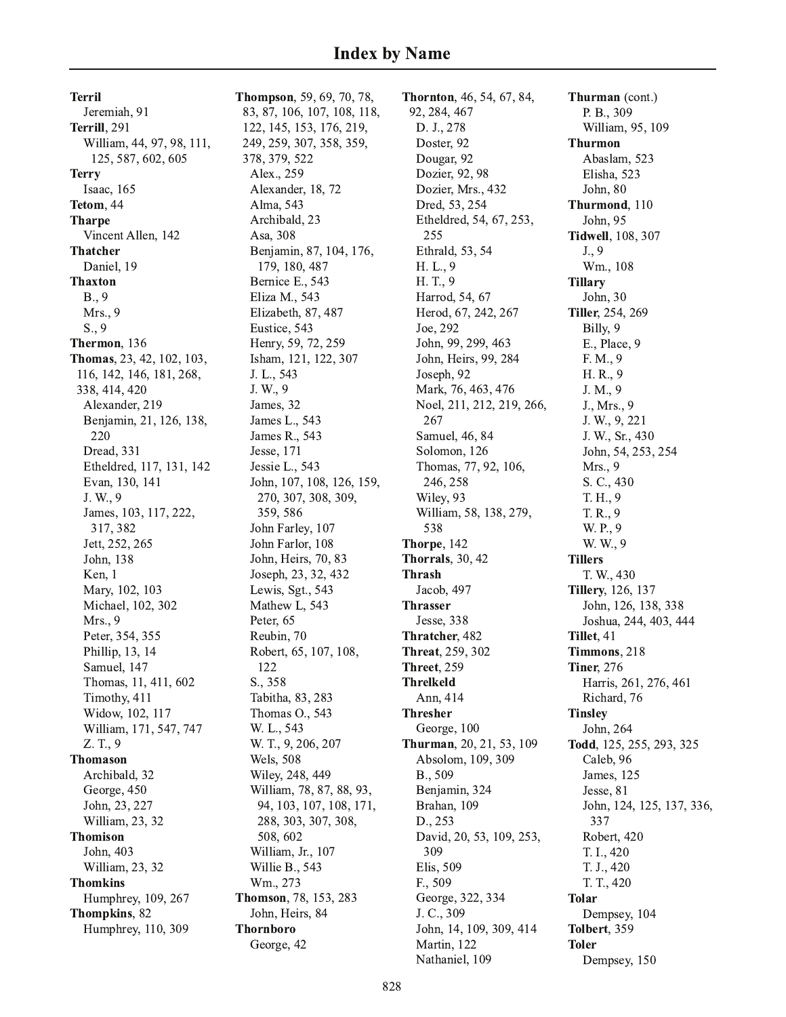**Terril** Jeremiah, 91 Terrill, 291 William, 44, 97, 98, 111, 125, 587, 602, 605 **Terry** Isaac, 165 Tetom, 44 **Tharpe** Vincent Allen, 142 **Thatcher** Daniel, 19 **Thaxton**  $B., 9$ Mrs., 9  $S., 9$ Thermon, 136 Thomas, 23, 42, 102, 103, 116, 142, 146, 181, 268, 338, 414, 420 Alexander, 219 Benjamin, 21, 126, 138, 220 Dread, 331 Etheldred, 117, 131, 142 Evan, 130, 141 J. W., 9 James, 103, 117, 222, 317, 382 Jett, 252, 265 John, 138 Ken, 1 Mary, 102, 103 Michael, 102, 302 Mrs., 9 Peter, 354, 355 Phillip, 13, 14 Samuel, 147 Thomas, 11, 411, 602 Timothy, 411 Widow, 102, 117 William, 171, 547, 747 Z. T., 9 **Thomason** Archibald, 32 George, 450 John, 23, 227 William, 23, 32 **Thomison** John, 403 William, 23, 32 **Thomkins** Humphrey, 109, 267 Thompkins, 82 Humphrey, 110, 309

**Thompson**, 59, 69, 70, 78, 83, 87, 106, 107, 108, 118, 122, 145, 153, 176, 219, 249, 259, 307, 358, 359, 378, 379, 522 Alex., 259 Alexander, 18, 72 Alma, 543 Archibald, 23 Asa, 308 Benjamin, 87, 104, 176, 179, 180, 487 Bernice E., 543 Eliza M., 543 Elizabeth, 87, 487 Eustice, 543 Henry, 59, 72, 259 Isham, 121, 122, 307 J. L., 543 J. W., 9 James, 32 James L., 543 James R., 543 Jesse, 171 Jessie L., 543 John, 107, 108, 126, 159, 270, 307, 308, 309, 359,586 John Farley, 107 John Farlor, 108 John, Heirs, 70, 83 Joseph, 23, 32, 432 Lewis, Sgt., 543 Mathew L, 543 Peter, 65 Reubin, 70 Robert, 65, 107, 108, 122 S., 358 Tabitha, 83, 283 Thomas O., 543 W. L., 543 W. T., 9, 206, 207 **Wels**, 508 Wiley, 248, 449 William, 78, 87, 88, 93, 94, 103, 107, 108, 171, 288, 303, 307, 308, 508, 602 William, Jr., 107 Willie B., 543 Wm., 273 Thomson, 78, 153, 283 John, Heirs, 84 **Thornboro** George, 42

**Thornton**, 46, 54, 67, 84, 92, 284, 467 D. J., 278 Doster, 92 Dougar, 92 Dozier, 92, 98 Dozier, Mrs., 432 Dred, 53, 254 Etheldred, 54, 67, 253, 255 Ethrald, 53, 54 H. L., 9 H.T., 9 Harrod, 54, 67 Herod, 67, 242, 267 Joe, 292 John, 99, 299, 463 John, Heirs, 99, 284 Joseph, 92 Mark, 76, 463, 476 Noel, 211, 212, 219, 266, 267 Samuel, 46, 84 Solomon, 126 Thomas, 77, 92, 106, 246.258 Wiley, 93 William, 58, 138, 279, 538 Thorpe, 142 **Thorrals**, 30, 42 **Thrash** Jacob, 497 **Thrasser** Jesse, 338 Thratcher, 482 **Threat**, 259, 302 **Threet. 259 Threlkeld** Ann, 414 **Thresher** George, 100 Thurman, 20, 21, 53, 109 Absolom, 109, 309 B., 509 Benjamin, 324 Brahan, 109 D., 253 David, 20, 53, 109, 253, 309 Elis, 509 F., 509 George, 322, 334 J. C., 309 John, 14, 109, 309, 414 Martin, 122 Nathaniel, 109

Thurman (cont.) P. B., 309 William, 95, 109 **Thurmon** Abaslam, 523 Elisha, 523 John, 80 Thurmond, 110 John, 95 **Tidwell**, 108, 307  $J., 9$ Wm., 108 **Tillary** John, 30 Tiller, 254, 269 Billy, 9 E., Place, 9 F. M., 9 H. R., 9 J. M., 9 J., Mrs., 9 J. W., 9, 221 J. W., Sr., 430 John, 54, 253, 254 Mrs., 9 S. C., 430 T. H., 9 T. R., 9 W. P., 9 W. W., 9 **Tillers** T. W., 430 **Tillery**, 126, 137 John, 126, 138, 338 Joshua, 244, 403, 444 Tillet, 41 Timmons, 218 **Tiner, 276** Harris, 261, 276, 461 Richard, 76 **Tinsley** John, 264 Todd, 125, 255, 293, 325 Caleb, 96 James, 125 Jesse, 81 John, 124, 125, 137, 336, 337 Robert, 420 T. I., 420 T. J., 420 T. T., 420 **Tolar** Dempsey, 104 Tolbert, 359 **Toler** Dempsey, 150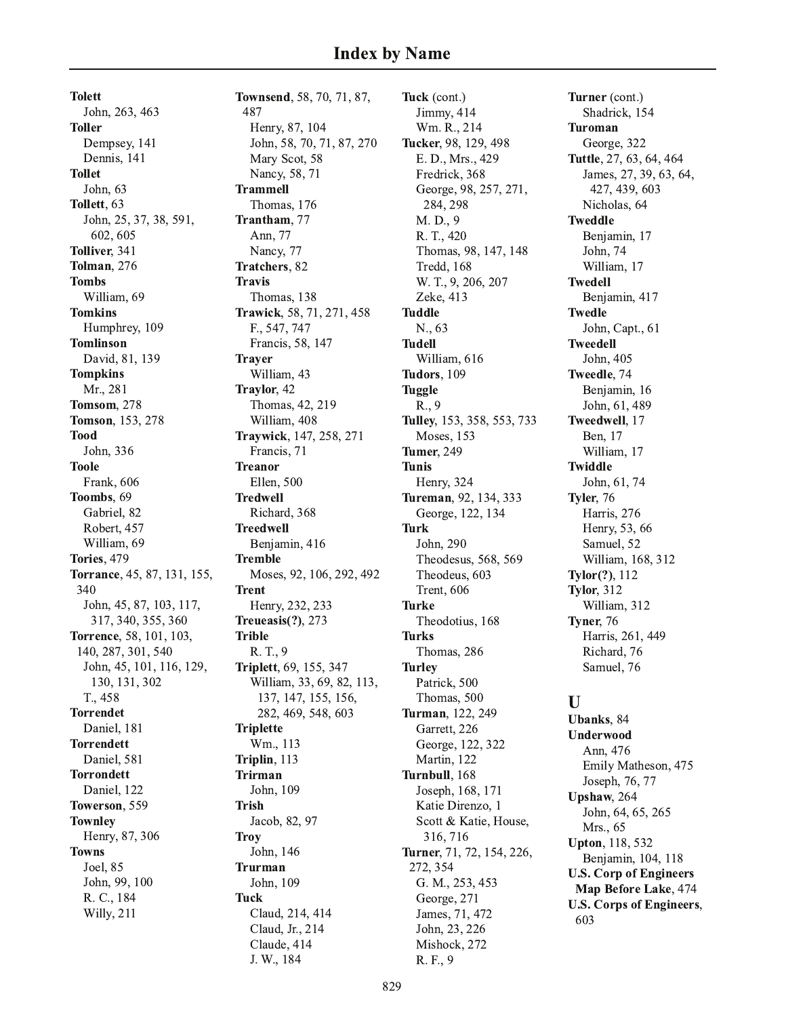**Tolett** John, 263, 463 **Toller** Dempsey, 141 Dennis, 141 **Tollet** John, 63 Tollett, 63 John, 25, 37, 38, 591, 602.605 Tolliver, 341 **Tolman, 276 Tombs** William, 69 **Tomkins** Humphrey, 109 **Tomlinson** David, 81, 139 **Tompkins** Mr., 281 **Tomsom.** 278 **Tomson.** 153, 278 **Tood** John, 336 **Toole** Frank, 606 Toombs, 69 Gabriel, 82 Robert, 457 William, 69 **Tories, 479** Torrance, 45, 87, 131, 155, 340 John, 45, 87, 103, 117, 317, 340, 355, 360 Torrence, 58, 101, 103, 140, 287, 301, 540 John, 45, 101, 116, 129, 130, 131, 302 T., 458 **Torrendet** Daniel, 181 **Torrendett** Daniel, 581 **Torrondett** Daniel, 122 Towerson, 559 **Townley** Henry, 87, 306 **Towns** Joel, 85 John, 99, 100 R. C., 184 Willy, 211

Townsend, 58, 70, 71, 87, 487 Henry, 87, 104 John, 58, 70, 71, 87, 270 Mary Scot, 58 Nancy, 58, 71 **Trammell** Thomas, 176 Trantham, 77 Ann. 77 Nancy, 77 Tratchers, 82 **Travis** Thomas, 138 Trawick, 58, 71, 271, 458 F., 547, 747 Francis, 58, 147 **Trayer** William, 43 Traylor, 42 Thomas, 42, 219 William, 408 Traywick, 147, 258, 271 Francis, 71 **Treanor** Ellen, 500 **Tredwell** Richard, 368 **Treedwell** Benjamin, 416 **Tremble** Moses, 92, 106, 292, 492 **Trent** Henry, 232, 233 Treueasis $(?)$ , 273 **Trible** R. T., 9 Triplett, 69, 155, 347 William, 33, 69, 82, 113, 137, 147, 155, 156, 282, 469, 548, 603 **Triplette** Wm., 113 Triplin, 113 **Trirman** John, 109 **Trish** Jacob, 82, 97 **Troy** John, 146 **Trurman** John, 109 **Tuck** Claud, 214, 414 Claud, Jr., 214 Claude, 414 J. W., 184

Tuck (cont.) Jimmy, 414 Wm. R., 214 Tucker, 98, 129, 498 E. D., Mrs., 429 Fredrick, 368 George, 98, 257, 271, 284, 298 M.D., 9 R. T., 420 Thomas, 98, 147, 148 Tredd, 168 W. T., 9, 206, 207 Zeke, 413 **Tuddle** N., 63 **Tudell** William, 616 Tudors, 109 **Tuggle** R., 9 Tulley, 153, 358, 553, 733 **Moses**, 153 **Tumer, 249 Tunis** Henry, 324 Tureman, 92, 134, 333 George, 122, 134 **Turk** John, 290 Theodesus, 568, 569 Theodeus, 603 **Trent**, 606 **Turke** Theodotius, 168 **Turks** Thomas, 286 **Turley** Patrick, 500 Thomas, 500 Turman, 122, 249 Garrett, 226 George, 122, 322 Martin, 122 Turnbull, 168 Joseph, 168, 171 Katie Direnzo, 1 Scott & Katie, House, 316, 716 Turner, 71, 72, 154, 226, 272, 354 G. M., 253, 453 George, 271 James, 71, 472 John, 23, 226 Mishock, 272 R. F., 9

Turner (cont.) Shadrick, 154 **Turoman** George, 322 Tuttle, 27, 63, 64, 464 James, 27, 39, 63, 64, 427, 439, 603 Nicholas, 64 **Tweddle** Benjamin, 17 John, 74 William, 17 **Twedell** Benjamin, 417 **Twedle** John, Capt., 61 **Tweedell** John, 405 Tweedle, 74 Benjamin, 16 John, 61, 489 Tweedwell, 17 Ben, 17 William, 17 **Twiddle** John, 61, 74 Tyler, 76 Harris, 276 Henry, 53, 66 Samuel, 52 William, 168, 312 Tylor(?), 112 **Tylor, 312** William, 312 Tyner, 76 Harris, 261, 449 Richard, 76 Samuel, 76

## $\mathbf{I}$

Ubanks, 84 Underwood Ann. 476 Emily Matheson, 475 Joseph, 76, 77 Upshaw, 264 John, 64, 65, 265 Mrs., 65 **Upton**, 118, 532 Benjamin, 104, 118 **U.S. Corp of Engineers** Map Before Lake, 474 **U.S. Corps of Engineers,** 603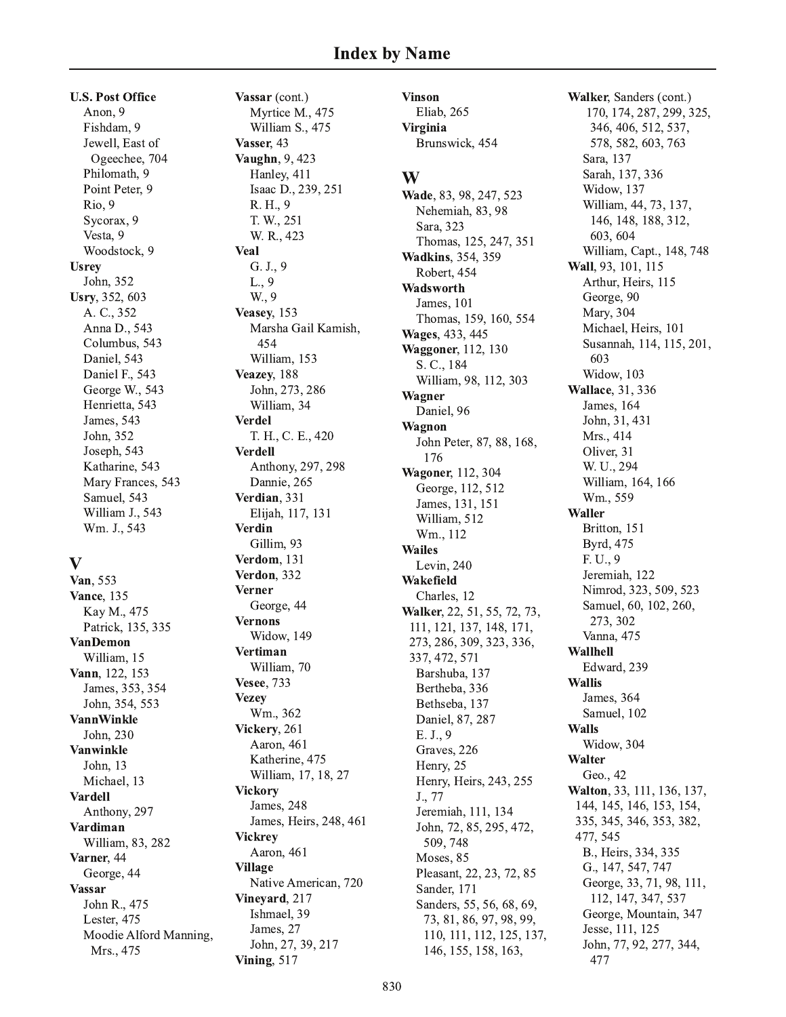**U.S. Post Office** Anon. 9 Fishdam, 9 Jewell, East of Ogeechee, 704 Philomath, 9 Point Peter, 9 Rio, 9 Sycorax, 9 Vesta, 9 Woodstock, 9 **Usrey** John, 352 Usry, 352, 603 A. C., 352 Anna D., 543 Columbus, 543 Daniel, 543 Daniel F., 543 George W., 543 Henrietta, 543 James, 543 John, 352 Joseph, 543 Katharine, 543 Mary Frances, 543 Samuel, 543 William J., 543 Wm. J., 543

## V

Van, 553 **Vance**, 135 Kay M., 475 Patrick, 135, 335 **VanDemon** William, 15 Vann, 122, 153 James, 353, 354 John, 354, 553 **VannWinkle** John, 230 **Vanwinkle** John, 13 Michael, 13 **Vardell** Anthony, 297 Vardiman William, 83, 282 Varner, 44 George, 44 **Vassar** John R., 475 Lester, 475 Moodie Alford Manning, Mrs., 475

Vassar (cont.) Myrtice M., 475 William S., 475 Vasser, 43 Vaughn, 9, 423 Hanley, 411 Isaac D., 239, 251 R. H., 9 T. W., 251 W. R., 423 **Veal**  $G. J., 9$  $L., 9$ W., 9 Veasey, 153 Marsha Gail Kamish, 454 William, 153 Veazey, 188 John, 273, 286 William, 34 **Verdel** T. H., C. E., 420 **Verdell** Anthony, 297, 298 Dannie, 265 Verdian, 331 Elijah, 117, 131 **Verdin** Gillim, 93 Verdom, 131 Verdon, 332 **Verner** George, 44 **Vernons** Widow, 149 **Vertiman** William, 70 **Vesee**, 733 **Vezev** Wm., 362 Vickery, 261 Aaron, 461 Katherine, 475 William, 17, 18, 27 **Vickory** James, 248 James, Heirs, 248, 461 **Vickrey** Aaron, 461 **Village** Native American, 720 Vinevard, 217 Ishmael, 39 James, 27 John, 27, 39, 217 **Vining, 517** 

**Vinson** Eliab, 265 **Virginia** Brunswick, 454

## W

Wade, 83, 98, 247, 523 Nehemiah, 83, 98 Sara, 323 Thomas, 125, 247, 351 **Wadkins**, 354, 359 Robert, 454 Wadsworth James, 101 Thomas, 159, 160, 554 Wages, 433, 445 Waggoner, 112, 130 S. C., 184 William, 98, 112, 303 Wagner Daniel, 96 Wagnon John Peter, 87, 88, 168, 176 Wagoner, 112, 304 George, 112, 512 James, 131, 151 William, 512 Wm., 112 **Wailes** Levin, 240 Wakefield Charles, 12 Walker, 22, 51, 55, 72, 73, 111, 121, 137, 148, 171, 273, 286, 309, 323, 336, 337, 472, 571 Barshuba, 137 Bertheba, 336 Bethseba, 137 Daniel, 87, 287 E. J., 9 Graves, 226 Henry, 25 Henry, Heirs, 243, 255 J., 77 Jeremiah, 111, 134 John, 72, 85, 295, 472, 509, 748 Moses, 85 Pleasant, 22, 23, 72, 85 Sander, 171 Sanders, 55, 56, 68, 69, 73, 81, 86, 97, 98, 99, 110, 111, 112, 125, 137, 146, 155, 158, 163,

Walker, Sanders (cont.) 170, 174, 287, 299, 325, 346, 406, 512, 537, 578, 582, 603, 763 Sara, 137 Sarah, 137, 336 Widow, 137 William, 44, 73, 137, 146, 148, 188, 312, 603, 604 William, Capt., 148, 748 Wall, 93, 101, 115 Arthur, Heirs, 115 George, 90 Mary, 304 Michael, Heirs, 101 Susannah, 114, 115, 201, 603 Widow, 103 **Wallace**, 31, 336 **James**, 164 John, 31, 431 Mrs., 414 Oliver, 31 W. U., 294 William, 164, 166 Wm., 559 **Waller** Britton, 151 Byrd, 475 F. U., 9 Jeremiah, 122 Nimrod, 323, 509, 523 Samuel, 60, 102, 260, 273, 302 Vanna, 475 Wallhell Edward, 239 **Wallis** James, 364 Samuel, 102 **Walls** Widow, 304 Walter Geo., 42 Walton, 33, 111, 136, 137, 144, 145, 146, 153, 154, 335, 345, 346, 353, 382, 477, 545 B., Heirs, 334, 335 G., 147, 547, 747 George, 33, 71, 98, 111, 112, 147, 347, 537 George, Mountain, 347 Jesse, 111, 125 John, 77, 92, 277, 344, 477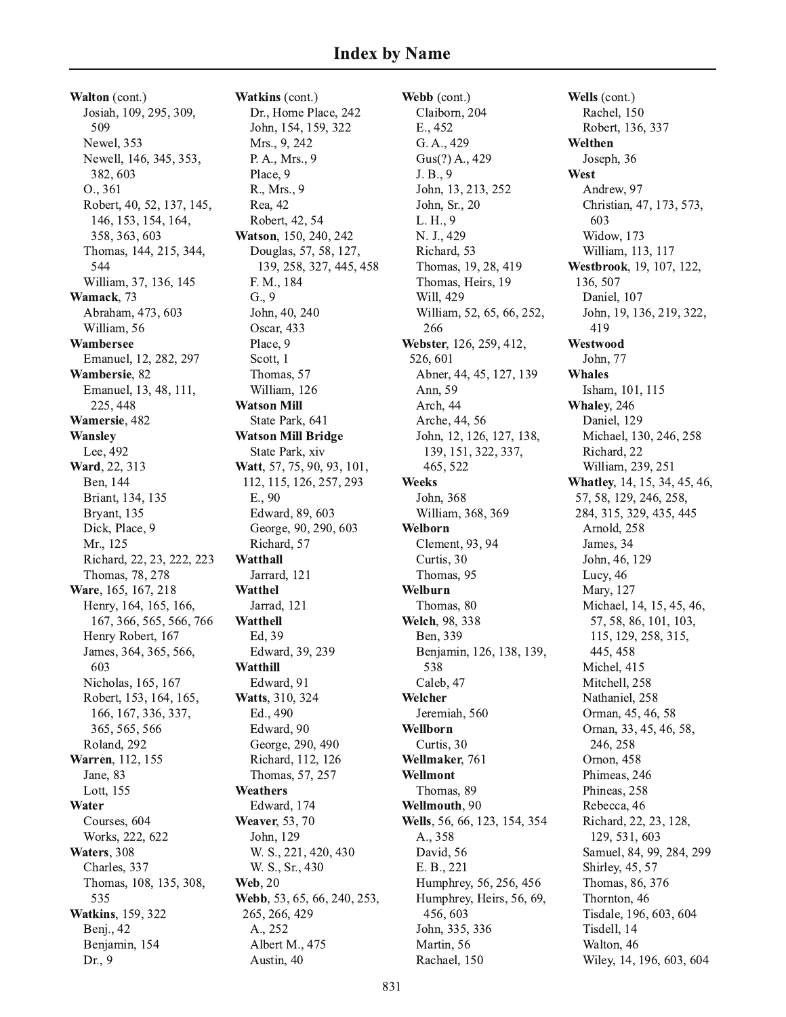Walton (cont.) Josiah, 109, 295, 309, 509 Newel, 353 Newell, 146, 345, 353, 382, 603 0., 361 Robert, 40, 52, 137, 145, 146, 153, 154, 164, 358, 363, 603 Thomas, 144, 215, 344, 544 William, 37, 136, 145 Wamack, 73 Abraham, 473, 603 William, 56 Wambersee Emanuel, 12, 282, 297 Wambersie, 82 Emanuel, 13, 48, 111, 225, 448 Wamersie, 482 **Wansley** Lee, 492 Ward, 22, 313 Ben, 144 Briant, 134, 135 Bryant, 135 Dick, Place, 9 Mr., 125 Richard, 22, 23, 222, 223 Thomas, 78, 278 Ware, 165, 167, 218 Henry, 164, 165, 166, 167, 366, 565, 566, 766 Henry Robert, 167 James, 364, 365, 566, 603 Nicholas, 165, 167 Robert, 153, 164, 165, 166, 167, 336, 337, 365, 565, 566 Roland, 292 Warren, 112, 155 Jane, 83 Lott, 155 Water Courses, 604 Works, 222, 622 Waters, 308 Charles, 337 Thomas, 108, 135, 308, 535 **Watkins**, 159, 322 Benj., 42 Benjamin, 154 Dr., 9

Watkins (cont.) Dr., Home Place, 242 John, 154, 159, 322 Mrs., 9, 242 P. A., Mrs., 9 Place, 9 R., Mrs., 9 Rea, 42 Robert, 42, 54 Watson, 150, 240, 242 Douglas, 57, 58, 127, 139, 258, 327, 445, 458 F. M., 184  $G., 9$ John, 40, 240 Oscar, 433 Place, 9 Scott, 1 Thomas, 57 William, 126 **Watson Mill** State Park, 641 **Watson Mill Bridge** State Park, xiv Watt, 57, 75, 90, 93, 101, 112, 115, 126, 257, 293 E., 90 Edward, 89, 603 George, 90, 290, 603 Richard, 57 Watthall Jarrard, 121 Watthel Jarrad, 121 **Watthell** Ed, 39 Edward, 39, 239 Watthill Edward, 91 Watts, 310, 324 Ed., 490 Edward, 90 George, 290, 490 Richard, 112, 126 Thomas, 57, 257 Weathers Edward, 174 Weaver, 53, 70 John, 129 W. S., 221, 420, 430 W. S., Sr., 430 **Web**, 20 Webb, 53, 65, 66, 240, 253, 265, 266, 429 A., 252 Albert M., 475 Austin, 40

Webb (cont.) Claiborn, 204 E., 452 G. A., 429 Gus(?) A., 429 J. B., 9 John, 13, 213, 252 John, Sr., 20 L. H., 9 N. J., 429 Richard, 53 Thomas, 19, 28, 419 Thomas, Heirs, 19 Will, 429 William, 52, 65, 66, 252, 266 Webster, 126, 259, 412, 526, 601 Abner, 44, 45, 127, 139 Ann, 59 Arch, 44 Arche, 44, 56 John, 12, 126, 127, 138, 139, 151, 322, 337, 465, 522 **Weeks** John, 368 William, 368, 369 Welborn Clement, 93, 94 Curtis, 30 Thomas, 95 Welburn Thomas, 80 Welch, 98, 338 Ben, 339 Benjamin, 126, 138, 139, 538 Caleb, 47 Welcher Jeremiah, 560 Wellborn Curtis, 30 Wellmaker, 761 Wellmont Thomas, 89 Wellmouth, 90 Wells, 56, 66, 123, 154, 354 A., 358 David, 56 E. B., 221 Humphrey, 56, 256, 456 Humphrey, Heirs, 56, 69, 456,603 John, 335, 336 Martin, 56 Rachael, 150

Wells (cont.) Rachel, 150 Robert, 136, 337 Welthen Joseph, 36 West Andrew, 97 Christian, 47, 173, 573, 603 **Widow**, 173 William, 113, 117 Westbrook, 19, 107, 122, 136, 507 Daniel, 107 John, 19, 136, 219, 322, 419 Westwood John, 77 **Whales** Isham, 101, 115 Whaley, 246 Daniel, 129 Michael, 130, 246, 258 Richard, 22 William, 239, 251 Whatley, 14, 15, 34, 45, 46, 57, 58, 129, 246, 258, 284, 315, 329, 435, 445 Arnold, 258 James, 34 John, 46, 129 Lucy, 46 Mary, 127 Michael, 14, 15, 45, 46, 57, 58, 86, 101, 103, 115, 129, 258, 315, 445, 458 Michel, 415 Mitchell, 258 Nathaniel, 258 Orman, 45, 46, 58 Ornan, 33, 45, 46, 58, 246, 258 Ornon, 458 Phimeas, 246 Phineas, 258 Rebecca, 46 Richard, 22, 23, 128, 129, 531, 603 Samuel, 84, 99, 284, 299 Shirley, 45, 57 Thomas, 86, 376 Thornton, 46 Tisdale, 196, 603, 604 Tisdell, 14 Walton, 46 Wiley, 14, 196, 603, 604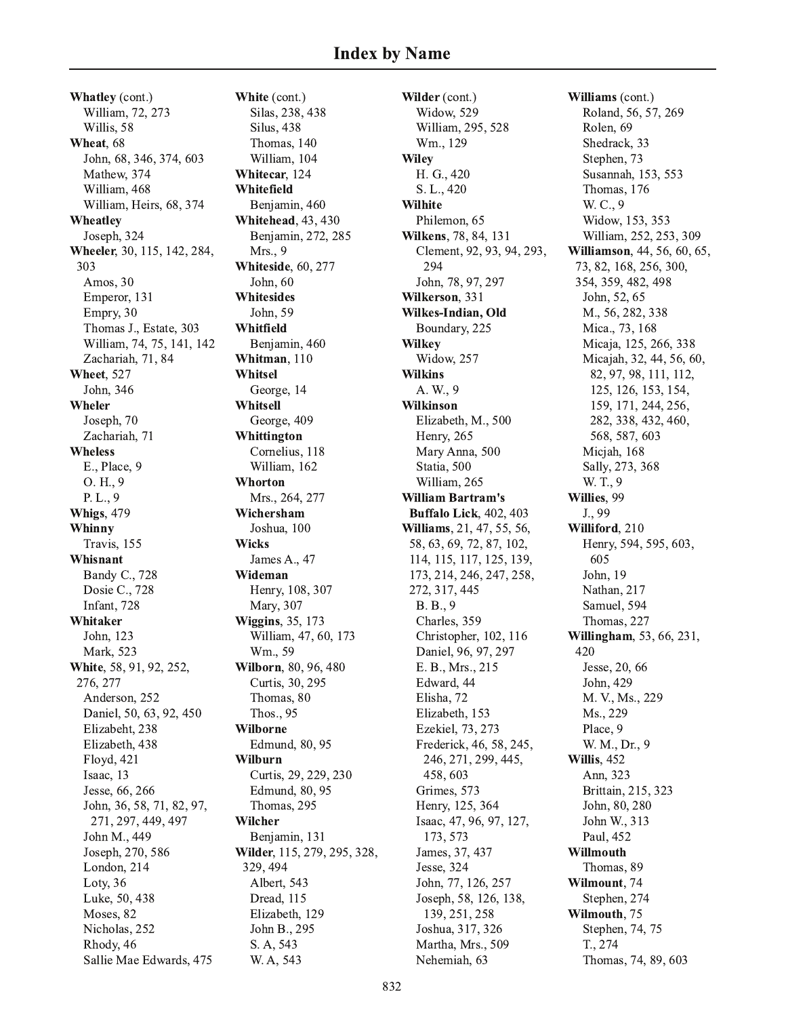Whatley (cont.) William, 72, 273 Willis, 58 Wheat, 68 John, 68, 346, 374, 603 Mathew, 374 William, 468 William, Heirs, 68, 374 Wheatley Joseph, 324 Wheeler, 30, 115, 142, 284, 303 Amos, 30 Emperor, 131 Empry, 30 Thomas J., Estate, 303 William, 74, 75, 141, 142 Zachariah, 71, 84 Wheet, 527 John, 346 Wheler Joseph, 70 Zachariah, 71 **Wheless** E., Place, 9  $O.H., 9$ P.L., 9 **Whigs**, 479 Whinny Travis, 155 Whisnant Bandy C., 728 Dosie C., 728 Infant, 728 Whitaker John, 123 Mark, 523 White, 58, 91, 92, 252, 276, 277 Anderson, 252 Daniel, 50, 63, 92, 450 Elizabeht, 238 Elizabeth, 438 Floyd, 421 Isaac, 13 Jesse, 66, 266 John, 36, 58, 71, 82, 97, 271, 297, 449, 497 John M., 449 Joseph, 270, 586 London, 214 Loty, 36 Luke, 50, 438 Moses, 82 Nicholas, 252 Rhody, 46 Sallie Mae Edwards, 475

White (cont.) Silas, 238, 438 Silus, 438 Thomas, 140 William, 104 Whitecar, 124 Whitefield Benjamin, 460 **Whitehead**, 43, 430 Benjamin, 272, 285 Mrs., 9 **Whiteside**, 60, 277 John, 60 Whitesides John, 59 Whitfield Benjamin, 460 Whitman, 110 Whitsel George, 14 Whitsell George, 409 Whittington Cornelius, 118 William, 162 Whorton Mrs., 264, 277 Wichersham Joshua, 100 **Wicks** James A., 47 Wideman Henry, 108, 307 Mary, 307 **Wiggins**, 35, 173 William, 47, 60, 173 Wm., 59 Wilborn, 80, 96, 480 Curtis, 30, 295 Thomas, 80 Thos., 95 Wilborne Edmund, 80, 95 **Wilburn** Curtis, 29, 229, 230 Edmund, 80, 95 Thomas, 295 Wilcher Benjamin, 131 Wilder, 115, 279, 295, 328, 329, 494 Albert, 543 Dread, 115 Elizabeth, 129 John B., 295 S. A, 543 W. A, 543

Wilder (cont.) Widow, 529 William, 295, 528 Wm., 129 **Wiley** H. G., 420 S. L., 420 **Wilhite** Philemon, 65 Wilkens, 78, 84, 131 Clement, 92, 93, 94, 293, 294 John, 78, 97, 297 Wilkerson, 331 Wilkes-Indian, Old Boundary, 225 **Wilkey** Widow, 257 **Wilkins** A. W., 9 **Wilkinson** Elizabeth, M., 500 Henry, 265 Mary Anna, 500 Statia, 500 William, 265 **William Bartram's Buffalo Lick, 402, 403** Williams, 21, 47, 55, 56, 58, 63, 69, 72, 87, 102, 114, 115, 117, 125, 139, 173, 214, 246, 247, 258, 272, 317, 445 B. B., 9 Charles, 359 Christopher, 102, 116 Daniel, 96, 97, 297 E. B., Mrs., 215 Edward, 44 Elisha, 72 Elizabeth, 153 Ezekiel, 73, 273 Frederick, 46, 58, 245, 246, 271, 299, 445, 458,603 Grimes, 573 Henry, 125, 364 Isaac, 47, 96, 97, 127, 173, 573 James, 37, 437 Jesse, 324 John, 77, 126, 257 Joseph, 58, 126, 138, 139, 251, 258 Joshua, 317, 326 Martha, Mrs., 509 Nehemiah, 63

Williams (cont.) Roland, 56, 57, 269 Rolen, 69 Shedrack, 33 Stephen, 73 Susannah, 153, 553 Thomas, 176 W. C., 9 Widow, 153, 353 William, 252, 253, 309 Williamson, 44, 56, 60, 65, 73, 82, 168, 256, 300, 354, 359, 482, 498 John, 52, 65 M., 56, 282, 338 Mica., 73, 168 Micaja, 125, 266, 338 Micajah, 32, 44, 56, 60, 82, 97, 98, 111, 112, 125, 126, 153, 154, 159, 171, 244, 256, 282, 338, 432, 460, 568, 587, 603 Micjah, 168 Sally, 273, 368 W.T., 9 Willies, 99 J., 99 Williford, 210 Henry, 594, 595, 603, 605 John, 19 Nathan, 217 Samuel, 594 Thomas, 227 Willingham, 53, 66, 231, 420 Jesse, 20, 66 John, 429 M. V., Ms., 229 Ms., 229 Place, 9 W. M., Dr., 9 Willis, 452 Ann, 323 Brittain, 215, 323 John, 80, 280 John W., 313 Paul, 452 Willmouth Thomas, 89 Wilmount, 74 Stephen, 274 Wilmouth, 75 Stephen, 74, 75 T., 274 Thomas, 74, 89, 603